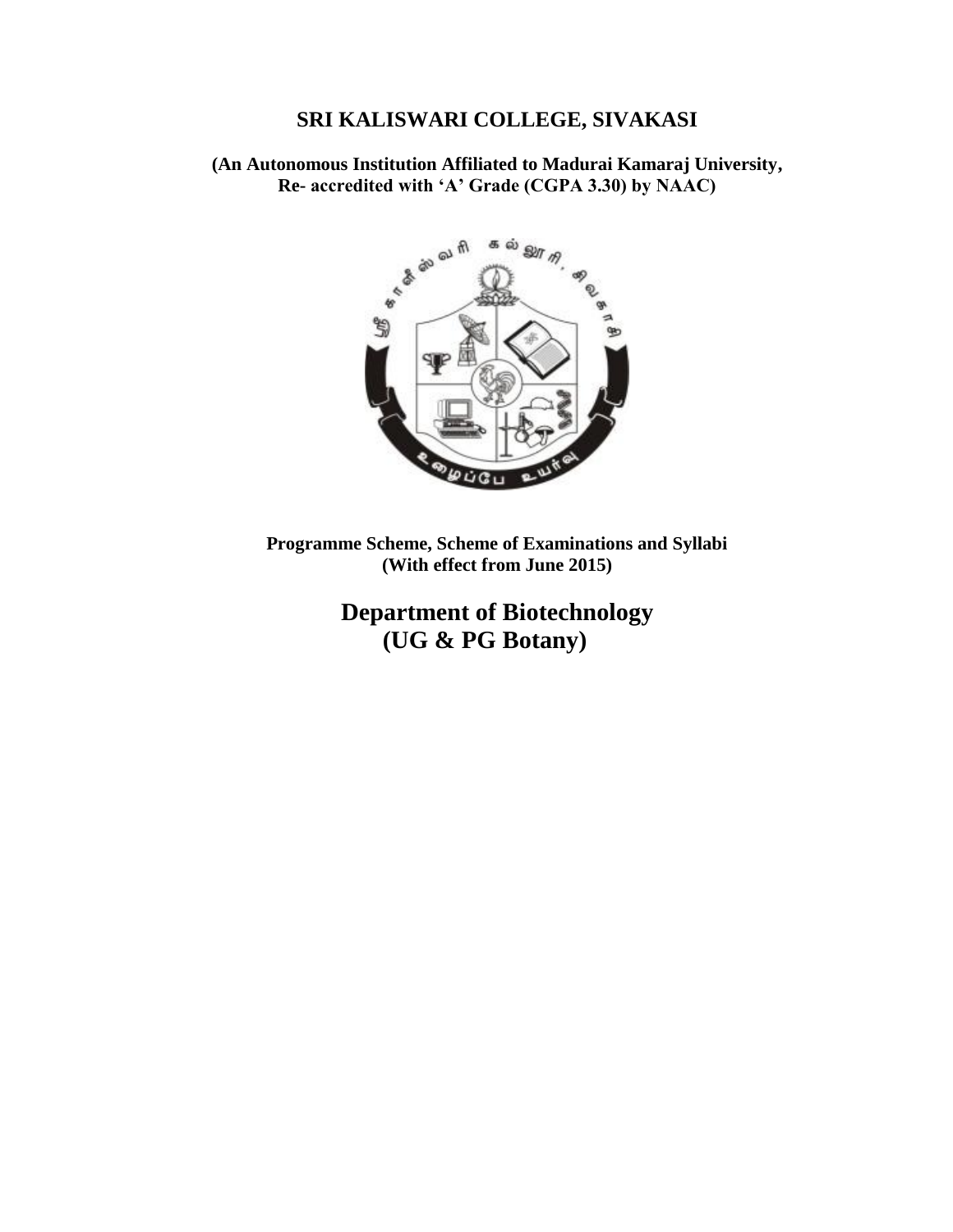# **SRI KALISWARI COLLEGE, SIVAKASI**

**(An Autonomous Institution Affiliated to Madurai Kamaraj University, Re- accredited with 'A' Grade (CGPA 3.30) by NAAC)**



**Programme Scheme, Scheme of Examinations and Syllabi (With effect from June 2015)**

> **Department of Biotechnology (UG & PG Botany)**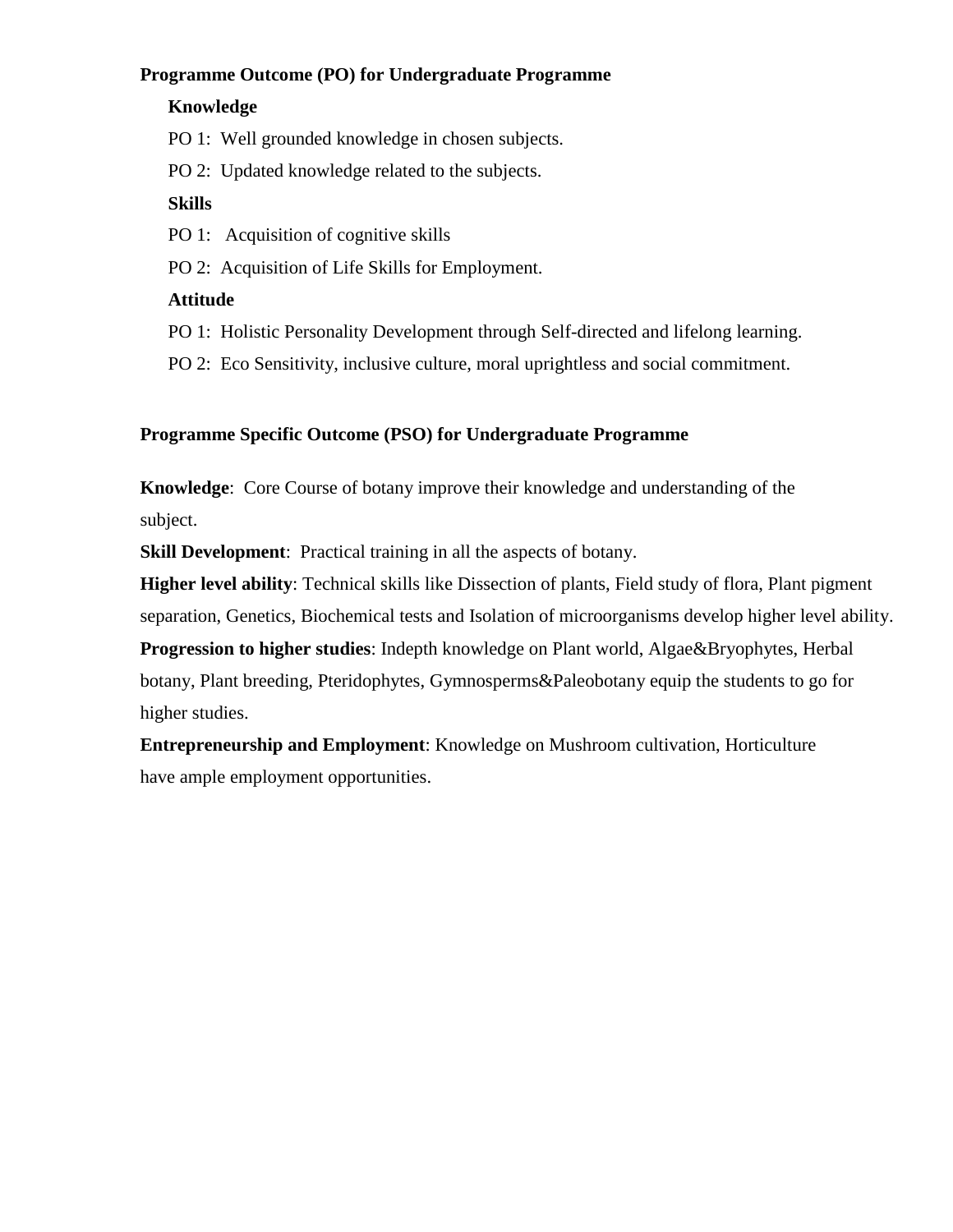# **Programme Outcome (PO) for Undergraduate Programme**

### **Knowledge**

PO 1: Well grounded knowledge in chosen subjects.

PO 2: Updated knowledge related to the subjects.

# **Skills**

PO 1: Acquisition of cognitive skills

PO 2: Acquisition of Life Skills for Employment.

# **Attitude**

PO 1: Holistic Personality Development through Self-directed and lifelong learning.

PO 2: Eco Sensitivity, inclusive culture, moral uprightless and social commitment.

# **Programme Specific Outcome (PSO) for Undergraduate Programme**

**Knowledge**: Core Course of botany improve their knowledge and understanding of the subject.

**Skill Development**: Practical training in all the aspects of botany.

**Higher level ability**: Technical skills like Dissection of plants, Field study of flora, Plant pigment separation, Genetics, Biochemical tests and Isolation of microorganisms develop higher level ability.

**Progression to higher studies**: Indepth knowledge on Plant world, Algae&Bryophytes, Herbal botany, Plant breeding, Pteridophytes, Gymnosperms&Paleobotany equip the students to go for higher studies.

**Entrepreneurship and Employment**: Knowledge on Mushroom cultivation, Horticulture have ample employment opportunities.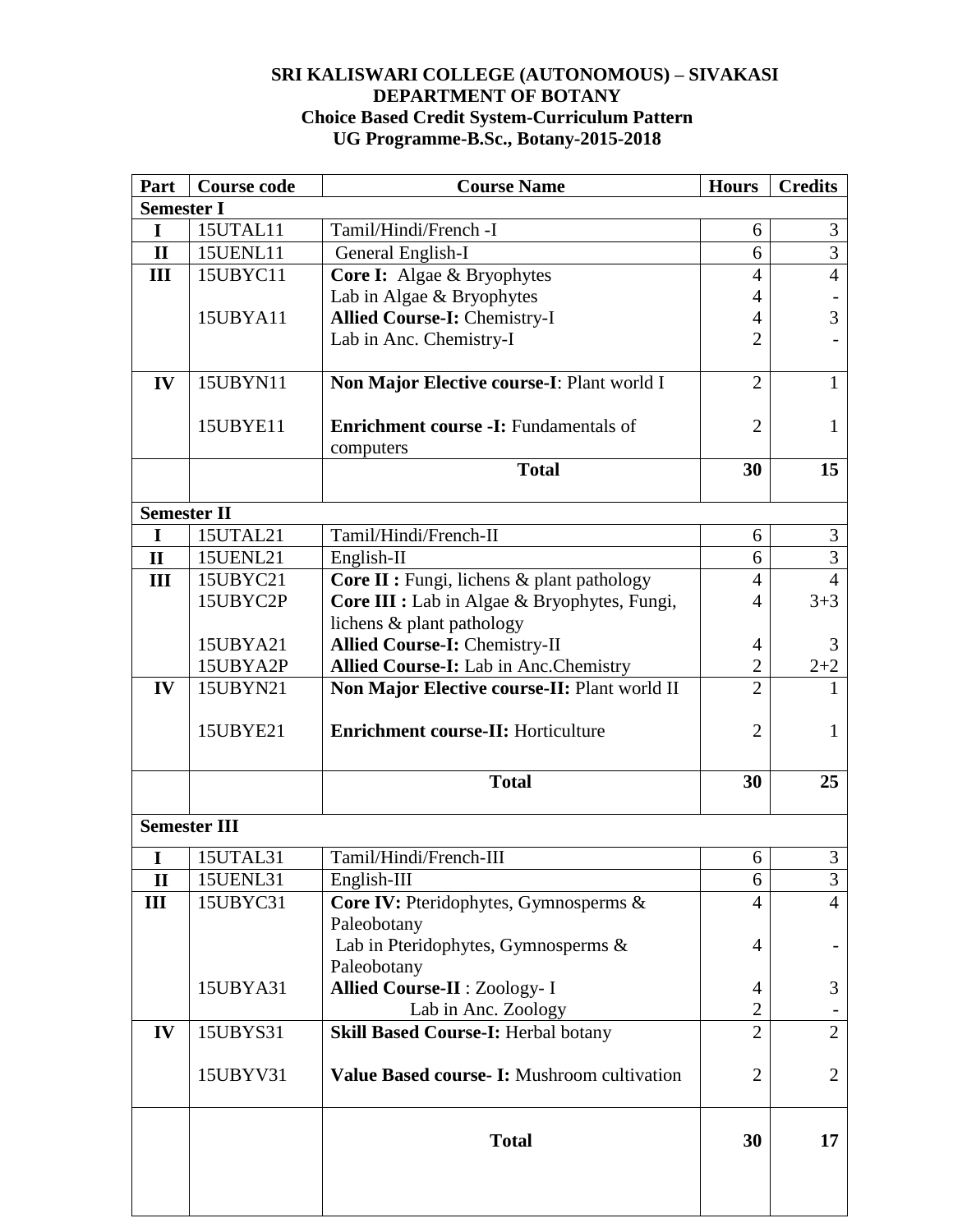# **SRI KALISWARI COLLEGE (AUTONOMOUS) – SIVAKASI DEPARTMENT OF BOTANY Choice Based Credit System-Curriculum Pattern UG Programme-B.Sc., Botany-2015-2018**

| Part               | <b>Course code</b>  | <b>Course Name</b>                           | <b>Hours</b>   | <b>Credits</b> |
|--------------------|---------------------|----------------------------------------------|----------------|----------------|
| <b>Semester I</b>  |                     |                                              |                |                |
| I                  | 15UTAL11            | Tamil/Hindi/French -I                        | 6              | 3              |
| $\mathbf{I}$       | 15UENL11            | General English-I                            | 6              | $\overline{3}$ |
| III                | 15UBYC11            | Core I: Algae & Bryophytes                   |                | $\overline{4}$ |
|                    |                     | Lab in Algae & Bryophytes                    | 4              |                |
|                    | 15UBYA11            | <b>Allied Course-I: Chemistry-I</b>          | 4              | 3              |
|                    |                     | Lab in Anc. Chemistry-I                      | $\overline{2}$ |                |
|                    |                     |                                              |                |                |
| IV                 | 15UBYN11            | Non Major Elective course-I: Plant world I   | $\overline{2}$ | 1              |
|                    |                     |                                              |                |                |
|                    | 15UBYE11            | <b>Enrichment course -I:</b> Fundamentals of | $\overline{2}$ | 1              |
|                    |                     | computers                                    |                |                |
|                    |                     | <b>Total</b>                                 | 30             | 15             |
| <b>Semester II</b> |                     |                                              |                |                |
| $\mathbf I$        | 15UTAL21            | Tamil/Hindi/French-II                        | 6              | 3              |
| $\mathbf{I}$       | <b>15UENL21</b>     | English-II                                   | 6              | $\overline{3}$ |
| III                | 15UBYC21            | Core II : Fungi, lichens & plant pathology   | $\overline{4}$ | $\overline{4}$ |
|                    | 15UBYC2P            | Core III : Lab in Algae & Bryophytes, Fungi, | 4              | $3 + 3$        |
|                    |                     | lichens & plant pathology                    |                |                |
|                    | 15UBYA21            | <b>Allied Course-I: Chemistry-II</b>         | 4              | 3              |
|                    | 15UBYA2P            | Allied Course-I: Lab in Anc. Chemistry       | $\overline{2}$ | $2 + 2$        |
| IV                 | 15UBYN21            | Non Major Elective course-II: Plant world II | $\overline{2}$ |                |
|                    |                     |                                              |                |                |
|                    | 15UBYE21            | <b>Enrichment course-II: Horticulture</b>    | $\overline{2}$ | 1              |
|                    |                     |                                              |                |                |
|                    |                     | <b>Total</b>                                 | 30             | 25             |
|                    |                     |                                              |                |                |
|                    | <b>Semester III</b> |                                              |                |                |
| I                  | 15UTAL31            | Tamil/Hindi/French-III                       | 6              | 3              |
| $\mathbf{I}$       | 15UENL31            | English-III                                  | 6              | 3              |
| III                | 15UBYC31            | Core IV: Pteridophytes, Gymnosperms &        | 4              | $\overline{4}$ |
|                    |                     | Paleobotany                                  |                |                |
|                    |                     | Lab in Pteridophytes, Gymnosperms &          | 4              |                |
|                    |                     | Paleobotany                                  |                |                |
|                    | 15UBYA31            | <b>Allied Course-II: Zoology-I</b>           | 4              | 3              |
|                    |                     | Lab in Anc. Zoology                          | $\overline{2}$ |                |
| IV                 | 15UBYS31            | <b>Skill Based Course-I: Herbal botany</b>   | $\overline{2}$ | $\overline{2}$ |
|                    |                     |                                              |                |                |
|                    | 15UBYV31            | Value Based course- I: Mushroom cultivation  | $\overline{2}$ | $\overline{2}$ |
|                    |                     |                                              |                |                |
|                    |                     |                                              |                |                |
|                    |                     | <b>Total</b>                                 | 30             | 17             |
|                    |                     |                                              |                |                |
|                    |                     |                                              |                |                |
|                    |                     |                                              |                |                |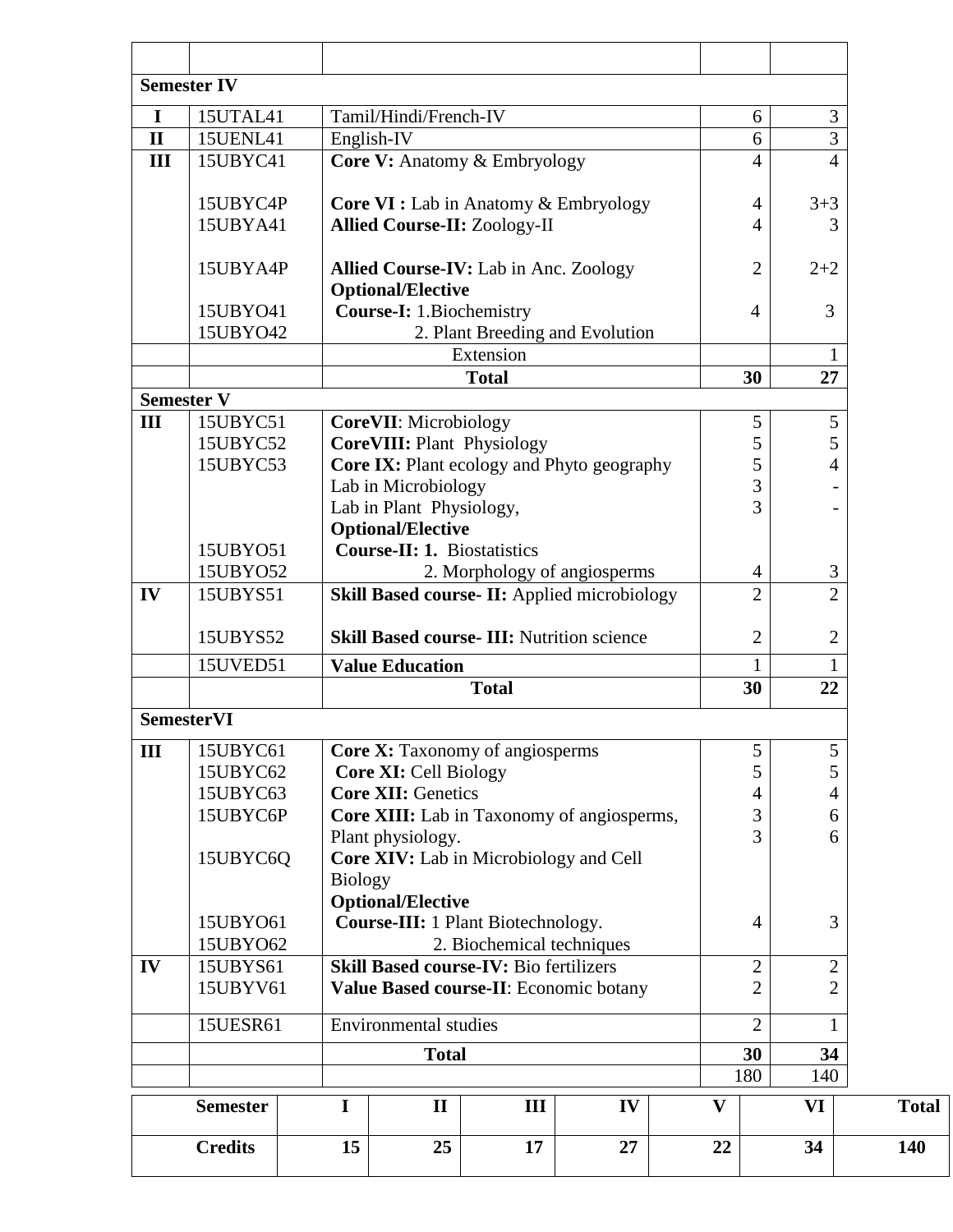|              | <b>Semester IV</b>   |                                          |                                                                                         |                                                   |    |  |                |                                |                                  |              |
|--------------|----------------------|------------------------------------------|-----------------------------------------------------------------------------------------|---------------------------------------------------|----|--|----------------|--------------------------------|----------------------------------|--------------|
|              |                      |                                          |                                                                                         |                                                   |    |  |                |                                |                                  |              |
| $\mathbf I$  | 15UTAL41             |                                          | Tamil/Hindi/French-IV                                                                   |                                                   |    |  |                | 6                              | 3<br>3                           |              |
| $\mathbf{I}$ | <b>15UENL41</b>      |                                          | English-IV                                                                              |                                                   |    |  |                | 6                              | $\overline{4}$                   |              |
| III          | 15UBYC41             |                                          |                                                                                         | <b>Core V:</b> Anatomy & Embryology               |    |  |                | $\overline{4}$                 |                                  |              |
|              | 15UBYC4P             |                                          |                                                                                         | <b>Core VI :</b> Lab in Anatomy & Embryology      |    |  |                | 4                              | $3 + 3$                          |              |
|              | 15UBYA41             |                                          |                                                                                         | <b>Allied Course-II: Zoology-II</b>               |    |  |                | 4                              | 3                                |              |
|              |                      |                                          |                                                                                         |                                                   |    |  |                |                                |                                  |              |
|              | 15UBYA4P             |                                          |                                                                                         | <b>Allied Course-IV:</b> Lab in Anc. Zoology      |    |  |                | $\overline{2}$                 | $2 + 2$                          |              |
|              |                      |                                          | <b>Optional/Elective</b>                                                                |                                                   |    |  |                |                                |                                  |              |
|              | 15UBY041             |                                          | <b>Course-I: 1. Biochemistry</b>                                                        |                                                   |    |  |                | 4                              | 3                                |              |
|              | 15UBY042             |                                          |                                                                                         | 2. Plant Breeding and Evolution                   |    |  |                |                                |                                  |              |
|              |                      |                                          |                                                                                         | Extension                                         |    |  |                |                                |                                  |              |
|              |                      |                                          |                                                                                         | <b>Total</b>                                      |    |  |                | 30                             | 27                               |              |
|              | <b>Semester V</b>    |                                          |                                                                                         |                                                   |    |  |                |                                |                                  |              |
| III          | 15UBYC51             |                                          | <b>CoreVII:</b> Microbiology                                                            |                                                   |    |  |                | 5                              | 5                                |              |
|              | 15UBYC52             |                                          | <b>CoreVIII: Plant Physiology</b>                                                       |                                                   |    |  |                | 5                              | 5                                |              |
|              | 15UBYC53             |                                          | Lab in Microbiology                                                                     | Core IX: Plant ecology and Phyto geography        |    |  |                | 5<br>3                         | $\overline{4}$                   |              |
|              |                      |                                          | Lab in Plant Physiology,                                                                |                                                   |    |  |                | 3                              |                                  |              |
|              |                      |                                          | <b>Optional/Elective</b>                                                                |                                                   |    |  |                |                                |                                  |              |
|              | 15UBY051             |                                          | <b>Course-II: 1. Biostatistics</b>                                                      |                                                   |    |  |                |                                |                                  |              |
|              | 15UBY052             |                                          |                                                                                         | 2. Morphology of angiosperms                      |    |  |                | $\overline{4}$                 | 3                                |              |
| IV           | 15UBYS51             |                                          |                                                                                         | Skill Based course- II: Applied microbiology      |    |  |                | $\overline{2}$                 | $\overline{2}$                   |              |
|              |                      |                                          |                                                                                         |                                                   |    |  |                |                                |                                  |              |
|              | 15UBYS52             |                                          |                                                                                         | <b>Skill Based course- III: Nutrition science</b> |    |  |                | $\overline{2}$                 | $\overline{2}$                   |              |
|              | 15UVED51             |                                          | <b>Value Education</b>                                                                  |                                                   |    |  |                | 1                              |                                  |              |
|              |                      |                                          |                                                                                         | <b>Total</b>                                      |    |  |                | 30                             | 22                               |              |
|              | <b>SemesterVI</b>    |                                          |                                                                                         |                                                   |    |  |                |                                |                                  |              |
| III          | 15UBYC61             |                                          |                                                                                         | <b>Core X:</b> Taxonomy of angiosperms            |    |  |                | 5                              | 5                                |              |
|              | 15UBYC62             |                                          | <b>Core XI: Cell Biology</b>                                                            |                                                   |    |  |                | 5                              | 5                                |              |
|              | 15UBYC63             |                                          | <b>Core XII: Genetics</b>                                                               |                                                   |    |  |                | $\overline{4}$                 | $\overline{4}$                   |              |
|              | 15UBYC6P             |                                          |                                                                                         | <b>Core XIII:</b> Lab in Taxonomy of angiosperms, |    |  |                | 3                              | 6                                |              |
|              |                      |                                          | Plant physiology.                                                                       |                                                   |    |  |                | 3                              | 6                                |              |
|              | 15UBYC6O             |                                          |                                                                                         | Core XIV: Lab in Microbiology and Cell            |    |  |                |                                |                                  |              |
|              |                      | <b>Biology</b>                           |                                                                                         |                                                   |    |  |                |                                |                                  |              |
|              |                      |                                          | <b>Optional/Elective</b>                                                                |                                                   |    |  |                |                                |                                  |              |
|              | 15UBY061             |                                          | <b>Course-III:</b> 1 Plant Biotechnology.                                               |                                                   |    |  |                |                                | 3                                |              |
|              | 15UBY062             |                                          | 2. Biochemical techniques                                                               |                                                   |    |  |                |                                |                                  |              |
| IV           | 15UBYS61<br>15UBYV61 |                                          | <b>Skill Based course-IV: Bio fertilizers</b><br>Value Based course-II: Economic botany |                                                   |    |  |                | $\mathbf{2}$<br>$\overline{2}$ | $\overline{2}$<br>$\overline{2}$ |              |
|              |                      |                                          |                                                                                         |                                                   |    |  |                |                                |                                  |              |
|              |                      | <b>Environmental studies</b><br>15UESR61 |                                                                                         |                                                   |    |  | $\overline{2}$ |                                |                                  |              |
|              |                      |                                          | <b>Total</b>                                                                            |                                                   |    |  |                | 30                             | 34                               |              |
|              |                      |                                          |                                                                                         |                                                   |    |  | 180            |                                | 140                              |              |
|              | <b>Semester</b>      | I                                        | $\mathbf{I}$                                                                            | III                                               | IV |  | V              |                                | VI                               | <b>Total</b> |
|              | <b>Credits</b>       | 15                                       | 25                                                                                      | 17                                                | 27 |  | 22             |                                | 34                               | 140          |
|              |                      |                                          |                                                                                         |                                                   |    |  |                |                                |                                  |              |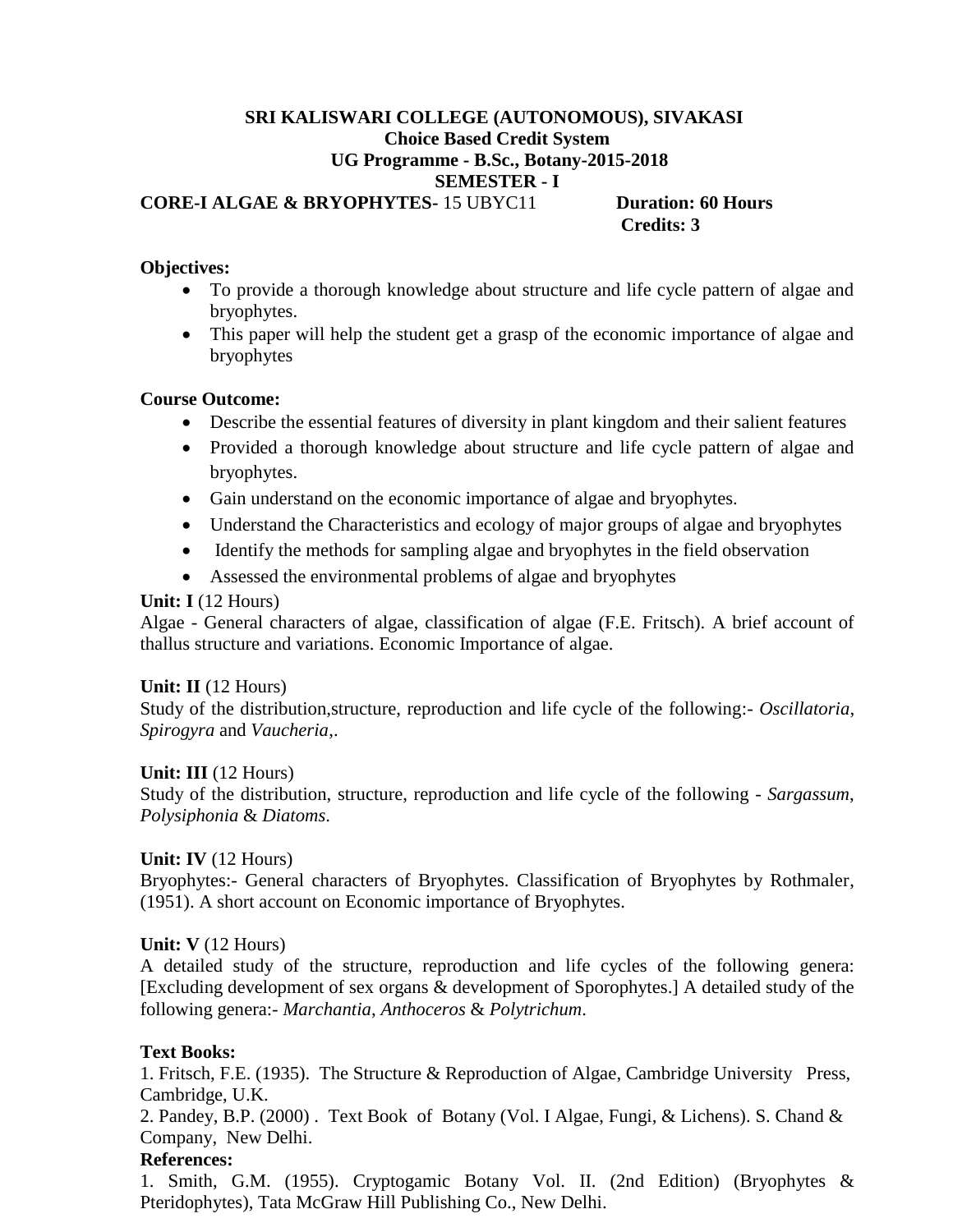#### **SRI KALISWARI COLLEGE (AUTONOMOUS), SIVAKASI Choice Based Credit System UG Programme - B.Sc., Botany-2015-2018 SEMESTER - I CORE-I ALGAE & BRYOPHYTES-** 15 UBYC11 **Duration: 60 Hours Credits: 3**

# **Objectives:**

- To provide a thorough knowledge about structure and life cycle pattern of algae and bryophytes.
- This paper will help the student get a grasp of the economic importance of algae and bryophytes

### **Course Outcome:**

- Describe the essential features of diversity in plant kingdom and their salient features
- Provided a thorough knowledge about structure and life cycle pattern of algae and bryophytes.
- Gain understand on the economic importance of algae and bryophytes.
- Understand the Characteristics and ecology of major groups of algae and bryophytes
- Identify the methods for sampling algae and bryophytes in the field observation
- Assessed the environmental problems of algae and bryophytes

### **Unit: I** (12 Hours)

Algae - General characters of algae, classification of algae (F.E. Fritsch). A brief account of thallus structure and variations. Economic Importance of algae.

#### **Unit: II** (12 Hours)

Study of the distribution,structure, reproduction and life cycle of the following:- *Oscillatoria*, *Spirogyra* and *Vaucheria*,.

#### **Unit: III** (12 Hours)

Study of the distribution, structure, reproduction and life cycle of the following - *Sargassum*, *Polysiphonia* & *Diatoms*.

#### **Unit: IV** (12 Hours)

Bryophytes:- General characters of Bryophytes. Classification of Bryophytes by Rothmaler, (1951). A short account on Economic importance of Bryophytes.

#### **Unit: V** (12 Hours)

A detailed study of the structure, reproduction and life cycles of the following genera: [Excluding development of sex organs & development of Sporophytes.] A detailed study of the following genera:- *Marchantia*, *Anthoceros* & *Polytrichum*.

#### **Text Books:**

1. Fritsch, F.E. (1935). The Structure & Reproduction of Algae, Cambridge University Press, Cambridge, U.K.

2. Pandey, B.P. (2000) . Text Book of Botany (Vol. I Algae, Fungi, & Lichens). S. Chand & Company, New Delhi.

#### **References:**

1. Smith, G.M. (1955). Cryptogamic Botany Vol. II. (2nd Edition) (Bryophytes & Pteridophytes), Tata McGraw Hill Publishing Co., New Delhi.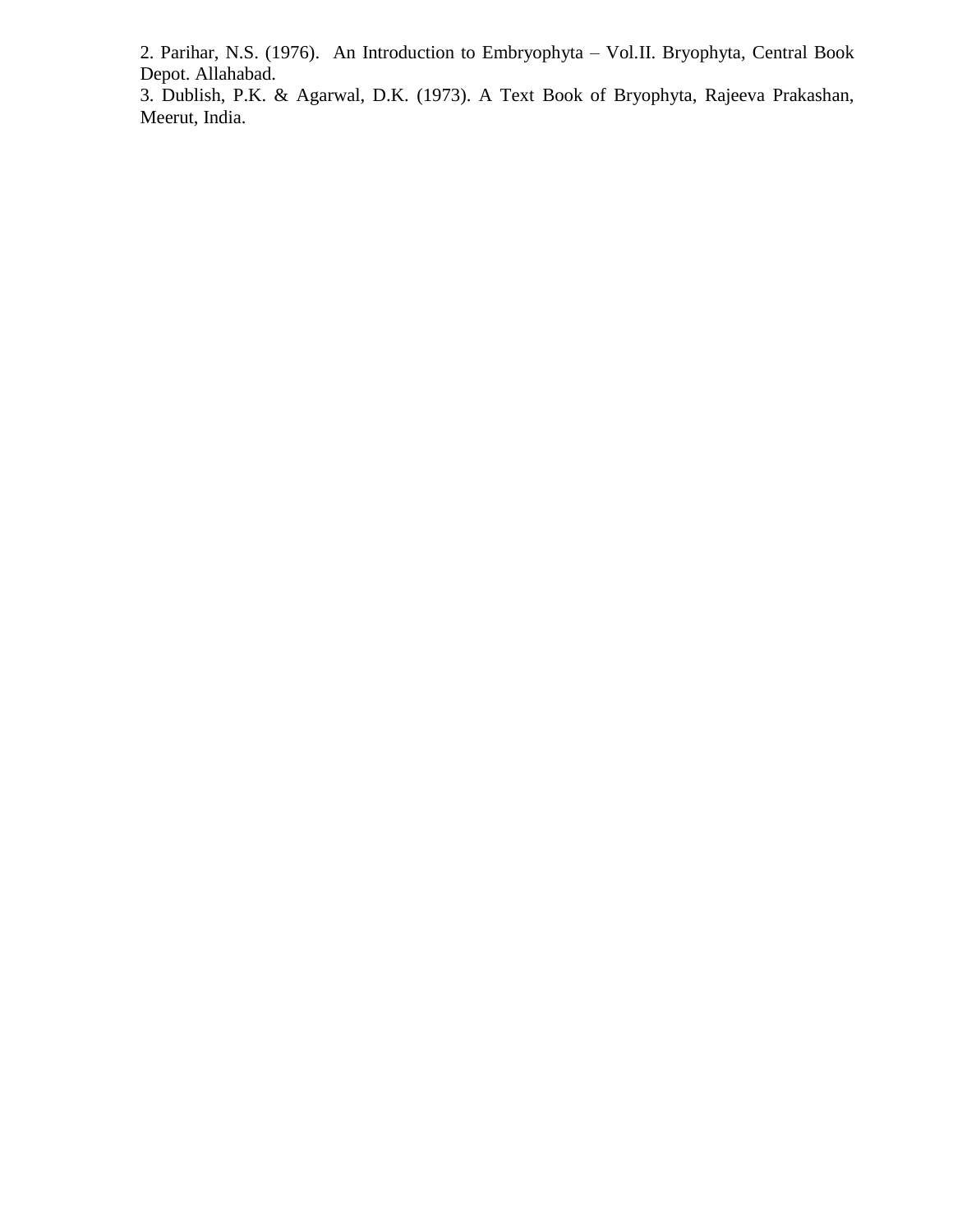2. Parihar, N.S. (1976). An Introduction to Embryophyta – Vol.II. Bryophyta, Central Book Depot. Allahabad.

3. Dublish, P.K. & Agarwal, D.K. (1973). A Text Book of Bryophyta, Rajeeva Prakashan, Meerut, India.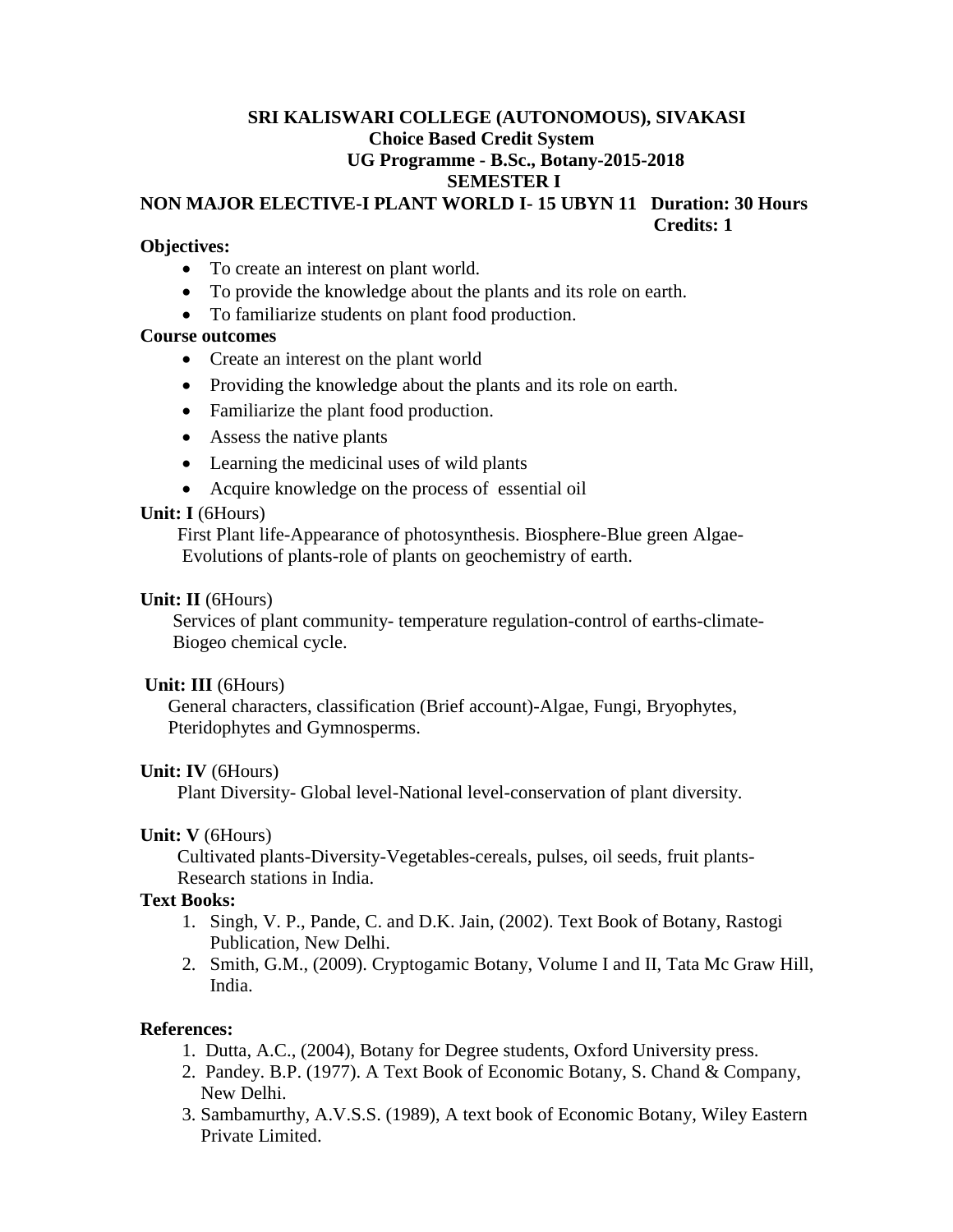# **SRI KALISWARI COLLEGE (AUTONOMOUS), SIVAKASI Choice Based Credit System UG Programme - B.Sc., Botany-2015-2018 SEMESTER I**

# **NON MAJOR ELECTIVE-I PLANT WORLD I- 15 UBYN 11 Duration: 30 Hours Credits: 1**

#### **Objectives:**

- To create an interest on plant world.
- To provide the knowledge about the plants and its role on earth.
- To familiarize students on plant food production.

#### **Course outcomes**

- Create an interest on the plant world
- Providing the knowledge about the plants and its role on earth.
- Familiarize the plant food production.
- Assess the native plants
- Learning the medicinal uses of wild plants
- Acquire knowledge on the process of essential oil

#### **Unit: I** (6Hours)

 First Plant life-Appearance of photosynthesis. Biosphere-Blue green Algae- Evolutions of plants-role of plants on geochemistry of earth.

#### **Unit: II** (6Hours)

 Services of plant community- temperature regulation-control of earths-climate- Biogeo chemical cycle.

#### **Unit: III** (6Hours)

 General characters, classification (Brief account)-Algae, Fungi, Bryophytes, Pteridophytes and Gymnosperms.

#### **Unit: IV** (6Hours)

Plant Diversity- Global level-National level-conservation of plant diversity.

#### **Unit: V** (6Hours)

 Cultivated plants-Diversity-Vegetables-cereals, pulses, oil seeds, fruit plants- Research stations in India.

#### **Text Books:**

- 1. Singh, V. P., Pande, C. and D.K. Jain, (2002). Text Book of Botany, Rastogi Publication, New Delhi.
- 2. Smith, G.M., (2009). Cryptogamic Botany, Volume I and II, Tata Mc Graw Hill, India.

#### **References:**

- 1. Dutta, A.C., (2004), Botany for Degree students, Oxford University press.
- 2. Pandey. B.P. (1977). A Text Book of Economic Botany, S. Chand & Company, New Delhi.
- 3. Sambamurthy, A.V.S.S. (1989), A text book of Economic Botany, Wiley Eastern Private Limited.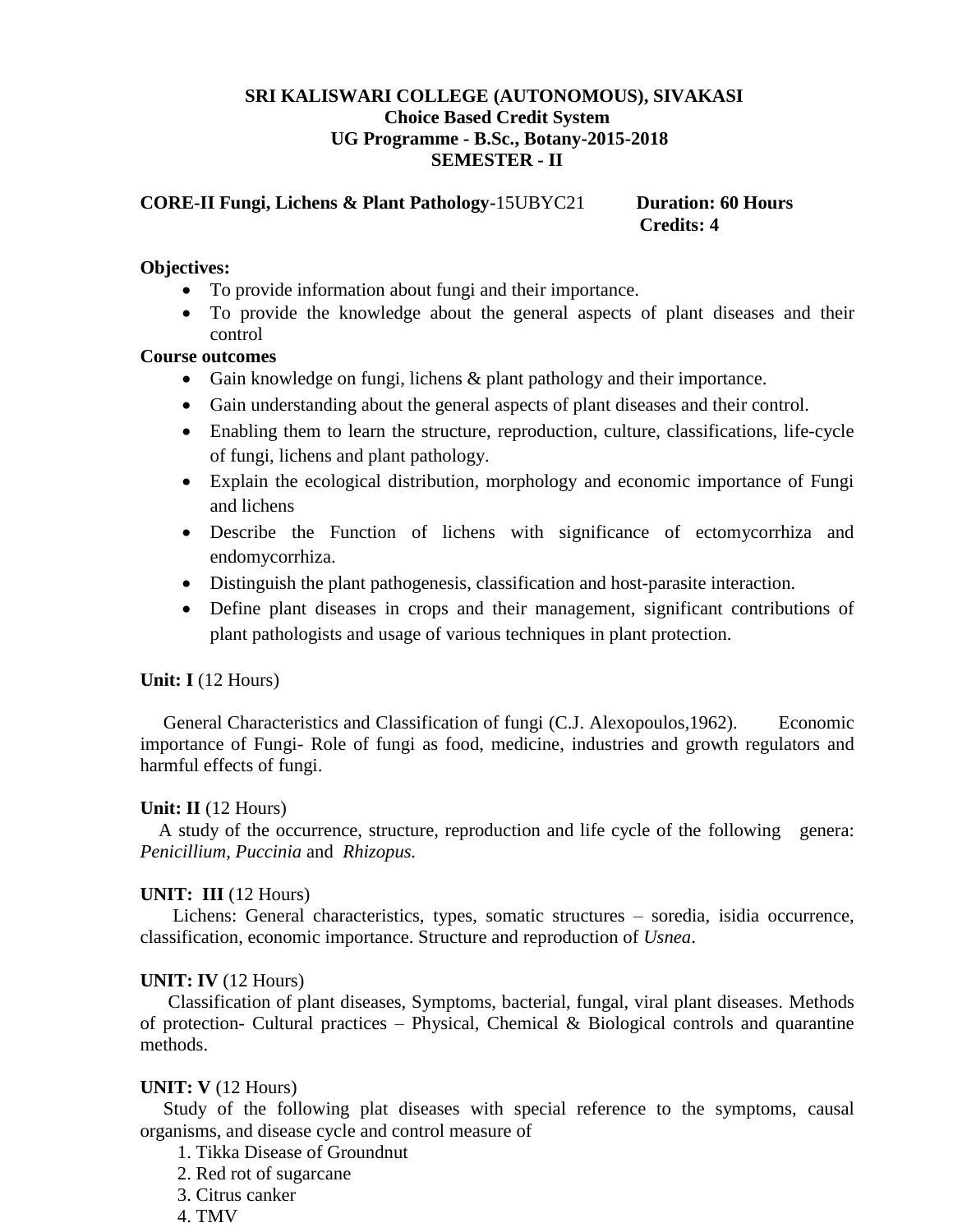#### **SRI KALISWARI COLLEGE (AUTONOMOUS), SIVAKASI Choice Based Credit System UG Programme - B.Sc., Botany-2015-2018 SEMESTER - II**

**CORE-II Fungi, Lichens & Plant Pathology-**15UBYC21 **Duration: 60 Hours Credits: 4**

#### **Objectives:**

- To provide information about fungi and their importance.
- To provide the knowledge about the general aspects of plant diseases and their control

#### **Course outcomes**

- Gain knowledge on fungi, lichens & plant pathology and their importance.
- Gain understanding about the general aspects of plant diseases and their control.
- Enabling them to learn the structure, reproduction, culture, classifications, life-cycle of fungi, lichens and plant pathology.
- Explain the ecological distribution, morphology and economic importance of Fungi and lichens
- Describe the Function of lichens with significance of ectomycorrhiza and endomycorrhiza.
- Distinguish the plant pathogenesis, classification and host-parasite interaction.
- Define plant diseases in crops and their management, significant contributions of plant pathologists and usage of various techniques in plant protection.

# **Unit: I** (12 Hours)

 General Characteristics and Classification of fungi (C.J. Alexopoulos,1962). Economic importance of Fungi- Role of fungi as food, medicine, industries and growth regulators and harmful effects of fungi.

#### **Unit: II** (12 Hours)

 A study of the occurrence, structure, reproduction and life cycle of the following genera: *Penicillium, Puccinia* and *Rhizopus.*

#### **UNIT: III** (12 Hours)

 Lichens: General characteristics, types, somatic structures – soredia, isidia occurrence, classification, economic importance. Structure and reproduction of *Usnea*.

#### **UNIT: IV** (12 Hours)

Classification of plant diseases, Symptoms, bacterial, fungal, viral plant diseases. Methods of protection- Cultural practices – Physical, Chemical & Biological controls and quarantine methods.

#### **UNIT: V** (12 Hours)

 Study of the following plat diseases with special reference to the symptoms, causal organisms, and disease cycle and control measure of

- 1. Tikka Disease of Groundnut
- 2. Red rot of sugarcane
- 3. Citrus canker
- 4. TMV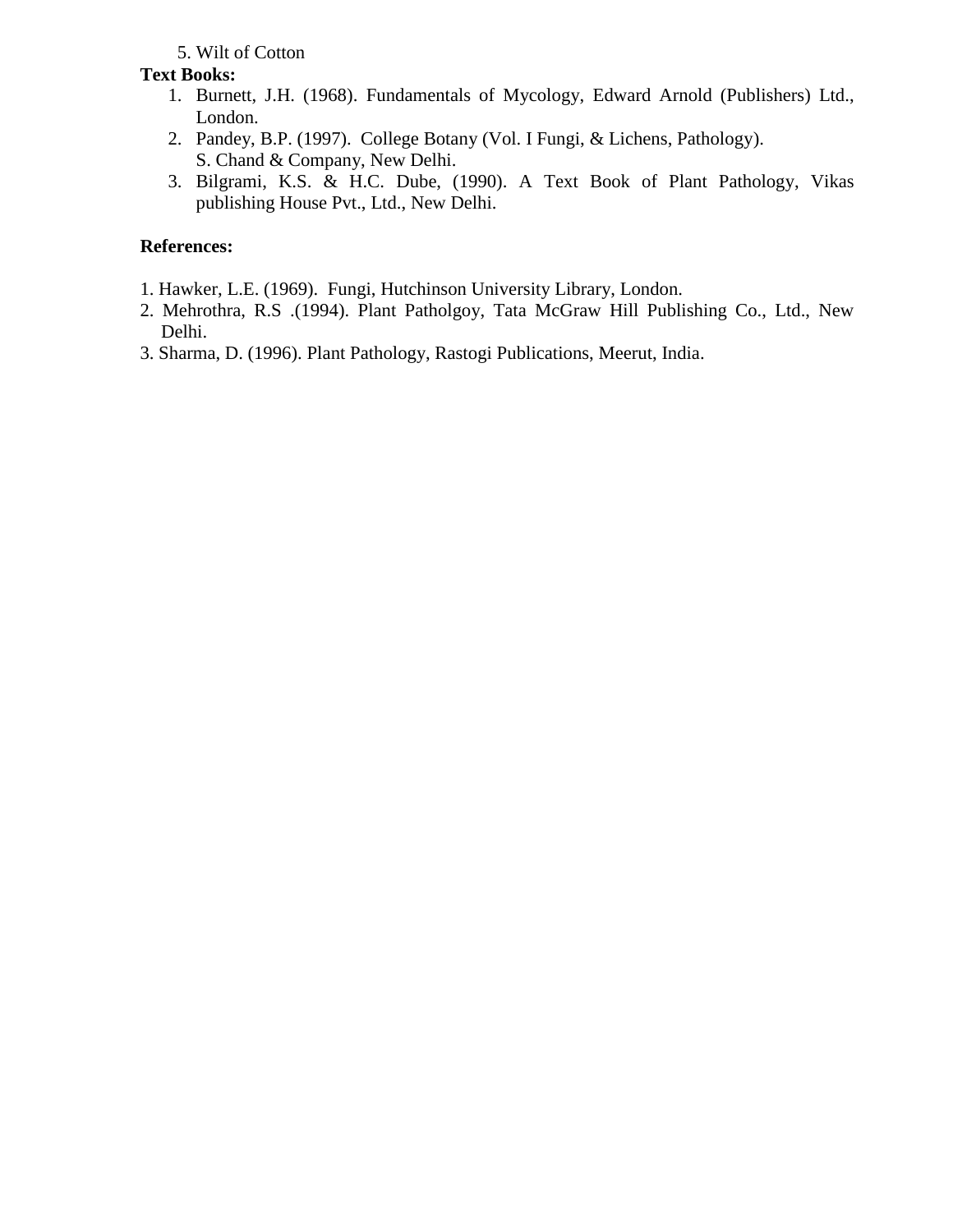# 5. Wilt of Cotton

# **Text Books:**

- 1. Burnett, J.H. (1968). Fundamentals of Mycology, Edward Arnold (Publishers) Ltd., London.
- 2. Pandey, B.P. (1997). College Botany (Vol. I Fungi, & Lichens, Pathology). S. Chand & Company, New Delhi.
- 3. Bilgrami, K.S. & H.C. Dube, (1990). A Text Book of Plant Pathology, Vikas publishing House Pvt., Ltd., New Delhi.

# **References:**

- 1. Hawker, L.E. (1969). Fungi, Hutchinson University Library, London.
- 2. Mehrothra, R.S .(1994). Plant Patholgoy, Tata McGraw Hill Publishing Co., Ltd., New Delhi.
- 3. Sharma, D. (1996). Plant Pathology, Rastogi Publications, Meerut, India.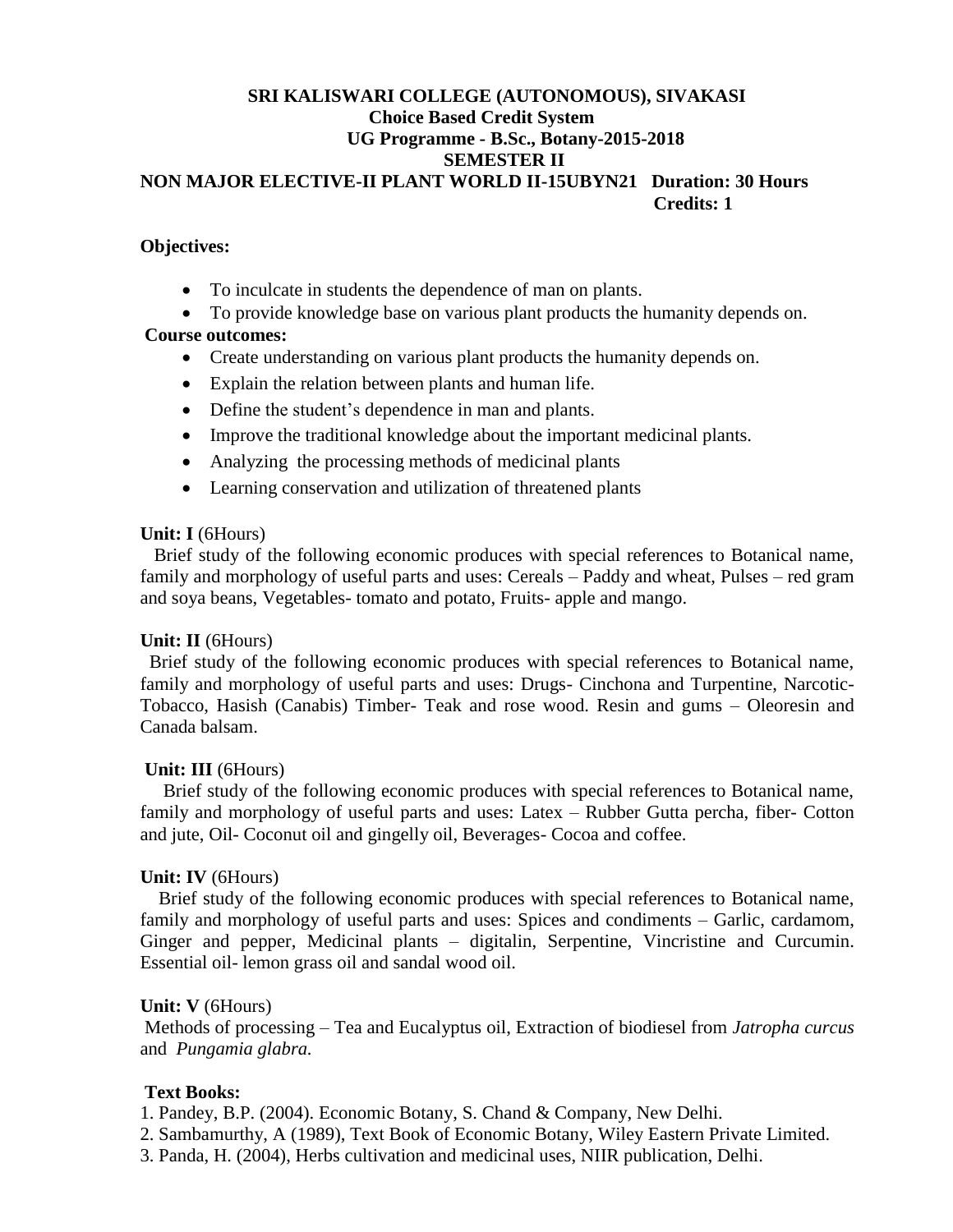#### **SRI KALISWARI COLLEGE (AUTONOMOUS), SIVAKASI Choice Based Credit System UG Programme - B.Sc., Botany-2015-2018 SEMESTER II NON MAJOR ELECTIVE-II PLANT WORLD II-15UBYN21 Duration: 30 Hours Credits: 1**

#### **Objectives:**

To inculcate in students the dependence of man on plants.

 To provide knowledge base on various plant products the humanity depends on. **Course outcomes:**

- Create understanding on various plant products the humanity depends on.
- Explain the relation between plants and human life.
- Define the student's dependence in man and plants.
- Improve the traditional knowledge about the important medicinal plants.
- Analyzing the processing methods of medicinal plants
- Learning conservation and utilization of threatened plants

#### **Unit: I** (6Hours)

 Brief study of the following economic produces with special references to Botanical name, family and morphology of useful parts and uses: Cereals – Paddy and wheat, Pulses – red gram and soya beans, Vegetables- tomato and potato, Fruits- apple and mango.

#### **Unit: II** (6Hours)

 Brief study of the following economic produces with special references to Botanical name, family and morphology of useful parts and uses: Drugs- Cinchona and Turpentine, Narcotic-Tobacco, Hasish (Canabis) Timber- Teak and rose wood. Resin and gums – Oleoresin and Canada balsam.

#### **Unit: III** (6Hours)

 Brief study of the following economic produces with special references to Botanical name, family and morphology of useful parts and uses: Latex – Rubber Gutta percha, fiber- Cotton and jute, Oil- Coconut oil and gingelly oil, Beverages- Cocoa and coffee.

#### **Unit: IV** (6Hours)

Brief study of the following economic produces with special references to Botanical name, family and morphology of useful parts and uses: Spices and condiments – Garlic, cardamom, Ginger and pepper, Medicinal plants – digitalin, Serpentine, Vincristine and Curcumin. Essential oil- lemon grass oil and sandal wood oil.

#### **Unit: V** (6Hours)

Methods of processing – Tea and Eucalyptus oil, Extraction of biodiesel from *Jatropha curcus* and *Pungamia glabra.*

#### **Text Books:**

1. Pandey, B.P. (2004). Economic Botany, S. Chand & Company, New Delhi.

- 2. Sambamurthy, A (1989), Text Book of Economic Botany, Wiley Eastern Private Limited.
- 3. Panda, H. (2004), Herbs cultivation and medicinal uses, NIIR publication, Delhi.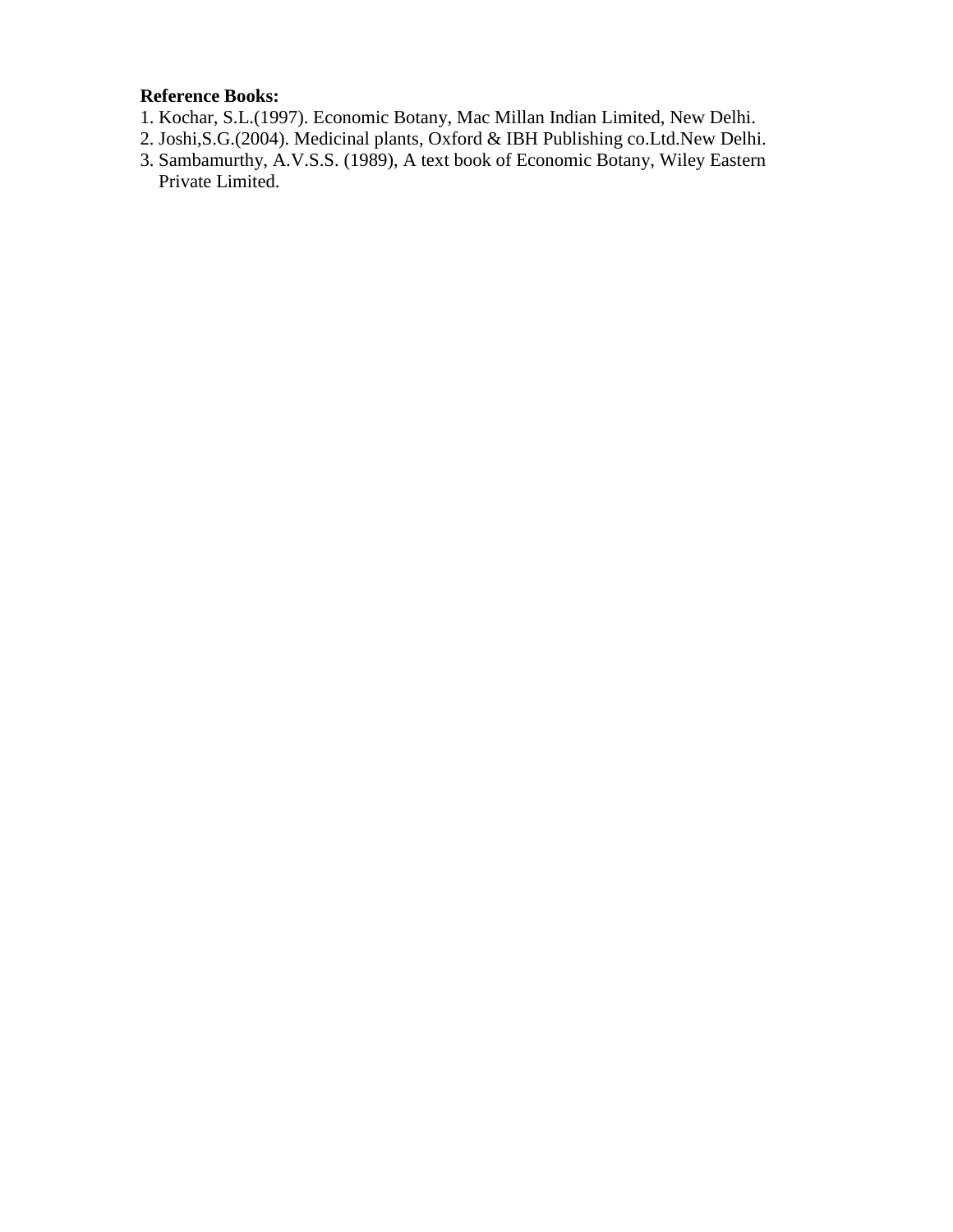# **Reference Books:**

- 1. Kochar, S.L.(1997). Economic Botany, Mac Millan Indian Limited, New Delhi.
- 2. Joshi,S.G.(2004). Medicinal plants, Oxford & IBH Publishing co.Ltd.New Delhi.
- 3. Sambamurthy, A.V.S.S. (1989), A text book of Economic Botany, Wiley Eastern Private Limited.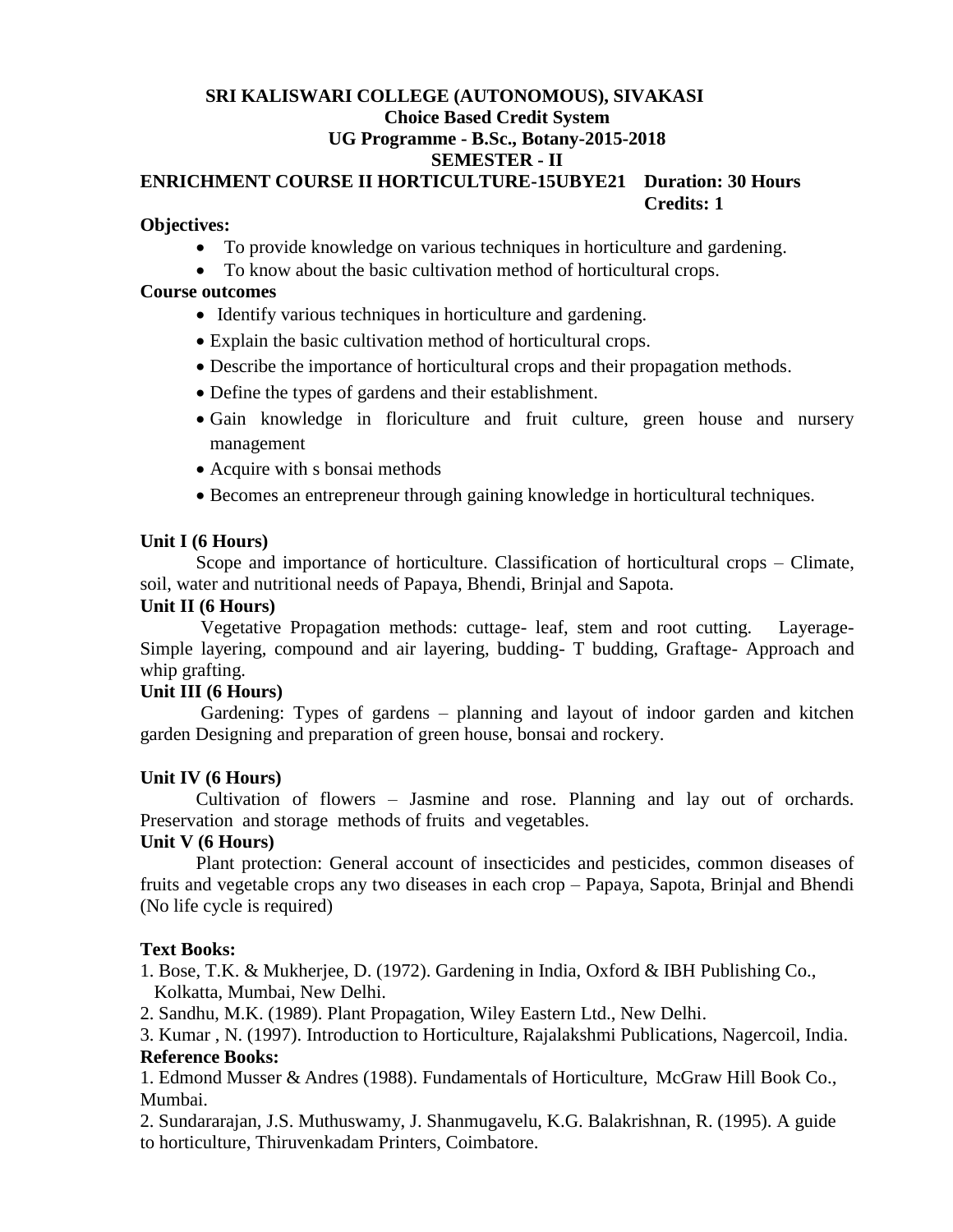# **SRI KALISWARI COLLEGE (AUTONOMOUS), SIVAKASI Choice Based Credit System UG Programme - B.Sc., Botany-2015-2018 SEMESTER - II**

#### **ENRICHMENT COURSE II HORTICULTURE-15UBYE21 Duration: 30 Hours Credits: 1**

### **Objectives:**

- To provide knowledge on various techniques in horticulture and gardening.
- To know about the basic cultivation method of horticultural crops.

#### **Course outcomes**

- Identify various techniques in horticulture and gardening.
- Explain the basic cultivation method of horticultural crops.
- Describe the importance of horticultural crops and their propagation methods.
- Define the types of gardens and their establishment.
- Gain knowledge in floriculture and fruit culture, green house and nursery management
- Acquire with s bonsai methods
- Becomes an entrepreneur through gaining knowledge in horticultural techniques.

# **Unit I (6 Hours)**

Scope and importance of horticulture. Classification of horticultural crops – Climate, soil, water and nutritional needs of Papaya, Bhendi, Brinjal and Sapota.

### **Unit II (6 Hours)**

Vegetative Propagation methods: cuttage- leaf, stem and root cutting. Layerage-Simple layering, compound and air layering, budding- T budding, Graftage- Approach and whip grafting.

# **Unit III (6 Hours)**

Gardening: Types of gardens – planning and layout of indoor garden and kitchen garden Designing and preparation of green house, bonsai and rockery.

# **Unit IV (6 Hours)**

Cultivation of flowers – Jasmine and rose. Planning and lay out of orchards. Preservation and storage methods of fruits and vegetables.

# **Unit V (6 Hours)**

Plant protection: General account of insecticides and pesticides, common diseases of fruits and vegetable crops any two diseases in each crop – Papaya, Sapota, Brinjal and Bhendi (No life cycle is required)

# **Text Books:**

1. Bose, T.K. & Mukherjee, D. (1972). Gardening in India, Oxford & IBH Publishing Co., Kolkatta, Mumbai, New Delhi.

2. Sandhu, M.K. (1989). Plant Propagation, Wiley Eastern Ltd., New Delhi.

3. Kumar , N. (1997). Introduction to Horticulture, Rajalakshmi Publications, Nagercoil, India. **Reference Books:**

1. Edmond Musser & Andres (1988). Fundamentals of Horticulture, McGraw Hill Book Co., Mumbai.

2. Sundararajan, J.S. Muthuswamy, J. Shanmugavelu, K.G. Balakrishnan, R. (1995). A guide to horticulture, Thiruvenkadam Printers, Coimbatore.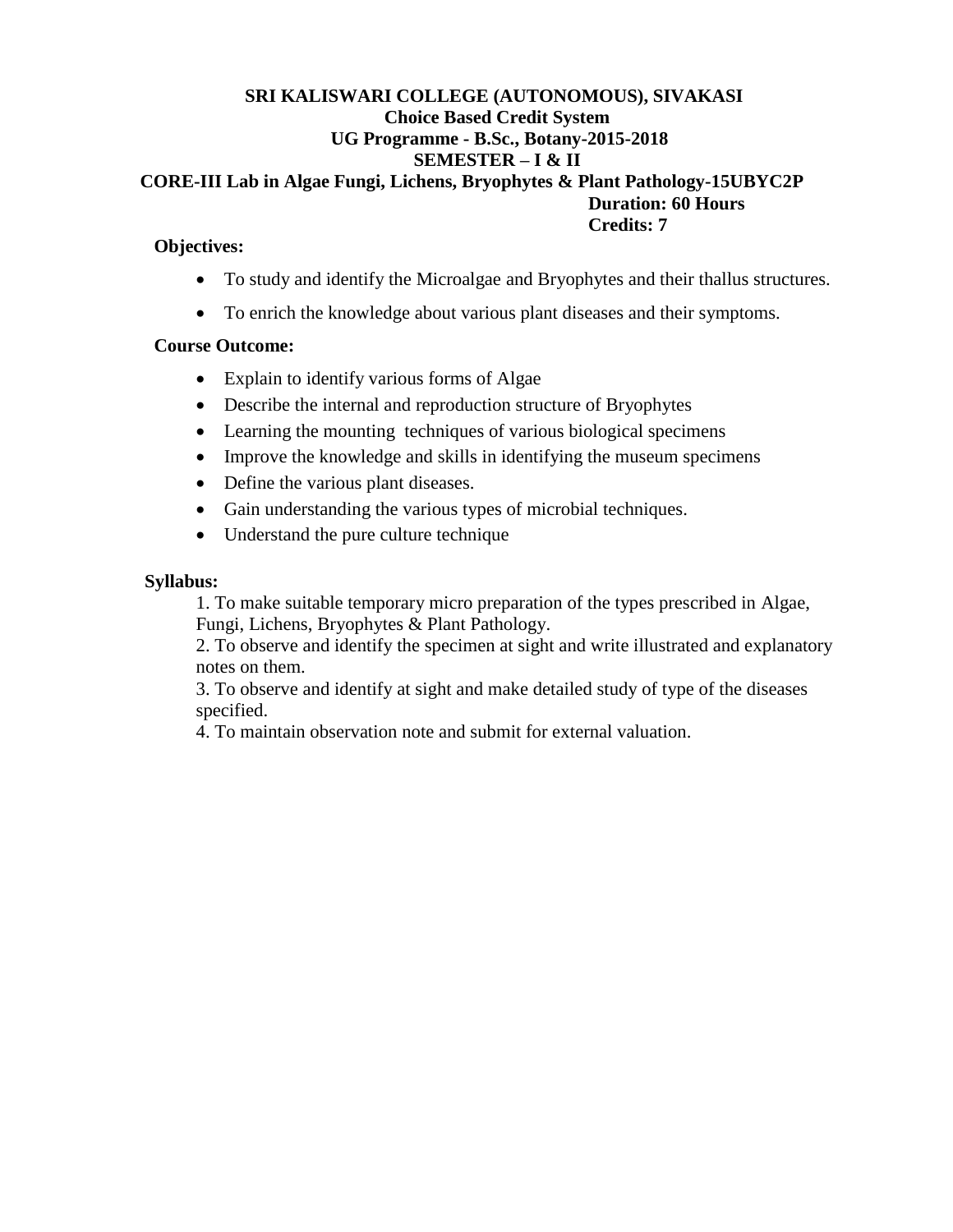#### **SRI KALISWARI COLLEGE (AUTONOMOUS), SIVAKASI Choice Based Credit System UG Programme - B.Sc., Botany-2015-2018 SEMESTER – I & II CORE-III Lab in Algae Fungi, Lichens, Bryophytes & Plant Pathology-15UBYC2P Duration: 60 Hours Credits: 7**

#### **Objectives:**

- To study and identify the Microalgae and Bryophytes and their thallus structures.
- To enrich the knowledge about various plant diseases and their symptoms.

### **Course Outcome:**

- Explain to identify various forms of Algae
- Describe the internal and reproduction structure of Bryophytes
- Learning the mounting techniques of various biological specimens
- Improve the knowledge and skills in identifying the museum specimens
- Define the various plant diseases.
- Gain understanding the various types of microbial techniques.
- Understand the pure culture technique

### **Syllabus:**

1. To make suitable temporary micro preparation of the types prescribed in Algae, Fungi, Lichens, Bryophytes & Plant Pathology.

2. To observe and identify the specimen at sight and write illustrated and explanatory notes on them.

3. To observe and identify at sight and make detailed study of type of the diseases specified.

4. To maintain observation note and submit for external valuation.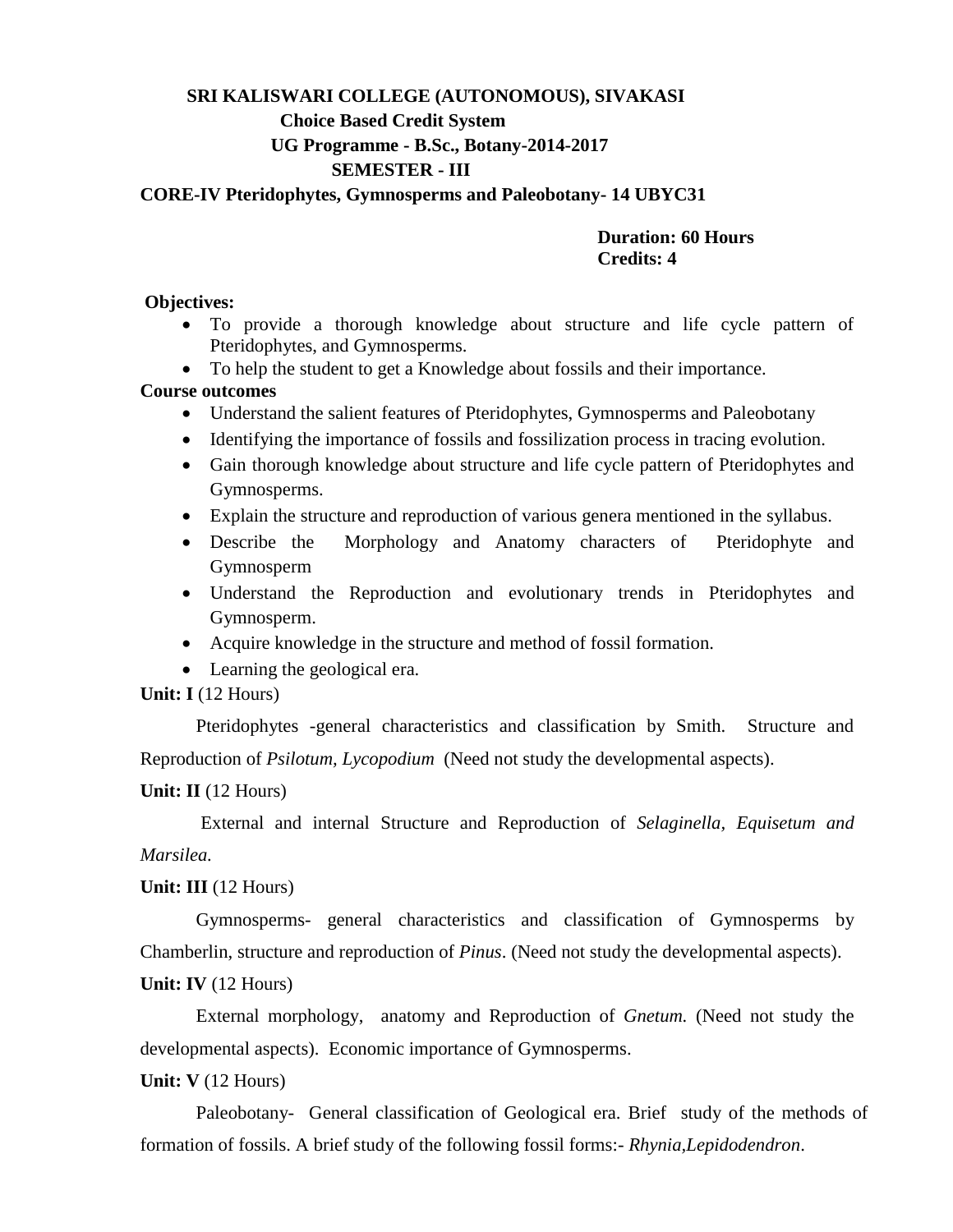# **SRI KALISWARI COLLEGE (AUTONOMOUS), SIVAKASI Choice Based Credit System UG Programme - B.Sc., Botany-2014-2017 SEMESTER - III**

#### **CORE-IV Pteridophytes, Gymnosperms and Paleobotany- 14 UBYC31**

#### **Duration: 60 Hours Credits: 4**

#### **Objectives:**

- To provide a thorough knowledge about structure and life cycle pattern of Pteridophytes, and Gymnosperms.
- To help the student to get a Knowledge about fossils and their importance.

#### **Course outcomes**

- Understand the salient features of Pteridophytes, Gymnosperms and Paleobotany
- Identifying the importance of fossils and fossilization process in tracing evolution.
- Gain thorough knowledge about structure and life cycle pattern of Pteridophytes and Gymnosperms.
- Explain the structure and reproduction of various genera mentioned in the syllabus.
- Describe the Morphology and Anatomy characters of Pteridophyte and Gymnosperm
- Understand the Reproduction and evolutionary trends in Pteridophytes and Gymnosperm.
- Acquire knowledge in the structure and method of fossil formation.
- Learning the geological era.

#### **Unit: I** (12 Hours)

Pteridophytes -general characteristics and classification by Smith. Structure and Reproduction of *Psilotum, Lycopodium* (Need not study the developmental aspects).

#### **Unit: II** (12 Hours)

External and internal Structure and Reproduction of *Selaginella, Equisetum and Marsilea.*

#### **Unit: III** (12 Hours)

Gymnosperms- general characteristics and classification of Gymnosperms by Chamberlin, structure and reproduction of *Pinus*. (Need not study the developmental aspects).

#### **Unit: IV** (12 Hours)

External morphology, anatomy and Reproduction of *Gnetum.* (Need not study the developmental aspects). Economic importance of Gymnosperms.

#### **Unit: V** (12 Hours)

Paleobotany- General classification of Geological era. Brief study of the methods of formation of fossils. A brief study of the following fossil forms:- *Rhynia,Lepidodendron*.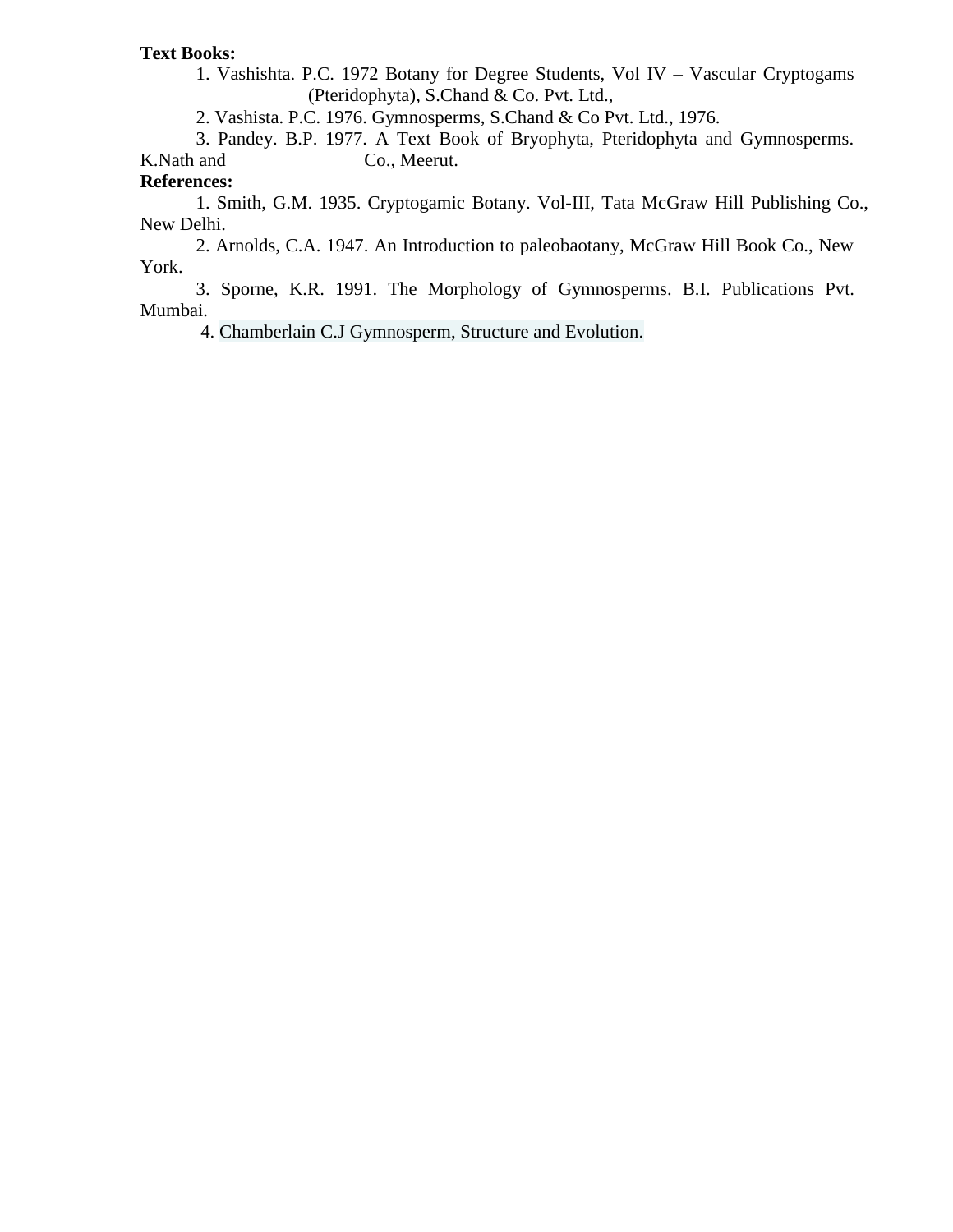#### **Text Books:**

1. Vashishta. P.C. 1972 Botany for Degree Students, Vol IV – Vascular Cryptogams (Pteridophyta), S.Chand & Co. Pvt. Ltd.,

2. Vashista. P.C. 1976. Gymnosperms, S.Chand & Co Pvt. Ltd., 1976.

3. Pandey. B.P. 1977. A Text Book of Bryophyta, Pteridophyta and Gymnosperms. K. Nath and Co., Meerut.

# **References:**

1. Smith, G.M. 1935. Cryptogamic Botany. Vol-III, Tata McGraw Hill Publishing Co., New Delhi.

2. Arnolds, C.A. 1947. An Introduction to paleobaotany, McGraw Hill Book Co., New York.

3. Sporne, K.R. 1991. The Morphology of Gymnosperms. B.I. Publications Pvt. Mumbai.

4. Chamberlain C.J Gymnosperm, Structure and Evolution.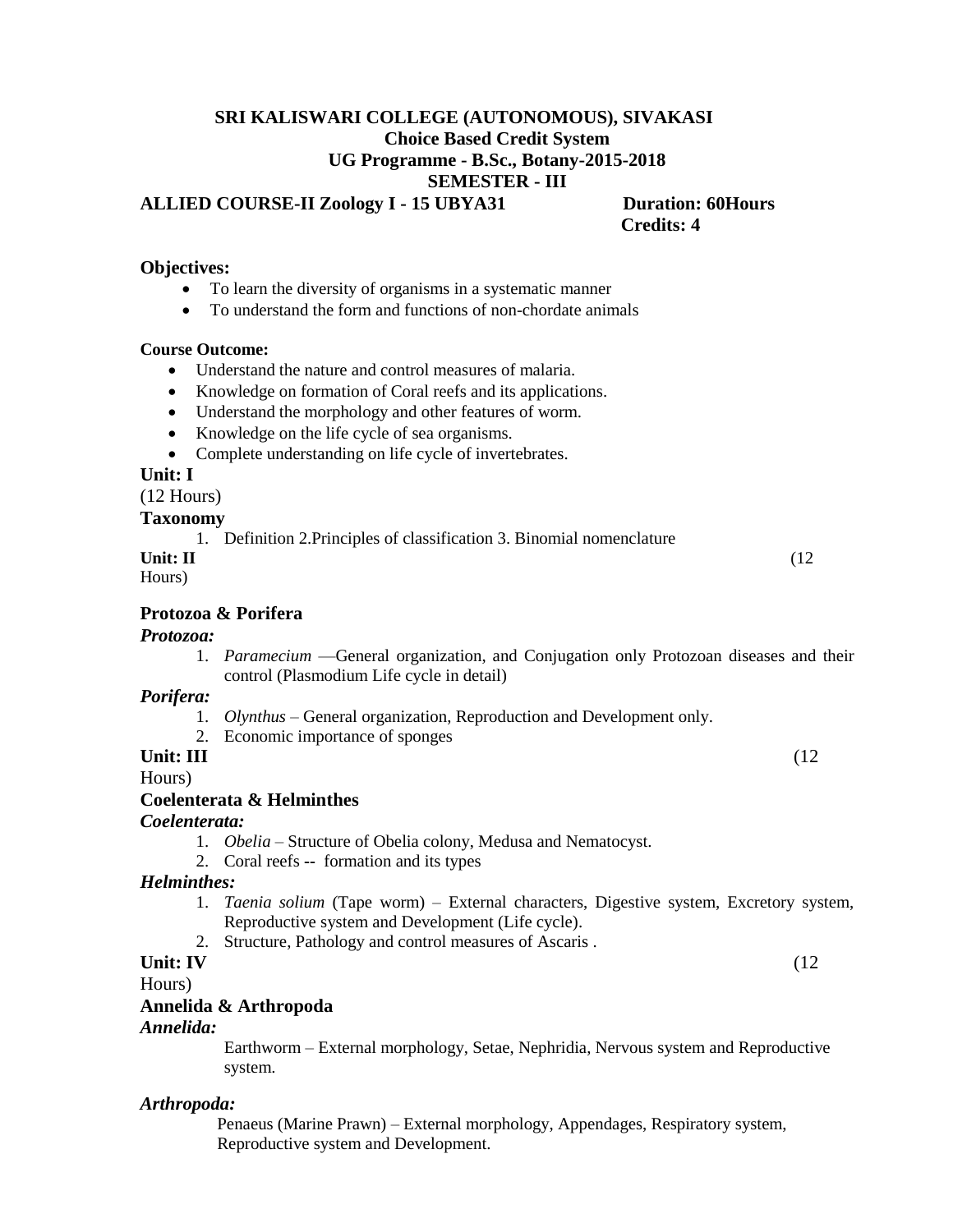# **SRI KALISWARI COLLEGE (AUTONOMOUS), SIVAKASI Choice Based Credit System UG Programme - B.Sc., Botany-2015-2018 SEMESTER - III**

**ALLIED COURSE-II Zoology I - 15 UBYA31 Duration: 60Hours** 

 **Credits: 4** 

#### **Objectives:**

- To learn the diversity of organisms in a systematic manner
- To understand the form and functions of non-chordate animals

#### **Course Outcome:**

- Understand the nature and control measures of malaria.
- Knowledge on formation of Coral reefs and its applications.
- Understand the morphology and other features of worm.
- Knowledge on the life cycle of sea organisms.
- Complete understanding on life cycle of invertebrates.

#### **Unit: I**

(12 Hours)

#### **Taxonomy**

1. Definition 2.Principles of classification 3. Binomial nomenclature

| Unit: II | (12) |
|----------|------|
| Hours)   |      |

#### **Protozoa & Porifera**

#### *Protozoa:*

1. *Paramecium* —General organization, and Conjugation only Protozoan diseases and their control (Plasmodium Life cycle in detail)

#### *Porifera:*

- 1. *Olynthus* General organization, Reproduction and Development only.
- 2. Economic importance of sponges

# **Unit: III** (12)

Hours)

#### **Coelenterata & Helminthes**

#### *Coelenterata:*

- 1. *Obelia* Structure of Obelia colony, Medusa and Nematocyst.
- 2. Coral reefs **--** formation and its types

#### *Helminthes:*

- 1. *Taenia solium* (Tape worm) External characters, Digestive system, Excretory system, Reproductive system and Development (Life cycle).
- 2. Structure, Pathology and control measures of Ascaris .

# **Unit: IV** (12)

Hours)

#### **Annelida & Arthropoda**

#### *Annelida:*

Earthworm – External morphology, Setae, Nephridia, Nervous system and Reproductive system.

#### *Arthropoda:*

Penaeus (Marine Prawn) – External morphology, Appendages, Respiratory system, Reproductive system and Development.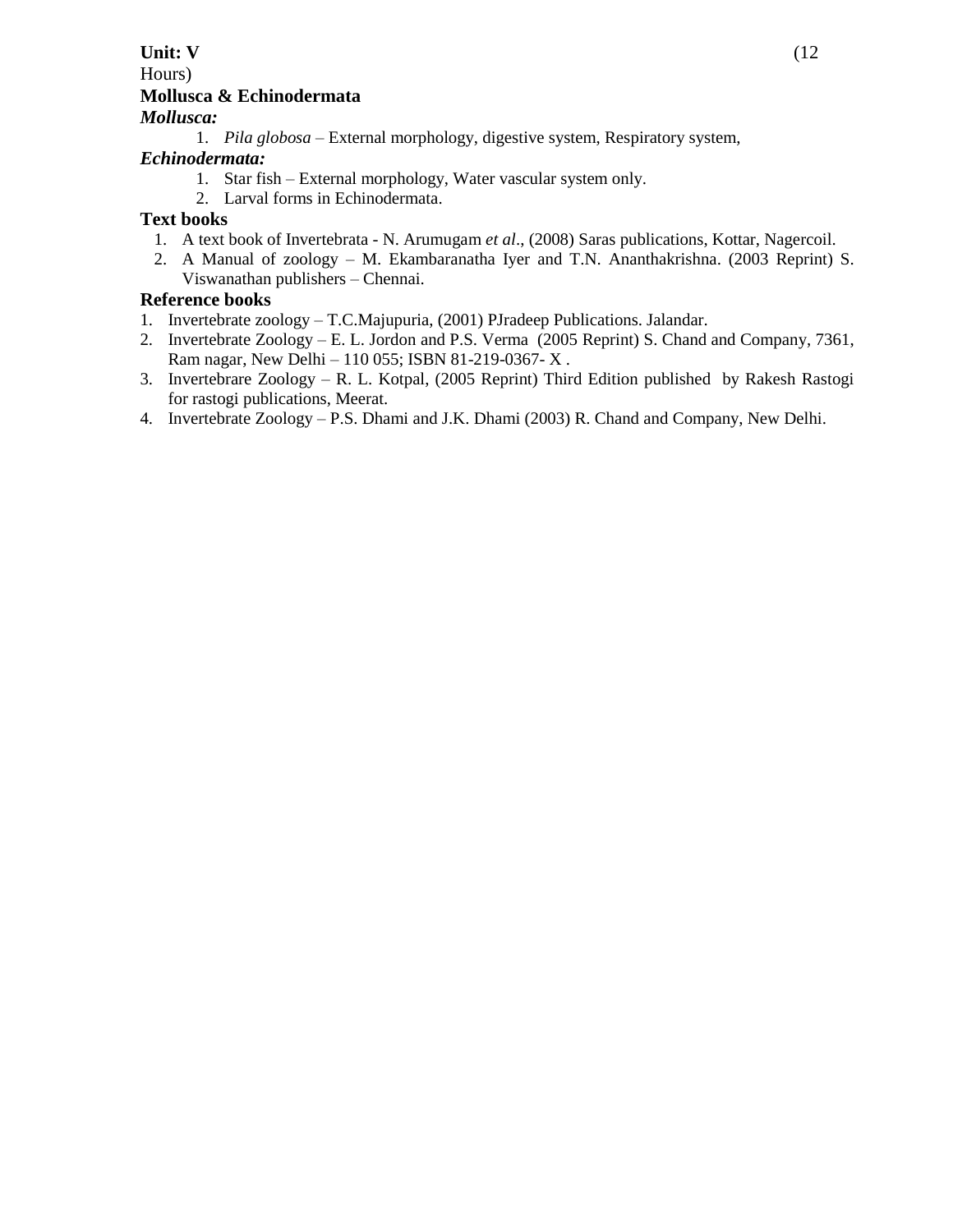#### **Unit: V** (12) Hours) **Mollusca & Echinodermata** *Mollusca:*

1. *Pila globosa* – External morphology, digestive system, Respiratory system,

#### *Echinodermata:*

- 1. Star fish External morphology, Water vascular system only.
- 2. Larval forms in Echinodermata.

# **Text books**

- 1. A text book of Invertebrata N. Arumugam *et al*., (2008) Saras publications, Kottar, Nagercoil.
- 2. A Manual of zoology M. Ekambaranatha Iyer and T.N. Ananthakrishna. (2003 Reprint) S. Viswanathan publishers – Chennai.

# **Reference books**

- 1. Invertebrate zoology T.C.Majupuria, (2001) PJradeep Publications. Jalandar.
- 2. Invertebrate Zoology E. L. Jordon and P.S. Verma (2005 Reprint) S. Chand and Company, 7361, Ram nagar, New Delhi – 110 055; ISBN 81-219-0367- X .
- 3. Invertebrare Zoology R. L. Kotpal, (2005 Reprint) Third Edition published by Rakesh Rastogi for rastogi publications, Meerat.
- 4. Invertebrate Zoology P.S. Dhami and J.K. Dhami (2003) R. Chand and Company, New Delhi.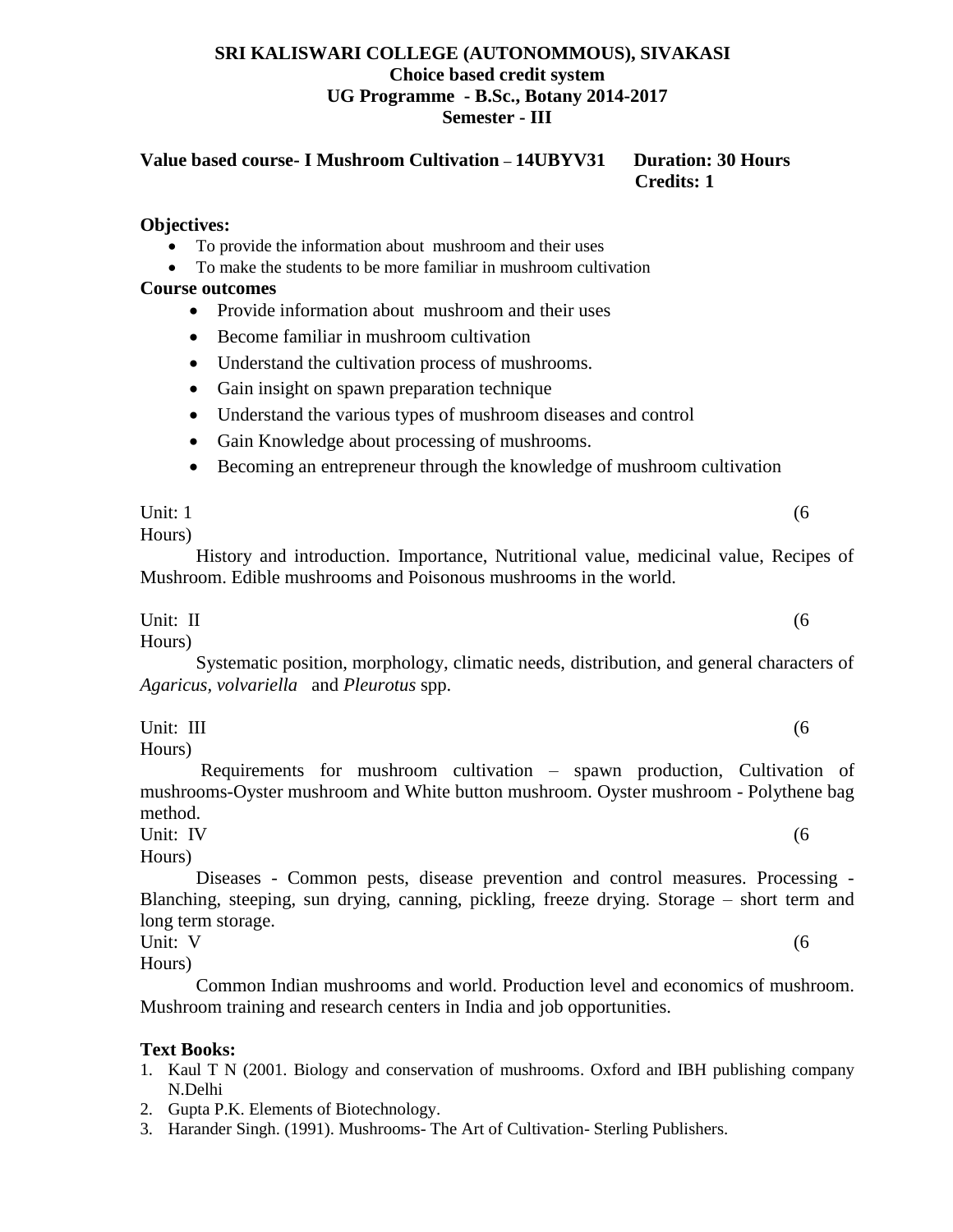#### **SRI KALISWARI COLLEGE (AUTONOMMOUS), SIVAKASI Choice based credit system UG Programme - B.Sc., Botany 2014-2017 Semester - III**

**Value based course- I Mushroom Cultivation – 14UBYV31 Duration: 30 Hours Credits: 1** 

#### **Objectives:**

- To provide the information about mushroom and their uses
- To make the students to be more familiar in mushroom cultivation

#### **Course outcomes**

- Provide information about mushroom and their uses
- Become familiar in mushroom cultivation
- Understand the cultivation process of mushrooms.
- Gain insight on spawn preparation technique
- Understand the various types of mushroom diseases and control
- Gain Knowledge about processing of mushrooms.
- Becoming an entrepreneur through the knowledge of mushroom cultivation

#### Unit:  $1 \tag{6}$ Hours)

History and introduction. Importance, Nutritional value, medicinal value, Recipes of Mushroom. Edible mushrooms and Poisonous mushrooms in the world.

#### Unit:  $II$  (6) Hours)

Systematic position, morphology, climatic needs, distribution, and general characters of *Agaricus, volvariella* and *Pleurotus* spp.

Unit: III (6)

Hours)

Requirements for mushroom cultivation – spawn production, Cultivation of mushrooms-Oyster mushroom and White button mushroom. Oyster mushroom - Polythene bag method.

Unit: IV (6)

Hours) Diseases - Common pests, disease prevention and control measures. Processing - Blanching, steeping, sun drying, canning, pickling, freeze drying. Storage – short term and long term storage.

Unit:  $V$  (6) Hours)

Common Indian mushrooms and world. Production level and economics of mushroom. Mushroom training and research centers in India and job opportunities.

#### **Text Books:**

- 1. Kaul T N (2001. Biology and conservation of mushrooms. Oxford and IBH publishing company N.Delhi
- 2. Gupta P.K. Elements of Biotechnology.
- 3. Harander Singh. (1991). Mushrooms- The Art of Cultivation- Sterling Publishers.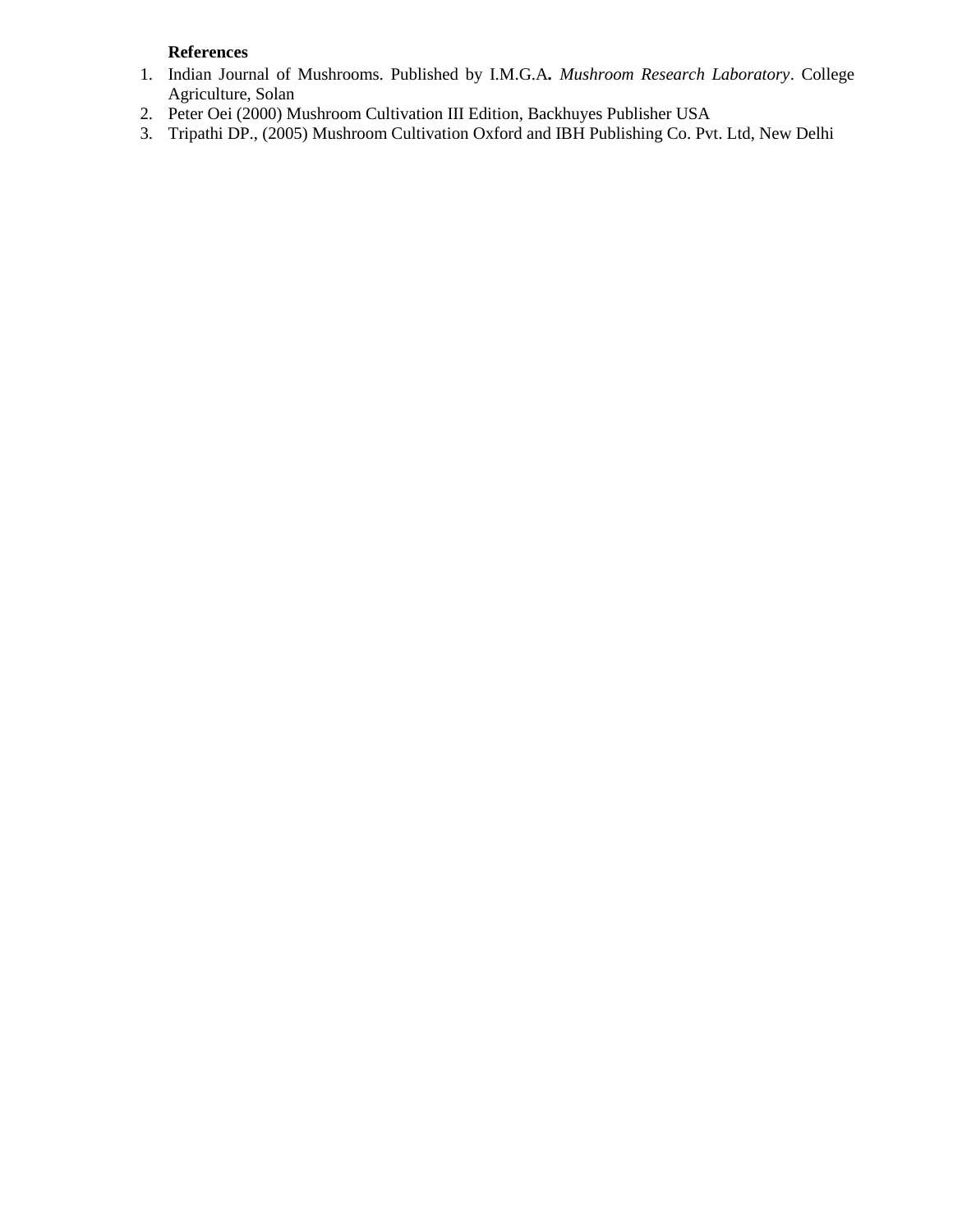# **References**

- 1. Indian Journal of Mushrooms. Published by I.M.G.A*. Mushroom Research Laboratory*. College Agriculture, Solan
- 2. Peter Oei (2000) Mushroom Cultivation III Edition, Backhuyes Publisher USA
- 3. Tripathi DP., (2005) Mushroom Cultivation Oxford and IBH Publishing Co. Pvt. Ltd, New Delhi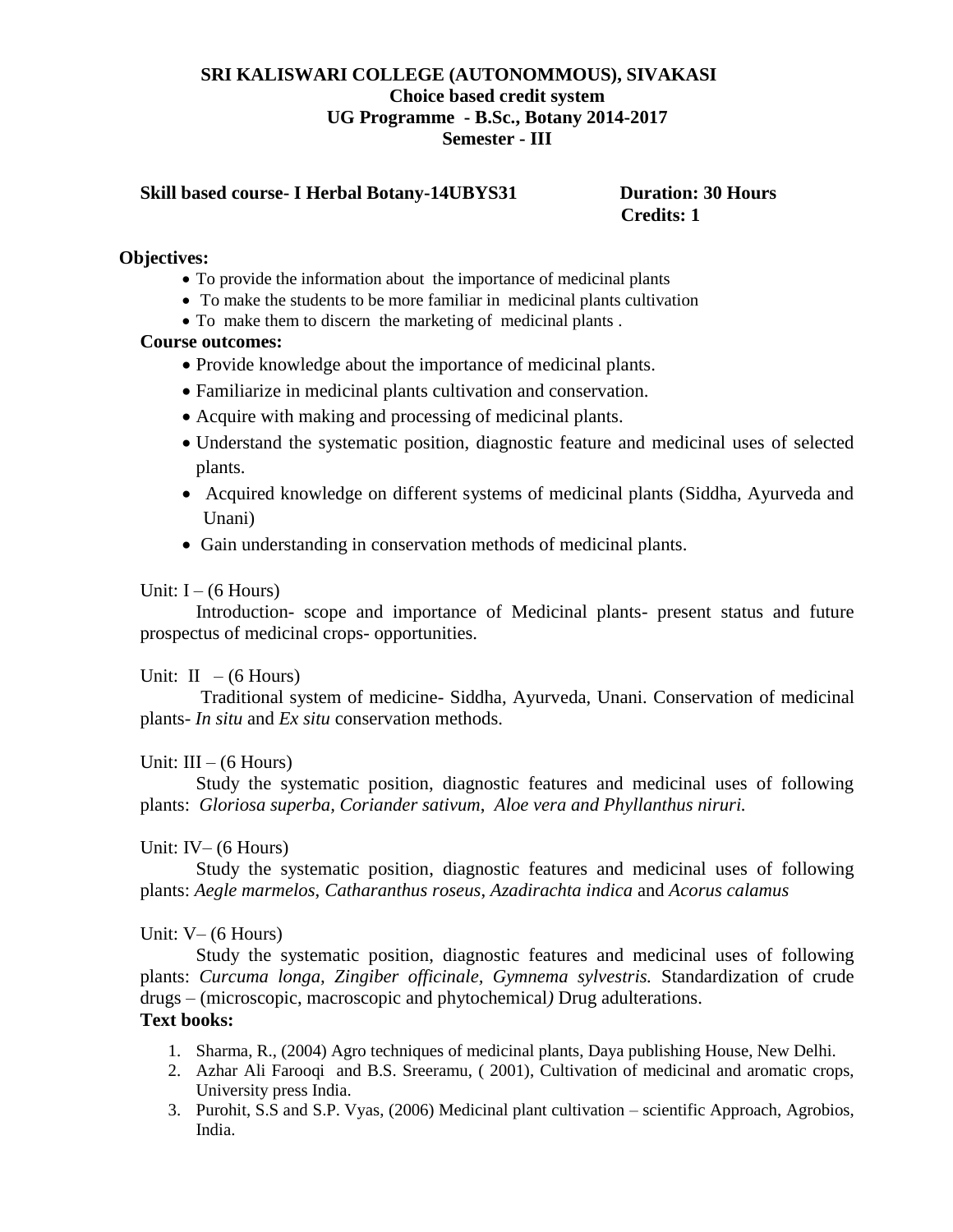#### **SRI KALISWARI COLLEGE (AUTONOMMOUS), SIVAKASI Choice based credit system UG Programme - B.Sc., Botany 2014-2017 Semester - III**

#### **Skill based course- I Herbal Botany-14UBYS31 Duration: 30 Hours**

# **Credits: 1**

#### **Objectives:**

- To provide the information about the importance of medicinal plants
- To make the students to be more familiar in medicinal plants cultivation
- To make them to discern the marketing of medicinal plants.

#### **Course outcomes:**

- Provide knowledge about the importance of medicinal plants.
- Familiarize in medicinal plants cultivation and conservation.
- Acquire with making and processing of medicinal plants.
- Understand the systematic position, diagnostic feature and medicinal uses of selected plants.
- Acquired knowledge on different systems of medicinal plants (Siddha, Ayurveda and Unani)
- Gain understanding in conservation methods of medicinal plants.

#### Unit:  $I - (6$  Hours)

Introduction- scope and importance of Medicinal plants- present status and future prospectus of medicinal crops- opportunities.

#### Unit:  $II - (6$  Hours)

Traditional system of medicine- Siddha, Ayurveda, Unani. Conservation of medicinal plants- *In situ* and *Ex situ* conservation methods.

#### Unit:  $III - (6$  Hours)

Study the systematic position, diagnostic features and medicinal uses of following plants: *Gloriosa superba, Coriander sativum*, *Aloe vera and Phyllanthus niruri.* 

#### Unit: IV– (6 Hours)

Study the systematic position, diagnostic features and medicinal uses of following plants: *Aegle marmelos*, *Catharanthus roseus*, *Azadirachta indica* and *Acorus calamus* 

#### Unit:  $V - (6$  Hours)

Study the systematic position, diagnostic features and medicinal uses of following plants: *Curcuma longa, Zingiber officinale, Gymnema sylvestris.* Standardization of crude drugs – (microscopic, macroscopic and phytochemical*)* Drug adulterations.

# **Text books:**

- 1. Sharma, R., (2004) Agro techniques of medicinal plants, Daya publishing House, New Delhi.
- 2. Azhar Ali Farooqi and B.S. Sreeramu, ( 2001), Cultivation of medicinal and aromatic crops, University press India.
- 3. Purohit, S.S and S.P. Vyas, (2006) Medicinal plant cultivation scientific Approach, Agrobios, India.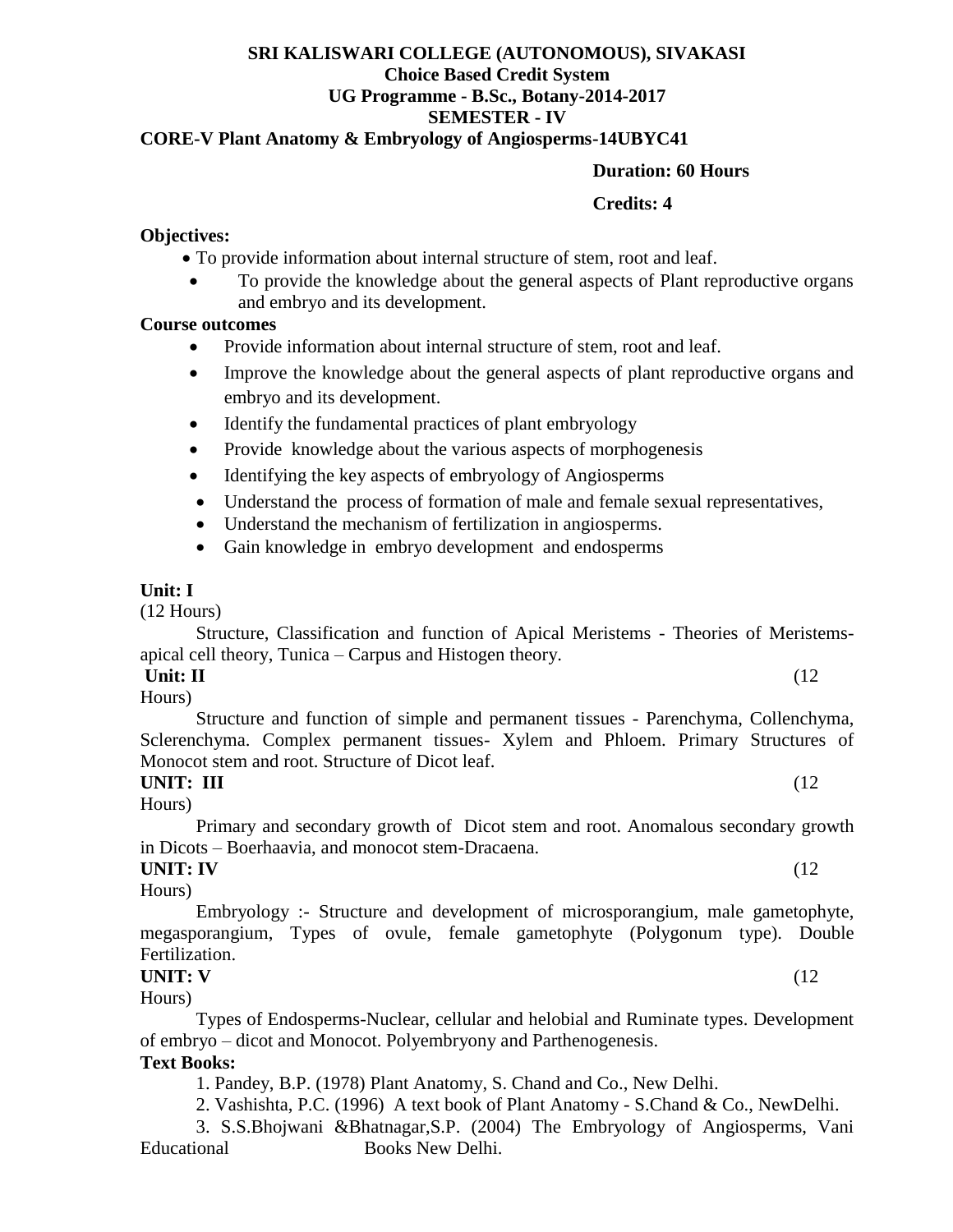# **SRI KALISWARI COLLEGE (AUTONOMOUS), SIVAKASI Choice Based Credit System UG Programme - B.Sc., Botany-2014-2017 SEMESTER - IV**

# **CORE-V Plant Anatomy & Embryology of Angiosperms-14UBYC41**

#### **Duration: 60 Hours**

#### **Credits: 4**

#### **Objectives:**

- To provide information about internal structure of stem, root and leaf.
- To provide the knowledge about the general aspects of Plant reproductive organs and embryo and its development.

#### **Course outcomes**

- Provide information about internal structure of stem, root and leaf.
- Improve the knowledge about the general aspects of plant reproductive organs and embryo and its development.
- Identify the fundamental practices of plant embryology
- Provide knowledge about the various aspects of morphogenesis
- Identifying the key aspects of embryology of Angiosperms
- Understand the process of formation of male and female sexual representatives,
- Understand the mechanism of fertilization in angiosperms.
- Gain knowledge in embryo development and endosperms

### **Unit: I**

(12 Hours)

Structure, Classification and function of Apical Meristems - Theories of Meristemsapical cell theory, Tunica – Carpus and Histogen theory.

#### **Unit: II** (12)

Hours)

Structure and function of simple and permanent tissues - Parenchyma, Collenchyma, Sclerenchyma. Complex permanent tissues- Xylem and Phloem. Primary Structures of Monocot stem and root. Structure of Dicot leaf.

#### **UNIT: III** (12

Hours)

Primary and secondary growth of Dicot stem and root. Anomalous secondary growth in Dicots – Boerhaavia, and monocot stem-Dracaena.

# **UNIT: IV** (12

Hours) Embryology :- Structure and development of microsporangium, male gametophyte, megasporangium, Types of ovule, female gametophyte (Polygonum type). Double Fertilization.

# **UNIT: V** (12

Hours)

Types of Endosperms-Nuclear, cellular and helobial and Ruminate types. Development of embryo – dicot and Monocot. Polyembryony and Parthenogenesis.

#### **Text Books:**

1. Pandey, B.P. (1978) Plant Anatomy, S. Chand and Co., New Delhi.

2. Vashishta, P.C. (1996) A text book of Plant Anatomy - S.Chand & Co., NewDelhi.

3. S.S.Bhojwani &Bhatnagar,S.P. (2004) The Embryology of Angiosperms, Vani Educational Books New Delhi.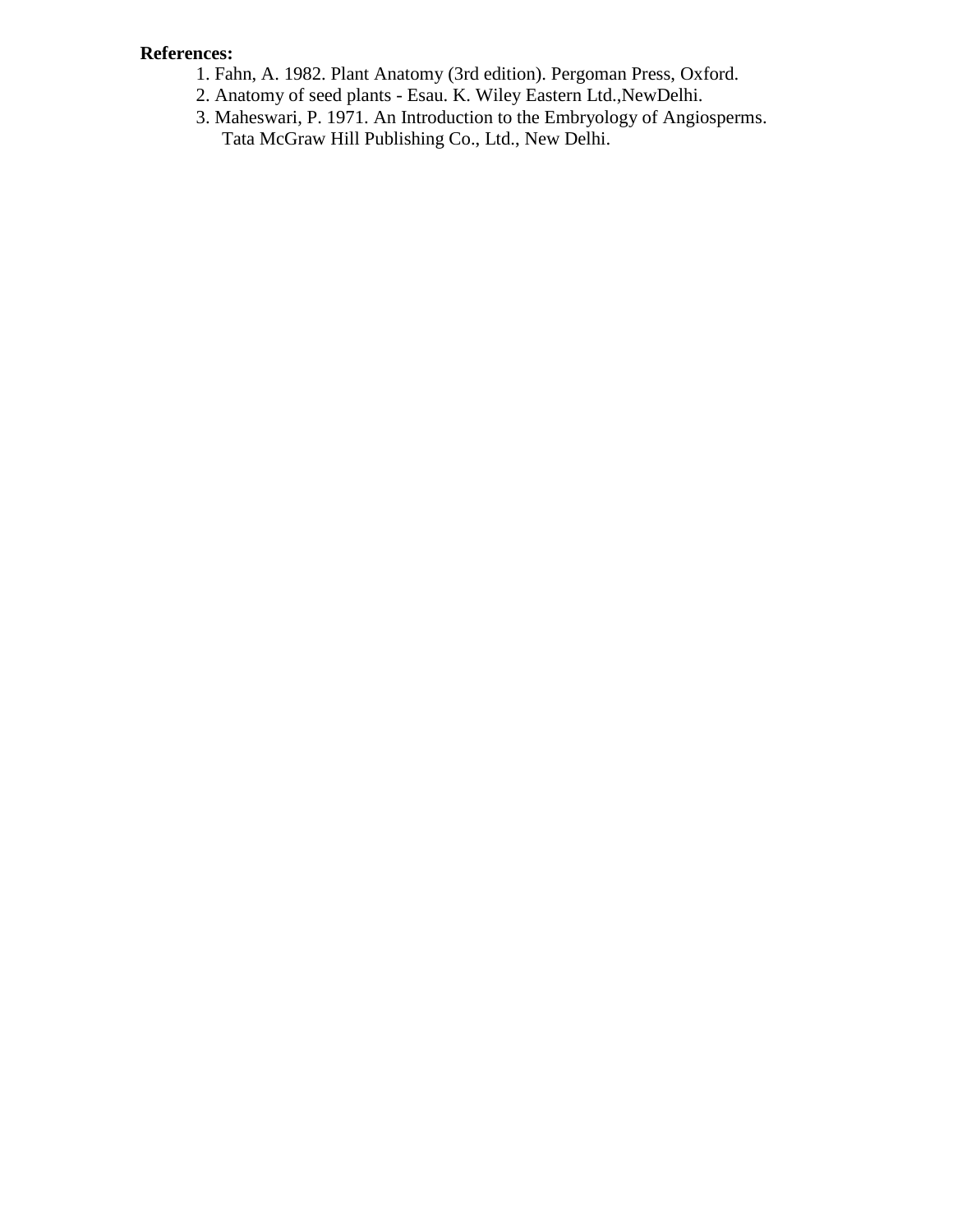# **References:**

- 1. Fahn, A. 1982. Plant Anatomy (3rd edition). Pergoman Press, Oxford.
- 2. Anatomy of seed plants Esau. K. Wiley Eastern Ltd.,NewDelhi.
- 3. Maheswari, P. 1971. An Introduction to the Embryology of Angiosperms. Tata McGraw Hill Publishing Co., Ltd., New Delhi.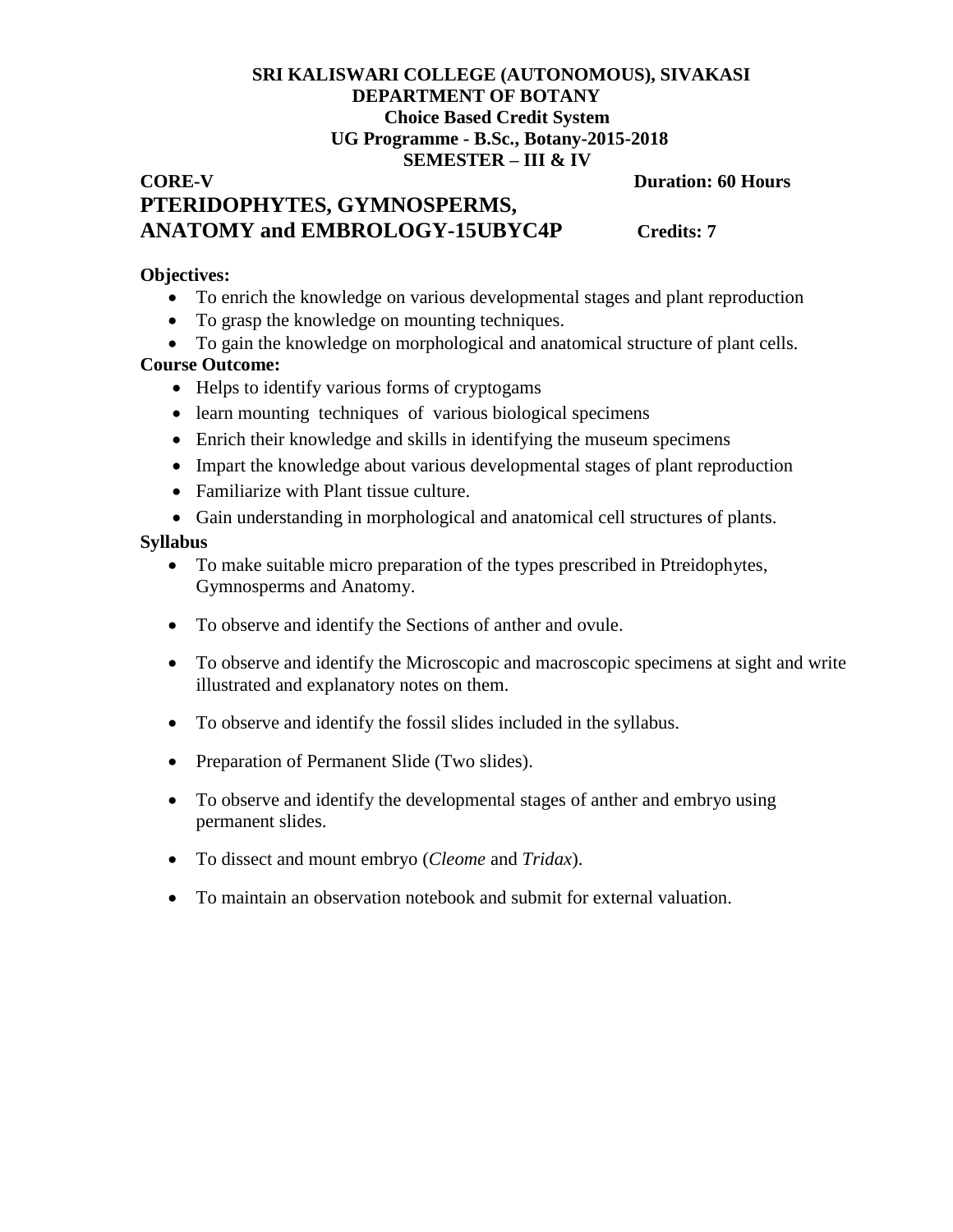# **SRI KALISWARI COLLEGE (AUTONOMOUS), SIVAKASI DEPARTMENT OF BOTANY Choice Based Credit System UG Programme - B.Sc., Botany-2015-2018 SEMESTER – III & IV**

**CORE-V** Duration: 60 Hours

# **PTERIDOPHYTES, GYMNOSPERMS, ANATOMY and EMBROLOGY-15UBYC4P Credits: 7**

#### **Objectives:**

- To enrich the knowledge on various developmental stages and plant reproduction
- To grasp the knowledge on mounting techniques.
- To gain the knowledge on morphological and anatomical structure of plant cells.

### **Course Outcome:**

- Helps to identify various forms of cryptogams
- learn mounting techniques of various biological specimens
- Enrich their knowledge and skills in identifying the museum specimens
- Impart the knowledge about various developmental stages of plant reproduction
- Familiarize with Plant tissue culture.
- Gain understanding in morphological and anatomical cell structures of plants.

#### **Syllabus**

- To make suitable micro preparation of the types prescribed in Ptreidophytes, Gymnosperms and Anatomy.
- To observe and identify the Sections of anther and ovule.
- To observe and identify the Microscopic and macroscopic specimens at sight and write illustrated and explanatory notes on them.
- To observe and identify the fossil slides included in the syllabus.
- Preparation of Permanent Slide (Two slides).
- To observe and identify the developmental stages of anther and embryo using permanent slides.
- To dissect and mount embryo (*Cleome* and *Tridax*).
- To maintain an observation notebook and submit for external valuation.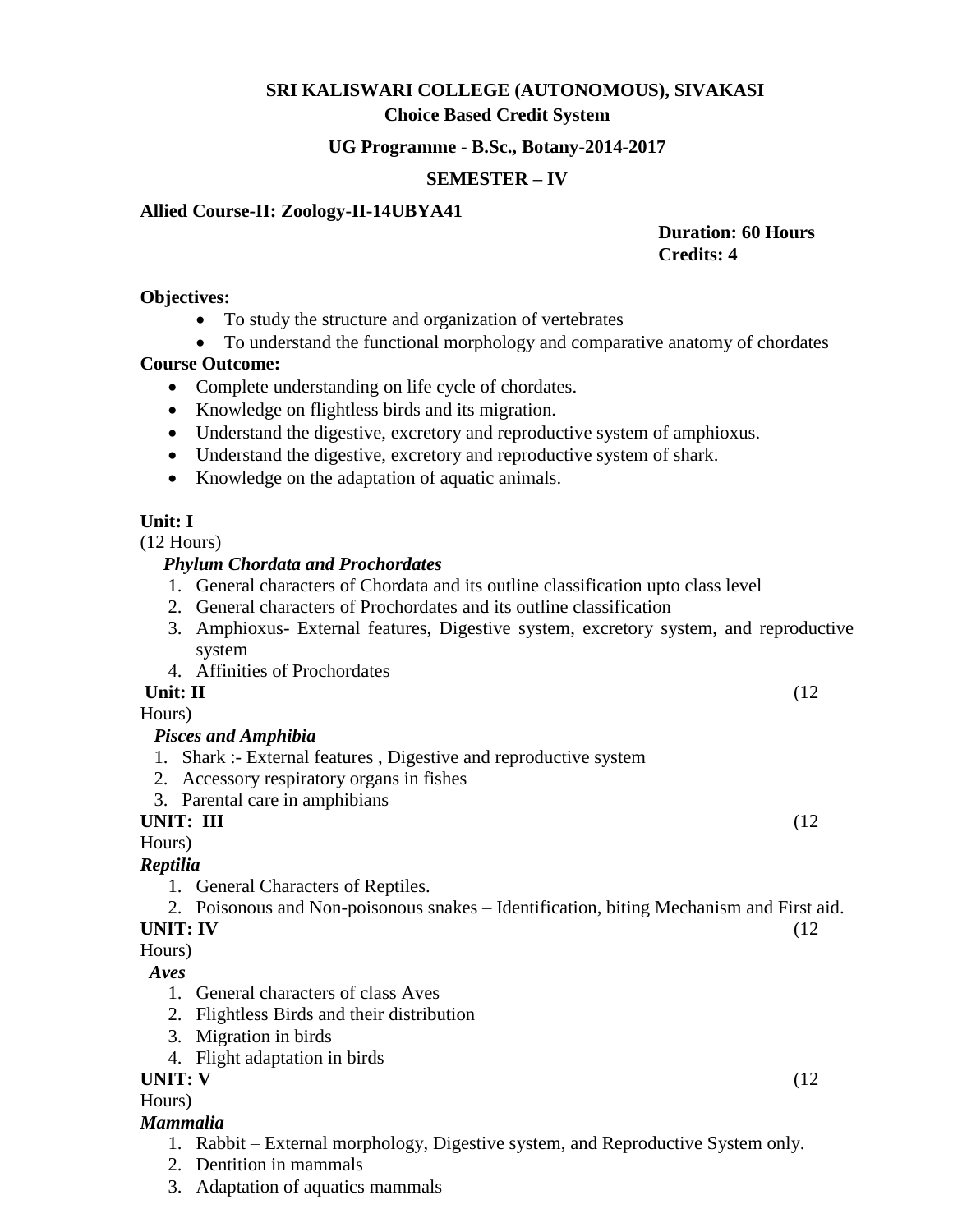# **SRI KALISWARI COLLEGE (AUTONOMOUS), SIVAKASI**

# **Choice Based Credit System**

#### **UG Programme - B.Sc., Botany-2014-2017**

# **SEMESTER – IV**

# **Allied Course-II: Zoology-II-14UBYA41**

# **Duration: 60 Hours Credits: 4**

#### **Objectives:**

- To study the structure and organization of vertebrates
- To understand the functional morphology and comparative anatomy of chordates

# **Course Outcome:**

- Complete understanding on life cycle of chordates.
- Knowledge on flightless birds and its migration.
- Understand the digestive, excretory and reproductive system of amphioxus.
- Understand the digestive, excretory and reproductive system of shark.
- Knowledge on the adaptation of aquatic animals.

# **Unit: I**

(12 Hours)

# *Phylum Chordata and Prochordates*

- 1. General characters of Chordata and its outline classification upto class level
- 2. General characters of Prochordates and its outline classification
- 3. Amphioxus- External features, Digestive system, excretory system, and reproductive system
- 4. Affinities of Prochordates

# **Unit: II** (12)

Hours)

# *Pisces and Amphibia*

- 1. Shark :- External features , Digestive and reproductive system
- 2. Accessory respiratory organs in fishes
- 3. Parental care in amphibians

# **UNIT: III** (12

Hours)

# *Reptilia*

1. General Characters of Reptiles.

2. Poisonous and Non-poisonous snakes – Identification, biting Mechanism and First aid.

# **UNIT: IV** (12

Hours)

# *Aves*

- 1. General characters of class Aves
- 2. Flightless Birds and their distribution
- 3. Migration in birds
- 4. Flight adaptation in birds

# **UNIT: V** (12

Hours)

# *Mammalia*

- 1. Rabbit External morphology, Digestive system, and Reproductive System only.
- 2. Dentition in mammals
- 3. Adaptation of aquatics mammals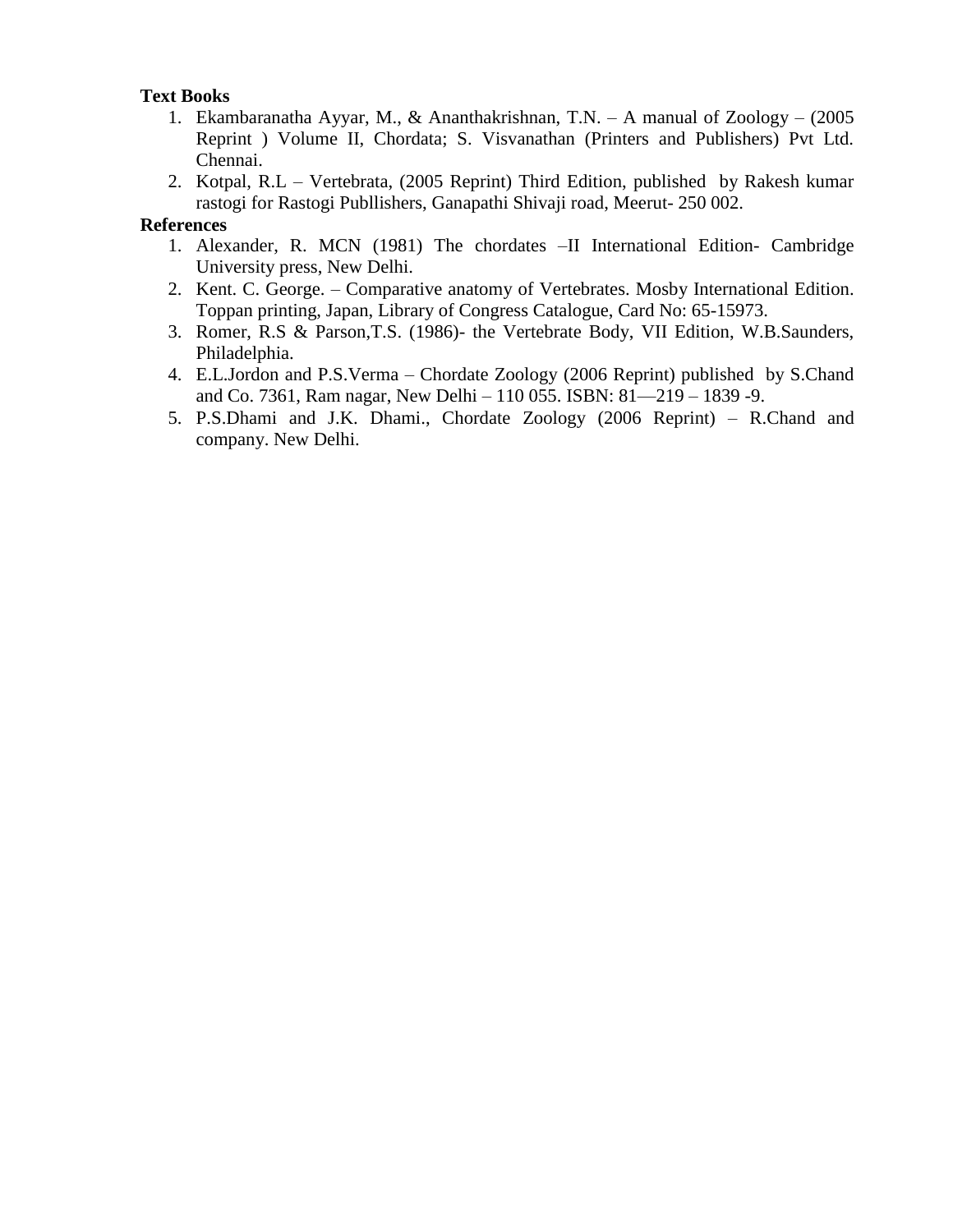# **Text Books**

- 1. Ekambaranatha Ayyar, M., & Ananthakrishnan, T.N. A manual of Zoology (2005 Reprint ) Volume II, Chordata; S. Visvanathan (Printers and Publishers) Pvt Ltd. Chennai.
- 2. Kotpal, R.L Vertebrata, (2005 Reprint) Third Edition, published by Rakesh kumar rastogi for Rastogi Publlishers, Ganapathi Shivaji road, Meerut- 250 002.

#### **References**

- 1. Alexander, R. MCN (1981) The chordates –II International Edition- Cambridge University press, New Delhi.
- 2. Kent. C. George. Comparative anatomy of Vertebrates. Mosby International Edition. Toppan printing, Japan, Library of Congress Catalogue, Card No: 65-15973.
- 3. Romer, R.S & Parson,T.S. (1986)- the Vertebrate Body, VII Edition, W.B.Saunders, Philadelphia.
- 4. E.L.Jordon and P.S.Verma Chordate Zoology (2006 Reprint) published by S.Chand and Co. 7361, Ram nagar, New Delhi – 110 055. ISBN: 81—219 – 1839 -9.
- 5. P.S.Dhami and J.K. Dhami., Chordate Zoology (2006 Reprint) R.Chand and company. New Delhi.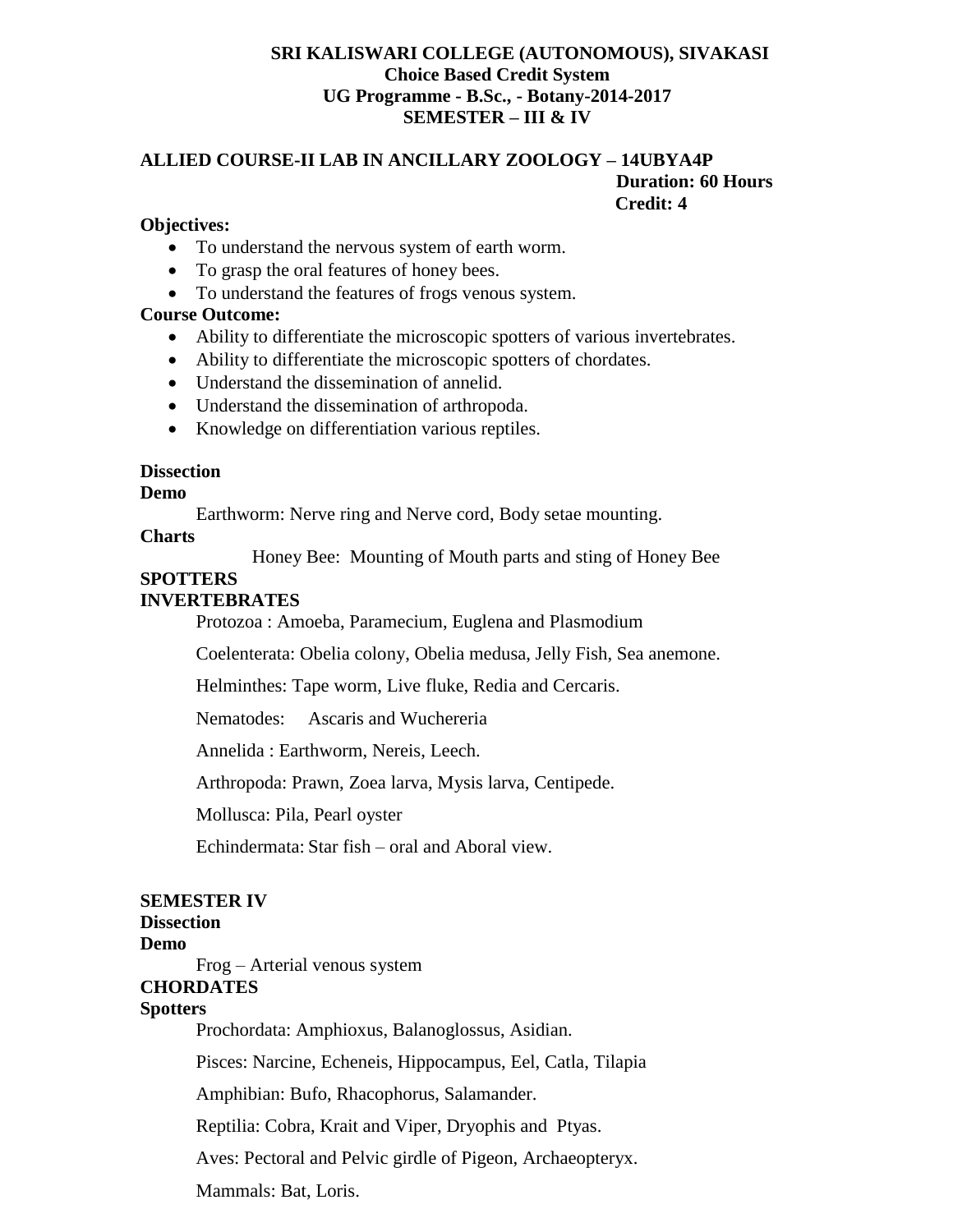#### **SRI KALISWARI COLLEGE (AUTONOMOUS), SIVAKASI Choice Based Credit System UG Programme - B.Sc., - Botany-2014-2017 SEMESTER – III & IV**

#### **ALLIED COURSE-II LAB IN ANCILLARY ZOOLOGY – 14UBYA4P Duration: 60 Hours Credit: 4**

#### **Objectives:**

- To understand the nervous system of earth worm.
- To grasp the oral features of honey bees.
- To understand the features of frogs venous system.

#### **Course Outcome:**

- Ability to differentiate the microscopic spotters of various invertebrates.
- Ability to differentiate the microscopic spotters of chordates.
- Understand the dissemination of annelid.
- Understand the dissemination of arthropoda.
- Knowledge on differentiation various reptiles.

#### **Dissection**

**Demo**

Earthworm: Nerve ring and Nerve cord, Body setae mounting.

**Charts**

Honey Bee: Mounting of Mouth parts and sting of Honey Bee

#### **SPOTTERS**

#### **INVERTEBRATES**

Protozoa : Amoeba, Paramecium, Euglena and Plasmodium

Coelenterata: Obelia colony, Obelia medusa, Jelly Fish, Sea anemone.

Helminthes: Tape worm, Live fluke, Redia and Cercaris.

Nematodes: Ascaris and Wuchereria

Annelida : Earthworm, Nereis, Leech.

Arthropoda: Prawn, Zoea larva, Mysis larva, Centipede.

Mollusca: Pila, Pearl oyster

Echindermata: Star fish – oral and Aboral view.

#### **SEMESTER IV**

# **Dissection**

**Demo**

Frog – Arterial venous system

#### **CHORDATES**

#### **Spotters**

Prochordata: Amphioxus, Balanoglossus, Asidian.

Pisces: Narcine, Echeneis, Hippocampus, Eel, Catla, Tilapia

Amphibian: Bufo, Rhacophorus, Salamander.

Reptilia: Cobra, Krait and Viper, Dryophis and Ptyas.

Aves: Pectoral and Pelvic girdle of Pigeon, Archaeopteryx.

Mammals: Bat, Loris.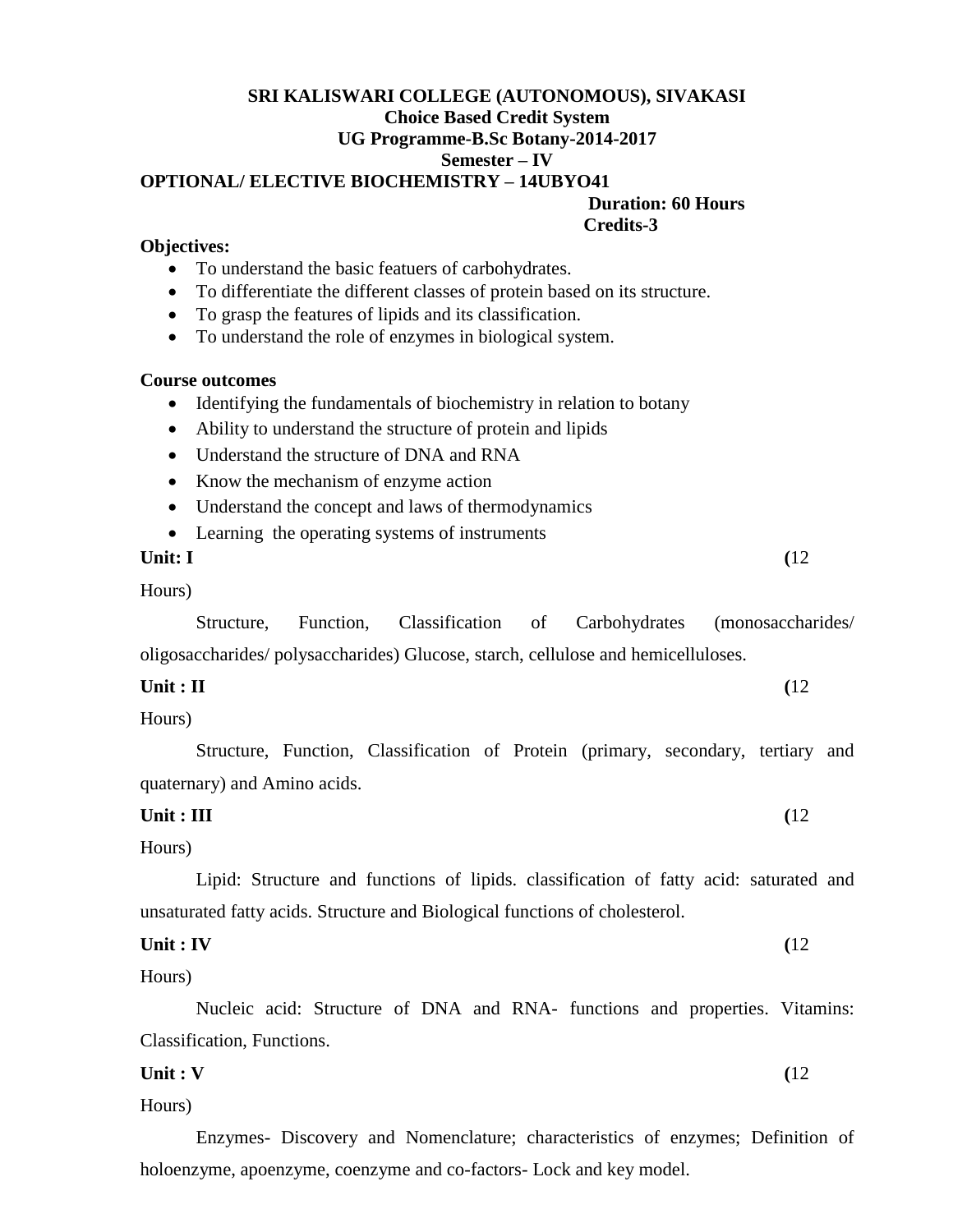# **SRI KALISWARI COLLEGE (AUTONOMOUS), SIVAKASI Choice Based Credit System UG Programme-B.Sc Botany-2014-2017 Semester – IV OPTIONAL/ ELECTIVE BIOCHEMISTRY – 14UBYO41**

 **Duration: 60 Hours Credits-3**

#### **Objectives:**

- To understand the basic featuers of carbohydrates.
- To differentiate the different classes of protein based on its structure.
- To grasp the features of lipids and its classification.
- To understand the role of enzymes in biological system.

#### **Course outcomes**

- Identifying the fundamentals of biochemistry in relation to botany
- Ability to understand the structure of protein and lipids
- Understand the structure of DNA and RNA
- Know the mechanism of enzyme action
- Understand the concept and laws of thermodynamics
- Learning the operating systems of instruments

#### **Unit: I** (12)

Hours)

Structure, Function, Classification of Carbohydrates (monosaccharides/ oligosaccharides/ polysaccharides) Glucose, starch, cellulose and hemicelluloses.

| Unit : II | (12) |
|-----------|------|
|           |      |

Hours)

Structure, Function, Classification of Protein (primary, secondary, tertiary and quaternary) and Amino acids.

#### **Unit : III** (12)

Hours)

Lipid: Structure and functions of lipids. classification of fatty acid: saturated and unsaturated fatty acids. Structure and Biological functions of cholesterol.

**Unit : IV** (12)

Hours)

Nucleic acid: Structure of DNA and RNA- functions and properties. Vitamins: Classification, Functions.

**Unit : V** (12)

Hours)

Enzymes- Discovery and Nomenclature; characteristics of enzymes; Definition of holoenzyme, apoenzyme, coenzyme and co-factors- Lock and key model.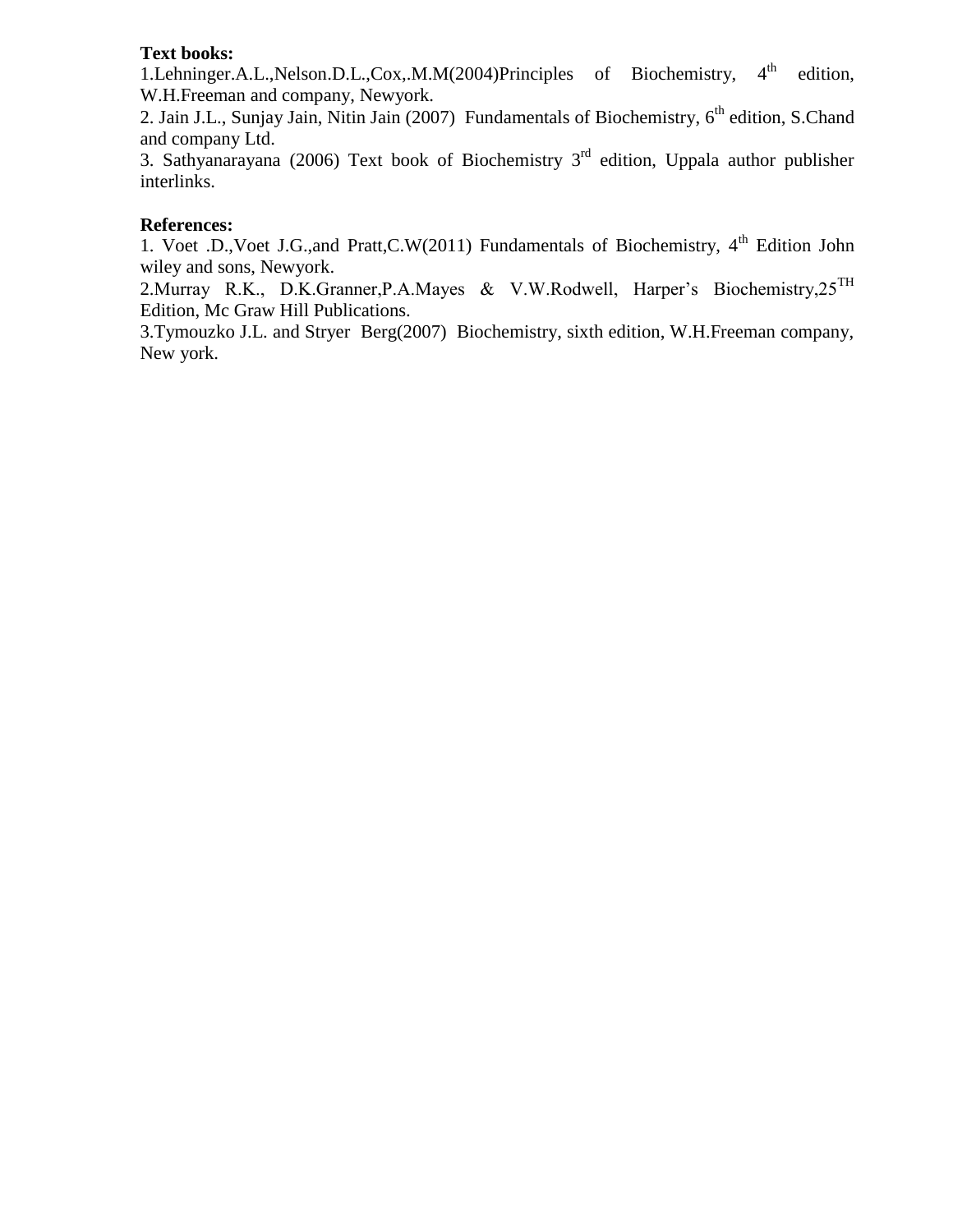### **Text books:**

1.Lehninger.A.L.,Nelson.D.L.,Cox,.M.M(2004)Principles of Biochemistry, 4<sup>th</sup> edition, W.H.Freeman and company, Newyork.

2. Jain J.L., Sunjay Jain, Nitin Jain (2007) Fundamentals of Biochemistry, 6<sup>th</sup> edition, S.Chand and company Ltd.

3. Sathyanarayana (2006) Text book of Biochemistry  $3<sup>rd</sup>$  edition, Uppala author publisher interlinks.

#### **References:**

1. Voet .D., Voet J.G., and Pratt, C.W(2011) Fundamentals of Biochemistry,  $4<sup>th</sup>$  Edition John wiley and sons, Newyork.

2.Murray R.K., D.K.Granner, P.A.Mayes & V.W.Rodwell, Harper's Biochemistry,  $25^{\text{TH}}$ Edition, Mc Graw Hill Publications.

3.Tymouzko J.L. and Stryer Berg(2007) Biochemistry, sixth edition, W.H.Freeman company, New york.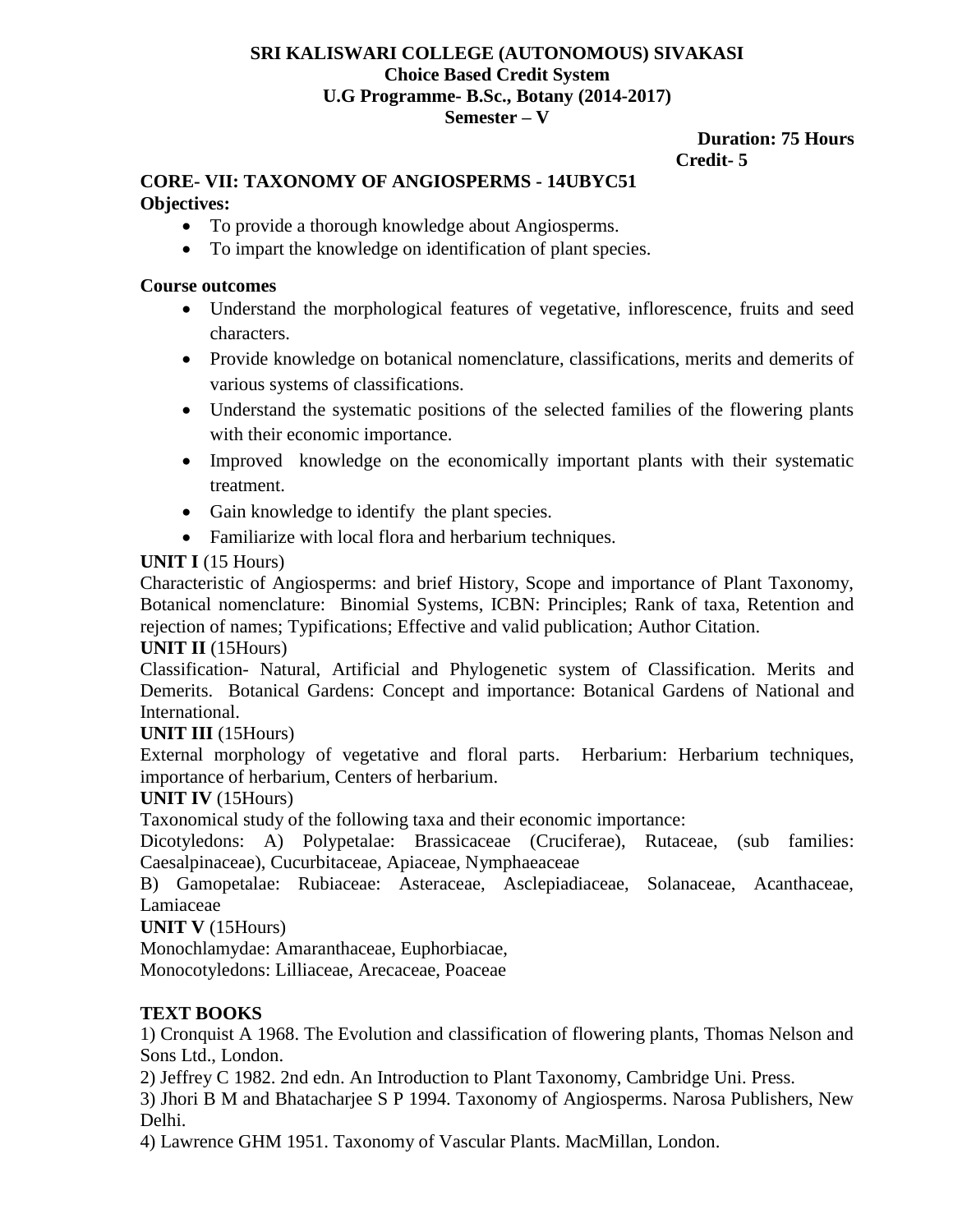#### **SRI KALISWARI COLLEGE (AUTONOMOUS) SIVAKASI Choice Based Credit System U.G Programme- B.Sc., Botany (2014-2017) Semester – V**

#### **Duration: 75 Hours Credit- 5**

# **CORE- VII: TAXONOMY OF ANGIOSPERMS - 14UBYC51**

# **Objectives:**

- To provide a thorough knowledge about Angiosperms.
- To impart the knowledge on identification of plant species.

# **Course outcomes**

- Understand the morphological features of vegetative, inflorescence, fruits and seed characters.
- Provide knowledge on botanical nomenclature, classifications, merits and demerits of various systems of classifications.
- Understand the systematic positions of the selected families of the flowering plants with their economic importance.
- Improved knowledge on the economically important plants with their systematic treatment.
- Gain knowledge to identify the plant species.
- Familiarize with local flora and herbarium techniques.

# **UNIT I** (15 Hours)

Characteristic of Angiosperms: and brief History, Scope and importance of Plant Taxonomy, Botanical nomenclature: Binomial Systems, ICBN: Principles; Rank of taxa, Retention and rejection of names; Typifications; Effective and valid publication; Author Citation.

# **UNIT II** (15Hours)

Classification- Natural, Artificial and Phylogenetic system of Classification. Merits and Demerits. Botanical Gardens: Concept and importance: Botanical Gardens of National and International.

# **UNIT III** (15Hours)

External morphology of vegetative and floral parts. Herbarium: Herbarium techniques, importance of herbarium, Centers of herbarium.

# **UNIT IV** (15Hours)

Taxonomical study of the following taxa and their economic importance:

Dicotyledons: A) Polypetalae: Brassicaceae (Cruciferae), Rutaceae, (sub families: Caesalpinaceae), Cucurbitaceae, Apiaceae, Nymphaeaceae

B) Gamopetalae: Rubiaceae: Asteraceae, Asclepiadiaceae, Solanaceae, Acanthaceae, Lamiaceae

# **UNIT V** (15Hours)

Monochlamydae: Amaranthaceae, Euphorbiacae,

Monocotyledons: Lilliaceae, Arecaceae, Poaceae

# **TEXT BOOKS**

1) Cronquist A 1968. The Evolution and classification of flowering plants, Thomas Nelson and Sons Ltd., London.

2) Jeffrey C 1982. 2nd edn. An Introduction to Plant Taxonomy, Cambridge Uni. Press.

3) Jhori B M and Bhatacharjee S P 1994. Taxonomy of Angiosperms. Narosa Publishers, New Delhi.

4) Lawrence GHM 1951. Taxonomy of Vascular Plants. MacMillan, London.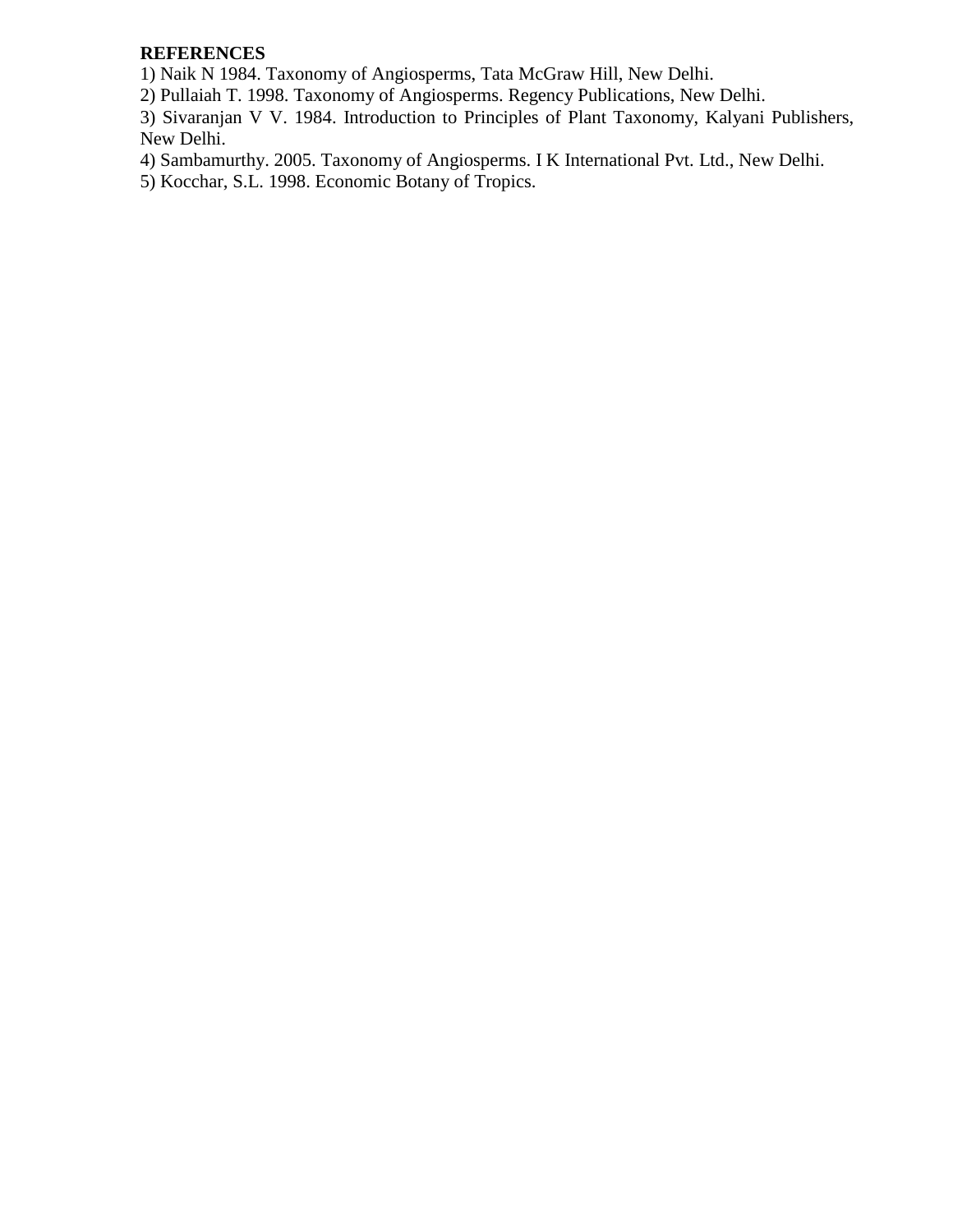# **REFERENCES**

1) Naik N 1984. Taxonomy of Angiosperms, Tata McGraw Hill, New Delhi.

2) Pullaiah T. 1998. Taxonomy of Angiosperms. Regency Publications, New Delhi.

3) Sivaranjan V V. 1984. Introduction to Principles of Plant Taxonomy, Kalyani Publishers, New Delhi.

4) Sambamurthy. 2005. Taxonomy of Angiosperms. I K International Pvt. Ltd., New Delhi.

5) Kocchar, S.L. 1998. Economic Botany of Tropics.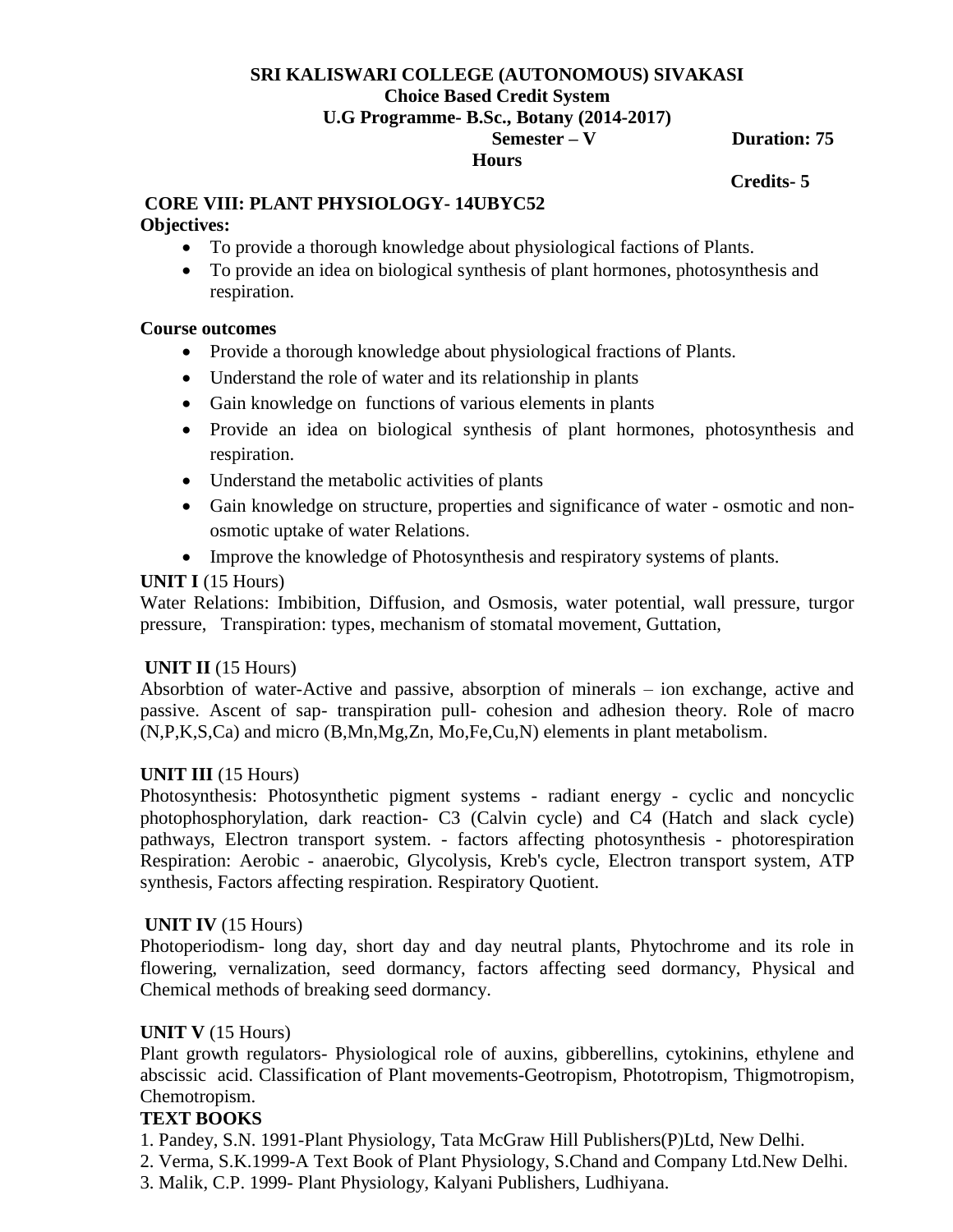# **SRI KALISWARI COLLEGE (AUTONOMOUS) SIVAKASI Choice Based Credit System**

#### **U.G Programme- B.Sc., Botany (2014-2017)**

 **Semester – V Duration: 75** 

# **Hours**

# **Credits- 5**

# **CORE VIII: PLANT PHYSIOLOGY- 14UBYC52**

### **Objectives:**

- To provide a thorough knowledge about physiological factions of Plants.
- To provide an idea on biological synthesis of plant hormones, photosynthesis and respiration.

# **Course outcomes**

- Provide a thorough knowledge about physiological fractions of Plants.
- Understand the role of water and its relationship in plants
- Gain knowledge on functions of various elements in plants
- Provide an idea on biological synthesis of plant hormones, photosynthesis and respiration.
- Understand the metabolic activities of plants
- Gain knowledge on structure, properties and significance of water osmotic and nonosmotic uptake of water Relations.
- Improve the knowledge of Photosynthesis and respiratory systems of plants.

# **UNIT I** (15 Hours)

Water Relations: Imbibition, Diffusion, and Osmosis, water potential, wall pressure, turgor pressure, Transpiration: types, mechanism of stomatal movement, Guttation,

# **UNIT II** (15 Hours)

Absorbtion of water-Active and passive, absorption of minerals – ion exchange, active and passive. Ascent of sap- transpiration pull- cohesion and adhesion theory. Role of macro (N,P,K,S,Ca) and micro (B,Mn,Mg,Zn, Mo,Fe,Cu,N) elements in plant metabolism.

# **UNIT III** (15 Hours)

Photosynthesis: Photosynthetic pigment systems - radiant energy - cyclic and noncyclic photophosphorylation, dark reaction- C3 (Calvin cycle) and C4 (Hatch and slack cycle) pathways, Electron transport system. - factors affecting photosynthesis - photorespiration Respiration: Aerobic - anaerobic, Glycolysis, Kreb's cycle, Electron transport system, ATP synthesis, Factors affecting respiration. Respiratory Quotient.

# **UNIT IV** (15 Hours)

Photoperiodism- long day, short day and day neutral plants, Phytochrome and its role in flowering, vernalization, seed dormancy, factors affecting seed dormancy, Physical and Chemical methods of breaking seed dormancy.

# **UNIT V** (15 Hours)

Plant growth regulators- Physiological role of auxins, gibberellins, cytokinins, ethylene and abscissic acid. Classification of Plant movements-Geotropism, Phototropism, Thigmotropism, Chemotropism.

# **TEXT BOOKS**

1. Pandey, S.N. 1991-Plant Physiology, Tata McGraw Hill Publishers(P)Ltd, New Delhi.

- 2. Verma, S.K.1999-A Text Book of Plant Physiology, S.Chand and Company Ltd.New Delhi.
- 3. Malik, C.P. 1999- Plant Physiology, Kalyani Publishers, Ludhiyana.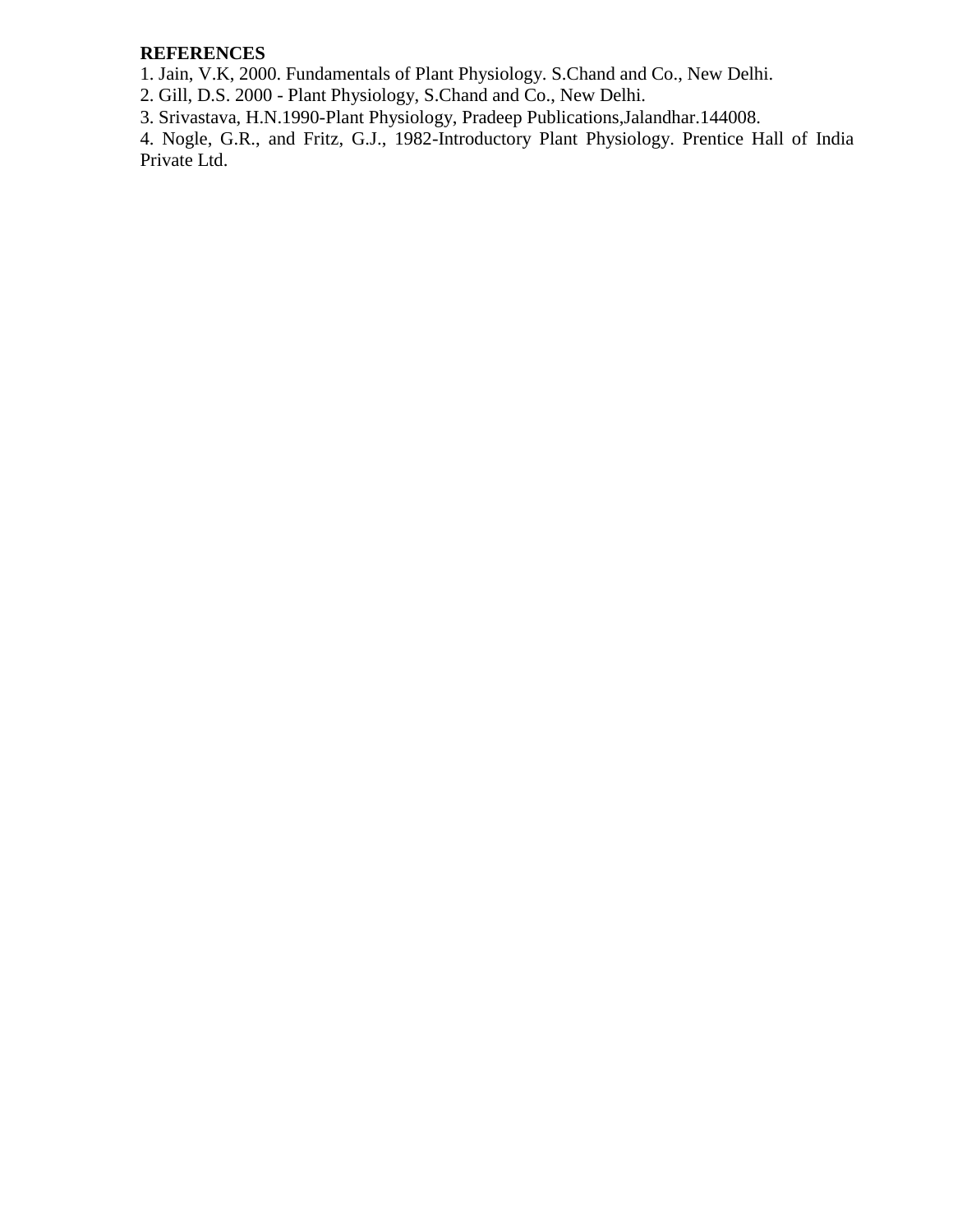# **REFERENCES**

1. Jain, V.K, 2000. Fundamentals of Plant Physiology. S.Chand and Co., New Delhi.

2. Gill, D.S. 2000 - Plant Physiology, S.Chand and Co., New Delhi.

3. Srivastava, H.N.1990-Plant Physiology, Pradeep Publications,Jalandhar.144008.

4. Nogle, G.R., and Fritz, G.J., 1982-Introductory Plant Physiology. Prentice Hall of India Private Ltd.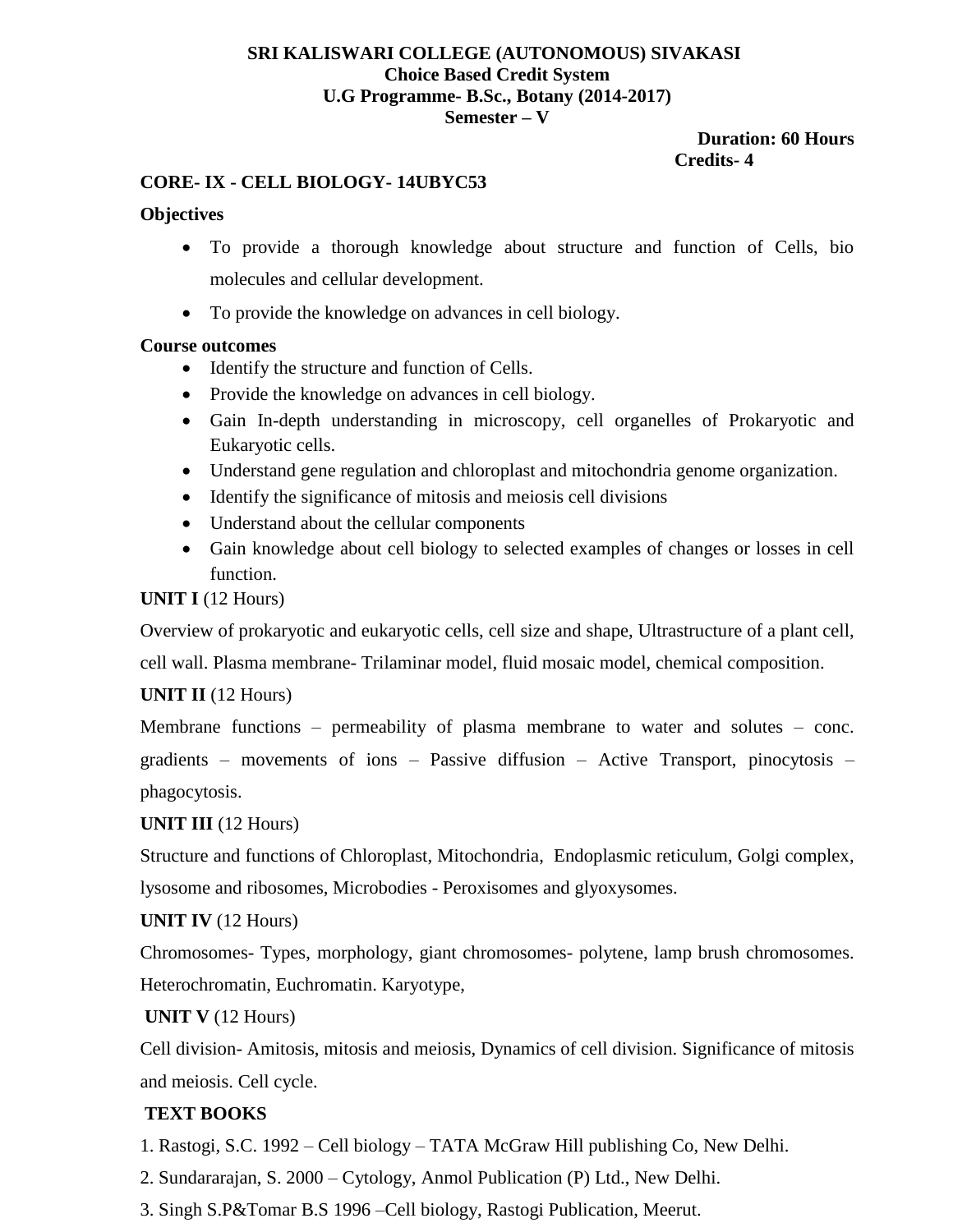#### **SRI KALISWARI COLLEGE (AUTONOMOUS) SIVAKASI Choice Based Credit System U.G Programme- B.Sc., Botany (2014-2017) Semester – V**

#### **Duration: 60 Hours Credits- 4**

# **CORE- IX - CELL BIOLOGY- 14UBYC53**

# **Objectives**

- To provide a thorough knowledge about structure and function of Cells, bio molecules and cellular development.
- To provide the knowledge on advances in cell biology.

### **Course outcomes**

- Identify the structure and function of Cells.
- Provide the knowledge on advances in cell biology.
- Gain In-depth understanding in microscopy, cell organelles of Prokaryotic and Eukaryotic cells.
- Understand gene regulation and chloroplast and mitochondria genome organization.
- Identify the significance of mitosis and meiosis cell divisions
- Understand about the cellular components
- Gain knowledge about cell biology to selected examples of changes or losses in cell function.

# **UNIT I** (12 Hours)

Overview of prokaryotic and eukaryotic cells, cell size and shape, Ultrastructure of a plant cell,

cell wall. Plasma membrane- Trilaminar model, fluid mosaic model, chemical composition.

# **UNIT II** (12 Hours)

Membrane functions – permeability of plasma membrane to water and solutes – conc. gradients – movements of ions – Passive diffusion – Active Transport, pinocytosis – phagocytosis.

# **UNIT III** (12 Hours)

Structure and functions of Chloroplast, Mitochondria, Endoplasmic reticulum, Golgi complex, lysosome and ribosomes, Microbodies - Peroxisomes and glyoxysomes.

# **UNIT IV** (12 Hours)

Chromosomes- Types, morphology, giant chromosomes- polytene, lamp brush chromosomes. Heterochromatin, Euchromatin. Karyotype,

# **UNIT V** (12 Hours)

Cell division- Amitosis, mitosis and meiosis, Dynamics of cell division. Significance of mitosis and meiosis. Cell cycle.

# **TEXT BOOKS**

- 1. Rastogi, S.C. 1992 Cell biology TATA McGraw Hill publishing Co, New Delhi.
- 2. Sundararajan, S. 2000 Cytology, Anmol Publication (P) Ltd., New Delhi.
- 3. Singh S.P&Tomar B.S 1996 –Cell biology, Rastogi Publication, Meerut.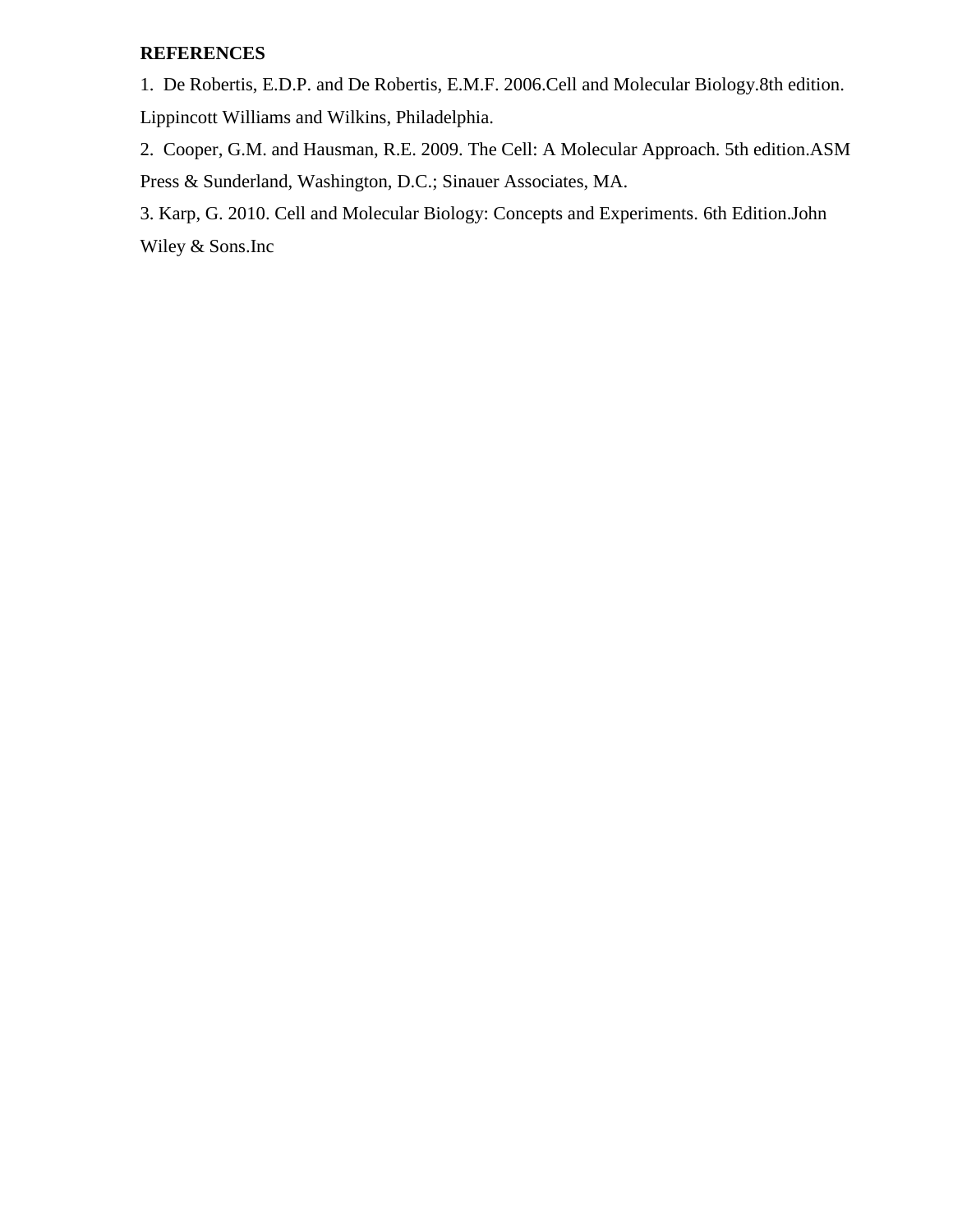# **REFERENCES**

1. De Robertis, E.D.P. and De Robertis, E.M.F. 2006.Cell and Molecular Biology.8th edition. Lippincott Williams and Wilkins, Philadelphia.

2. Cooper, G.M. and Hausman, R.E. 2009. The Cell: A Molecular Approach. 5th edition.ASM Press & Sunderland, Washington, D.C.; Sinauer Associates, MA.

3. Karp, G. 2010. Cell and Molecular Biology: Concepts and Experiments. 6th Edition.John Wiley & Sons.Inc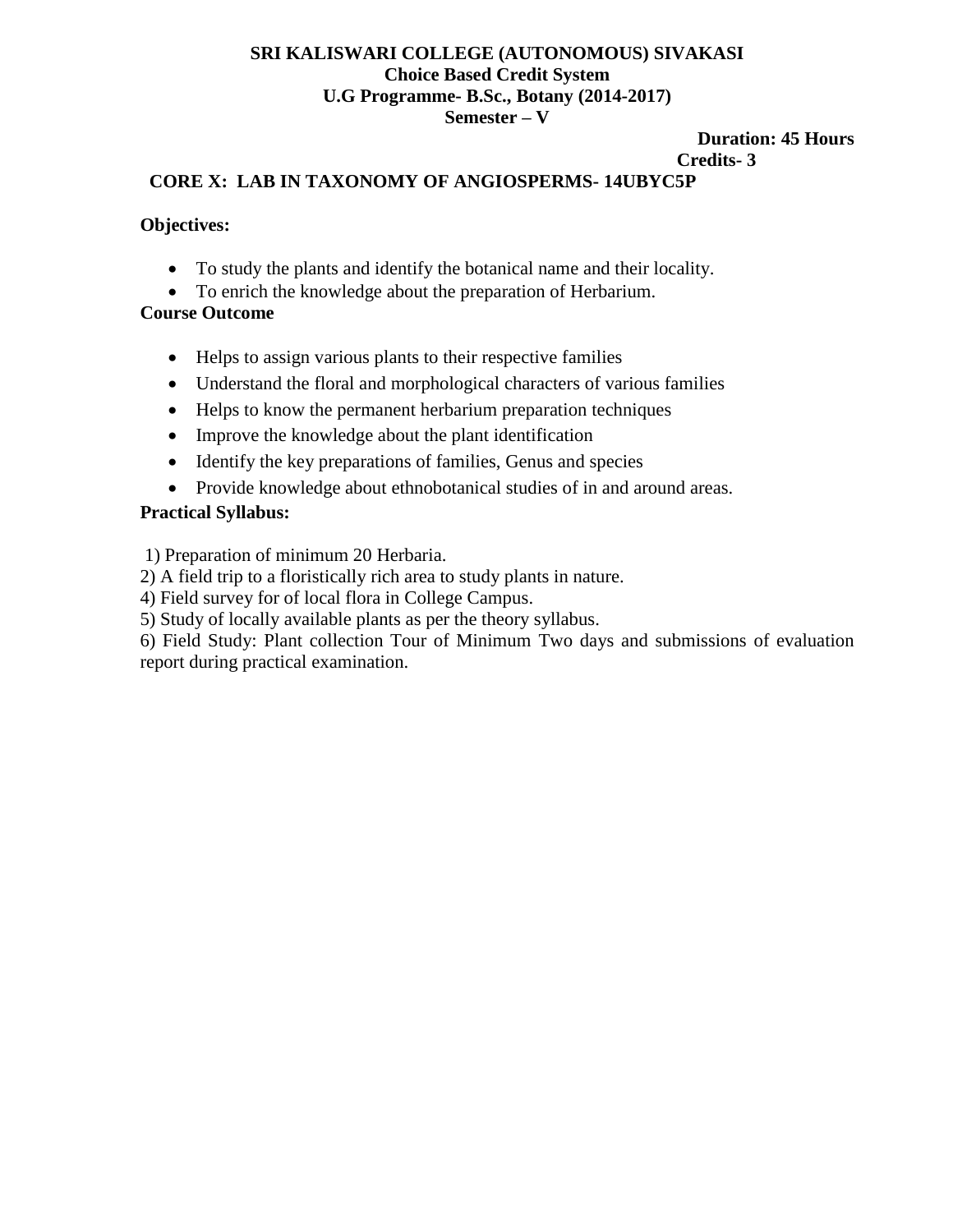#### **SRI KALISWARI COLLEGE (AUTONOMOUS) SIVAKASI Choice Based Credit System U.G Programme- B.Sc., Botany (2014-2017) Semester – V**

#### **Duration: 45 Hours**

#### **Credits- 3**

#### **CORE X: LAB IN TAXONOMY OF ANGIOSPERMS- 14UBYC5P**

#### **Objectives:**

- To study the plants and identify the botanical name and their locality.
- To enrich the knowledge about the preparation of Herbarium.

#### **Course Outcome**

- Helps to assign various plants to their respective families
- Understand the floral and morphological characters of various families
- Helps to know the permanent herbarium preparation techniques
- Improve the knowledge about the plant identification
- Identify the key preparations of families, Genus and species
- Provide knowledge about ethnobotanical studies of in and around areas.

#### **Practical Syllabus:**

1) Preparation of minimum 20 Herbaria.

2) A field trip to a floristically rich area to study plants in nature.

4) Field survey for of local flora in College Campus.

5) Study of locally available plants as per the theory syllabus.

6) Field Study: Plant collection Tour of Minimum Two days and submissions of evaluation report during practical examination.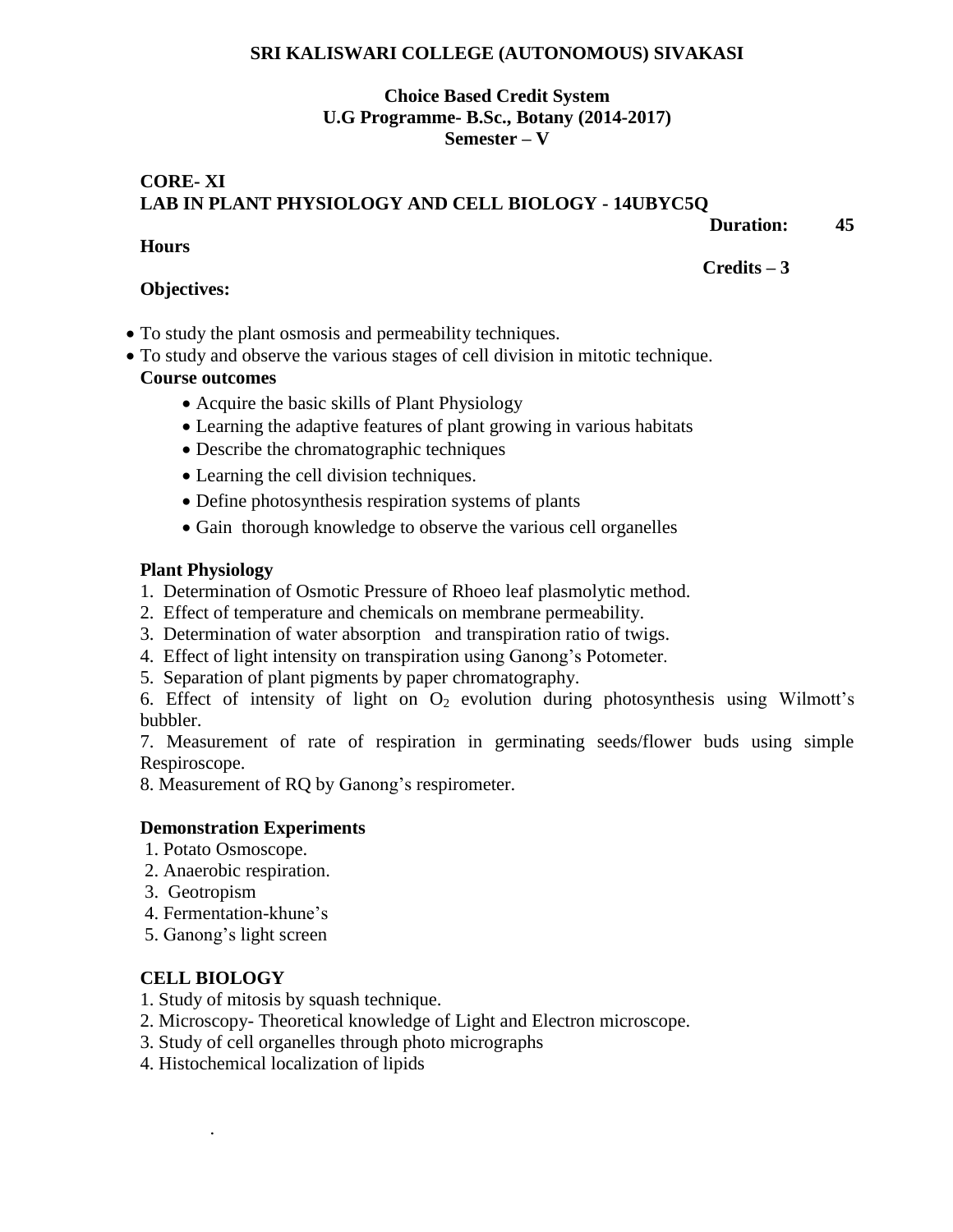#### **SRI KALISWARI COLLEGE (AUTONOMOUS) SIVAKASI**

#### **Choice Based Credit System U.G Programme- B.Sc., Botany (2014-2017) Semester – V**

# **CORE- XI LAB IN PLANT PHYSIOLOGY AND CELL BIOLOGY - 14UBYC5Q**

 **Duration: 45** 

#### **Hours**

 **Credits – 3** 

#### **Objectives:**

- To study the plant osmosis and permeability techniques.
- To study and observe the various stages of cell division in mitotic technique.

# **Course outcomes**

- Acquire the basic skills of Plant Physiology
- Learning the adaptive features of plant growing in various habitats
- Describe the chromatographic techniques
- Learning the cell division techniques.
- Define photosynthesis respiration systems of plants
- Gain thorough knowledge to observe the various cell organelles

#### **Plant Physiology**

- 1. Determination of Osmotic Pressure of Rhoeo leaf plasmolytic method.
- 2. Effect of temperature and chemicals on membrane permeability.
- 3. Determination of water absorption and transpiration ratio of twigs.
- 4. Effect of light intensity on transpiration using Ganong's Potometer.
- 5. Separation of plant pigments by paper chromatography.

6. Effect of intensity of light on  $O_2$  evolution during photosynthesis using Wilmott's bubbler.

7. Measurement of rate of respiration in germinating seeds/flower buds using simple Respiroscope.

8. Measurement of RQ by Ganong's respirometer.

#### **Demonstration Experiments**

- 1. Potato Osmoscope.
- 2. Anaerobic respiration.
- 3. Geotropism
- 4. Fermentation-khune's
- 5. Ganong's light screen

# **CELL BIOLOGY**

.

- 1. Study of mitosis by squash technique.
- 2. Microscopy- Theoretical knowledge of Light and Electron microscope.
- 3. Study of cell organelles through photo micrographs
- 4. Histochemical localization of lipids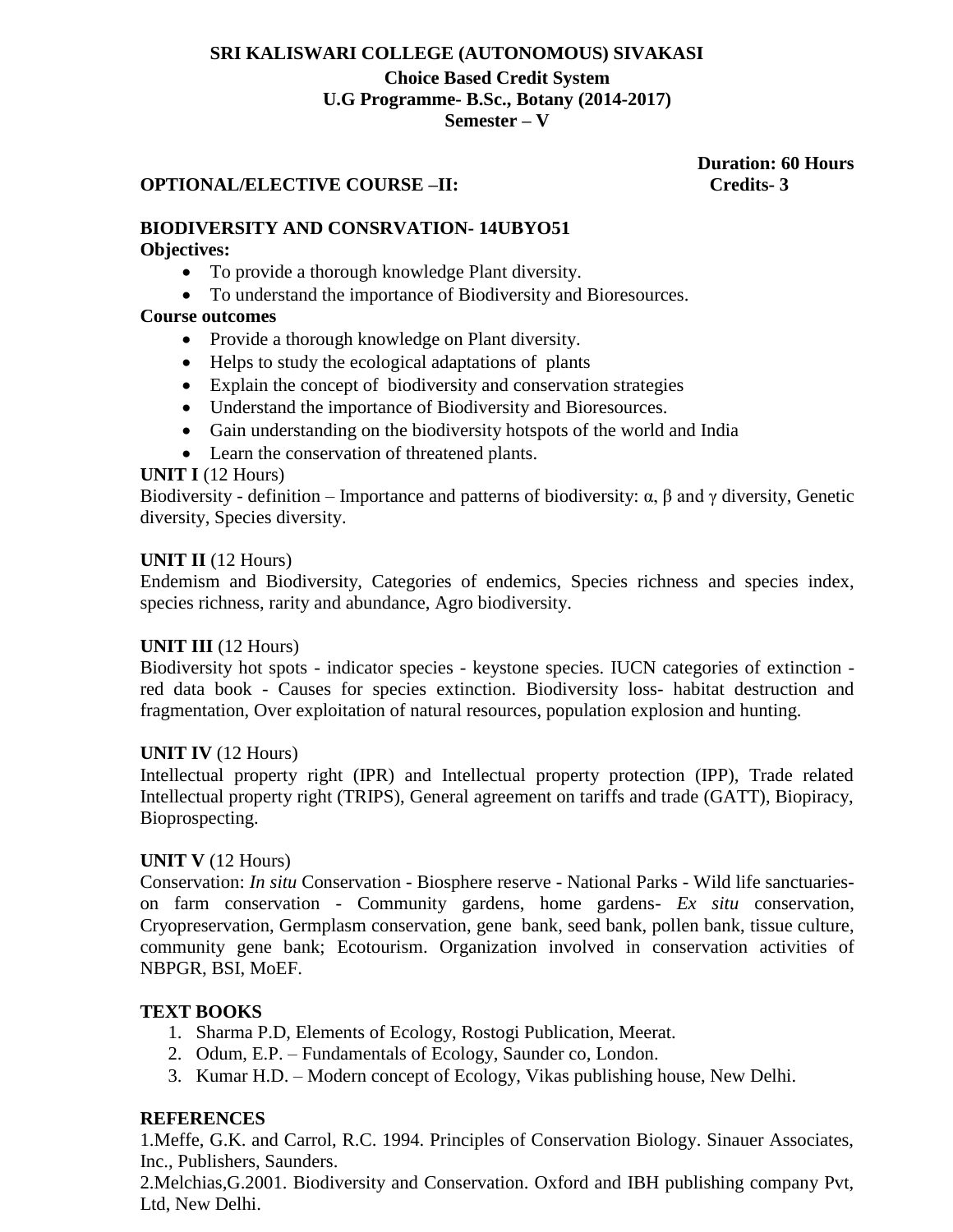# **SRI KALISWARI COLLEGE (AUTONOMOUS) SIVAKASI**

#### **Choice Based Credit System U.G Programme- B.Sc., Botany (2014-2017) Semester – V**

#### **OPTIONAL/ELECTIVE COURSE –II: Credits- 3**

 **Duration: 60 Hours**

#### **BIODIVERSITY AND CONSRVATION- 14UBYO51 Objectives:**

- To provide a thorough knowledge Plant diversity.
- To understand the importance of Biodiversity and Bioresources.

### **Course outcomes**

- Provide a thorough knowledge on Plant diversity.
- Helps to study the ecological adaptations of plants
- Explain the concept of biodiversity and conservation strategies
- Understand the importance of Biodiversity and Bioresources.
- Gain understanding on the biodiversity hotspots of the world and India
- Learn the conservation of threatened plants.

#### **UNIT I** (12 Hours)

Biodiversity - definition – Importance and patterns of biodiversity:  $\alpha$ ,  $\beta$  and  $\gamma$  diversity, Genetic diversity, Species diversity.

#### **UNIT II** (12 Hours)

Endemism and Biodiversity, Categories of endemics, Species richness and species index, species richness, rarity and abundance, Agro biodiversity.

#### **UNIT III** (12 Hours)

Biodiversity hot spots - indicator species - keystone species. IUCN categories of extinction red data book - Causes for species extinction. Biodiversity loss- habitat destruction and fragmentation, Over exploitation of natural resources, population explosion and hunting.

#### **UNIT IV** (12 Hours)

Intellectual property right (IPR) and Intellectual property protection (IPP), Trade related Intellectual property right (TRIPS), General agreement on tariffs and trade (GATT), Biopiracy, Bioprospecting.

#### **UNIT V** (12 Hours)

Conservation: *In situ* Conservation - Biosphere reserve - National Parks - Wild life sanctuarieson farm conservation - Community gardens, home gardens- *Ex situ* conservation, Cryopreservation, Germplasm conservation, gene bank, seed bank, pollen bank, tissue culture, community gene bank; Ecotourism. Organization involved in conservation activities of NBPGR, BSI, MoEF.

# **TEXT BOOKS**

- 1. Sharma P.D, Elements of Ecology, Rostogi Publication, Meerat.
- 2. Odum, E.P. Fundamentals of Ecology, Saunder co, London.
- 3. Kumar H.D. Modern concept of Ecology, Vikas publishing house, New Delhi.

#### **REFERENCES**

1.Meffe, G.K. and Carrol, R.C. 1994. Principles of Conservation Biology. Sinauer Associates, Inc., Publishers, Saunders.

2.Melchias,G.2001. Biodiversity and Conservation. Oxford and IBH publishing company Pvt, Ltd, New Delhi.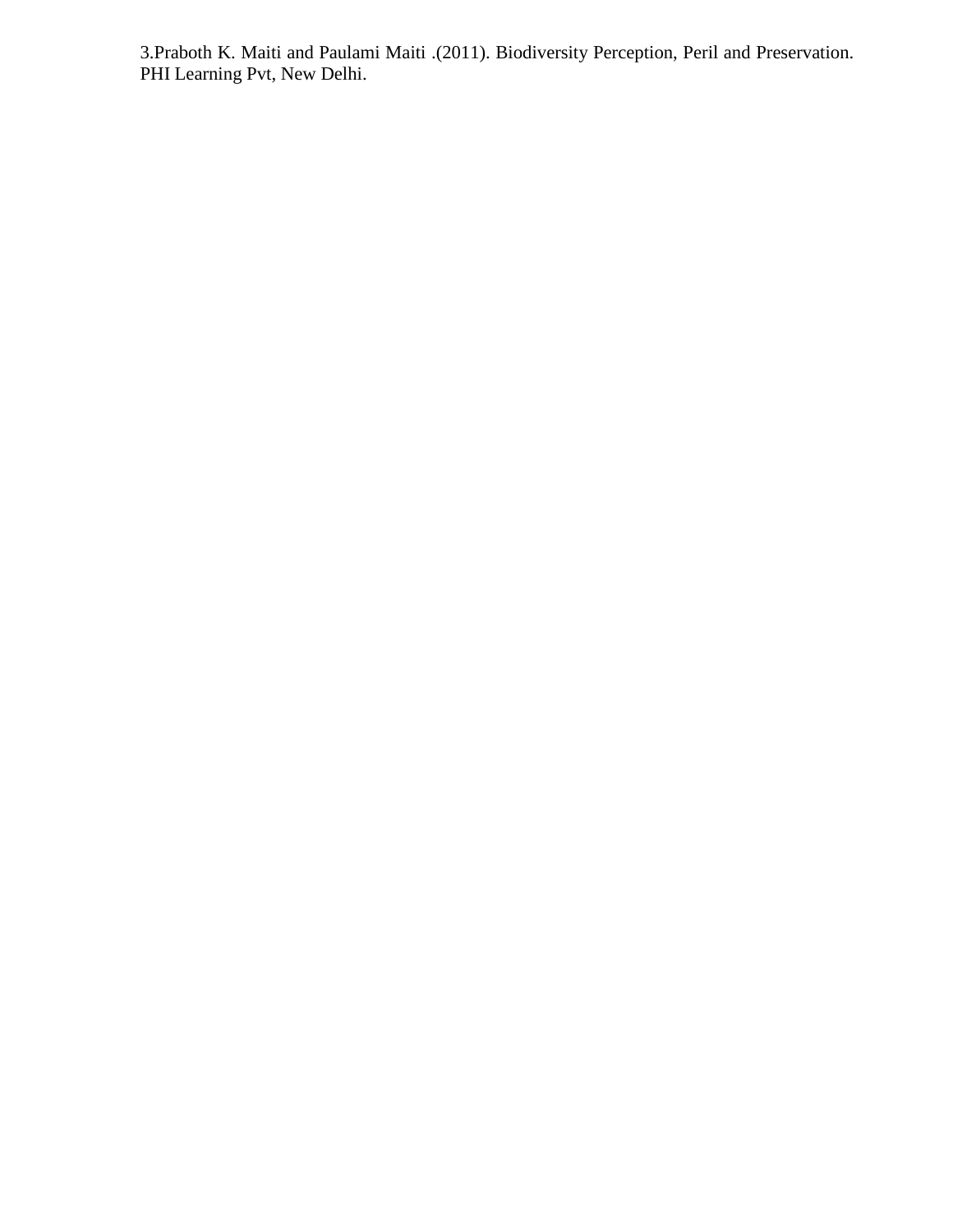3.Praboth K. Maiti and Paulami Maiti .(2011). Biodiversity Perception, Peril and Preservation. PHI Learning Pvt, New Delhi.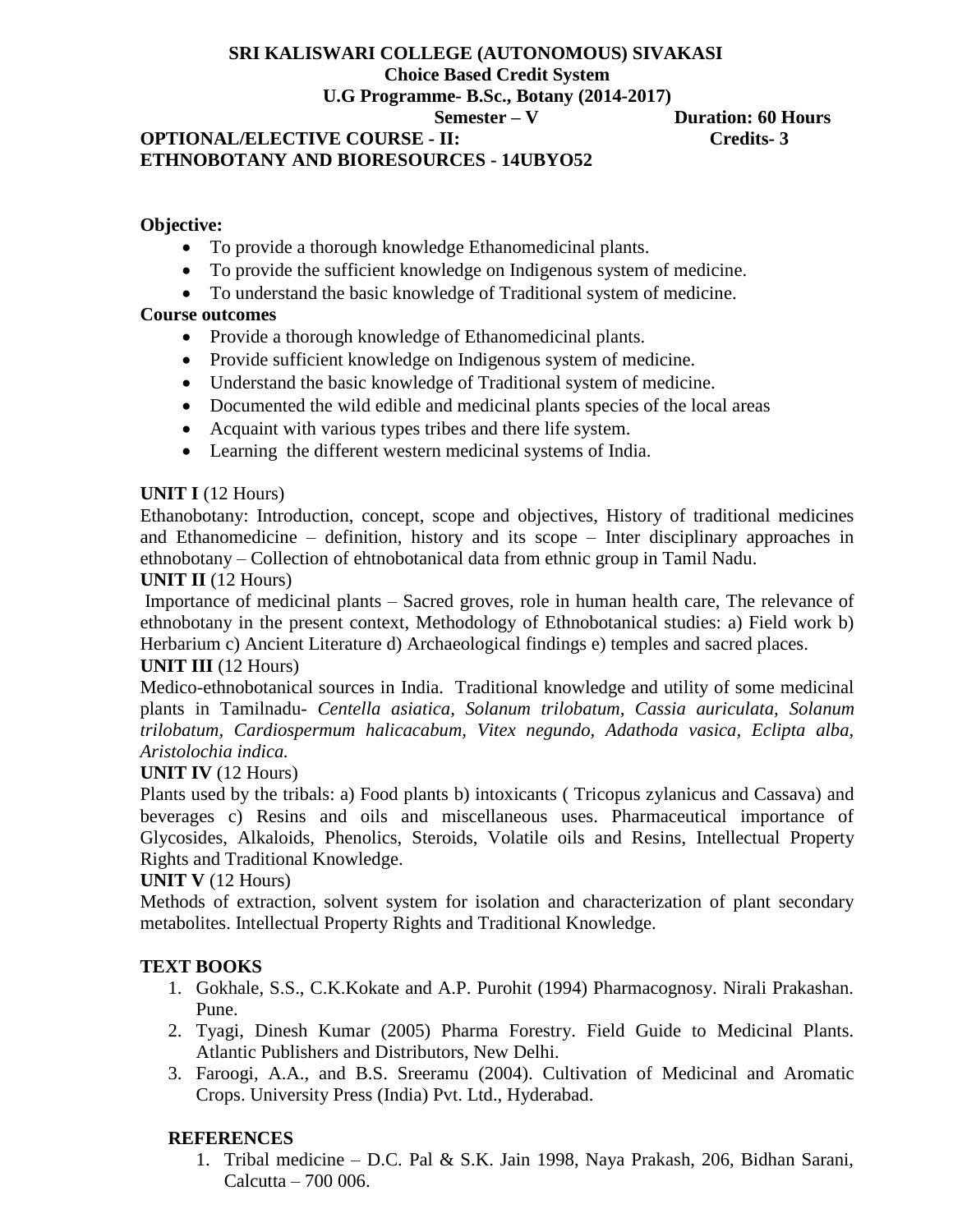# **SRI KALISWARI COLLEGE (AUTONOMOUS) SIVAKASI Choice Based Credit System U.G Programme- B.Sc., Botany (2014-2017)**

# **OPTIONAL/ELECTIVE COURSE - II: Credits- 3 ETHNOBOTANY AND BIORESOURCES - 14UBYO52**

 **Semester – V Duration: 60 Hours** 

### **Objective:**

- To provide a thorough knowledge Ethanomedicinal plants.
- To provide the sufficient knowledge on Indigenous system of medicine.
- To understand the basic knowledge of Traditional system of medicine.

# **Course outcomes**

- Provide a thorough knowledge of Ethanomedicinal plants.
- Provide sufficient knowledge on Indigenous system of medicine.
- Understand the basic knowledge of Traditional system of medicine.
- Documented the wild edible and medicinal plants species of the local areas
- Acquaint with various types tribes and there life system.
- Learning the different western medicinal systems of India.

# **UNIT I** (12 Hours)

Ethanobotany: Introduction, concept, scope and objectives, History of traditional medicines and Ethanomedicine – definition, history and its scope – Inter disciplinary approaches in ethnobotany – Collection of ehtnobotanical data from ethnic group in Tamil Nadu.

# **UNIT II** (12 Hours)

Importance of medicinal plants – Sacred groves, role in human health care, The relevance of ethnobotany in the present context, Methodology of Ethnobotanical studies: a) Field work b) Herbarium c) Ancient Literature d) Archaeological findings e) temples and sacred places. **UNIT III** (12 Hours)

# Medico-ethnobotanical sources in India. Traditional knowledge and utility of some medicinal plants in Tamilnadu- *Centella asiatica, Solanum trilobatum, Cassia auriculata, Solanum trilobatum, Cardiospermum halicacabum, Vitex negundo, Adathoda vasica, Eclipta alba, Aristolochia indica.*

# **UNIT IV** (12 Hours)

Plants used by the tribals: a) Food plants b) intoxicants ( Tricopus zylanicus and Cassava) and beverages c) Resins and oils and miscellaneous uses. Pharmaceutical importance of Glycosides, Alkaloids, Phenolics, Steroids, Volatile oils and Resins, Intellectual Property Rights and Traditional Knowledge.

# **UNIT V** (12 Hours)

Methods of extraction, solvent system for isolation and characterization of plant secondary metabolites. Intellectual Property Rights and Traditional Knowledge.

# **TEXT BOOKS**

- 1. Gokhale, S.S., C.K.Kokate and A.P. Purohit (1994) Pharmacognosy. Nirali Prakashan. Pune.
- 2. Tyagi, Dinesh Kumar (2005) Pharma Forestry. Field Guide to Medicinal Plants. Atlantic Publishers and Distributors, New Delhi.
- 3. Faroogi, A.A., and B.S. Sreeramu (2004). Cultivation of Medicinal and Aromatic Crops. University Press (India) Pvt. Ltd., Hyderabad.

# **REFERENCES**

1. Tribal medicine – D.C. Pal & S.K. Jain 1998, Naya Prakash, 206, Bidhan Sarani, Calcutta – 700 006.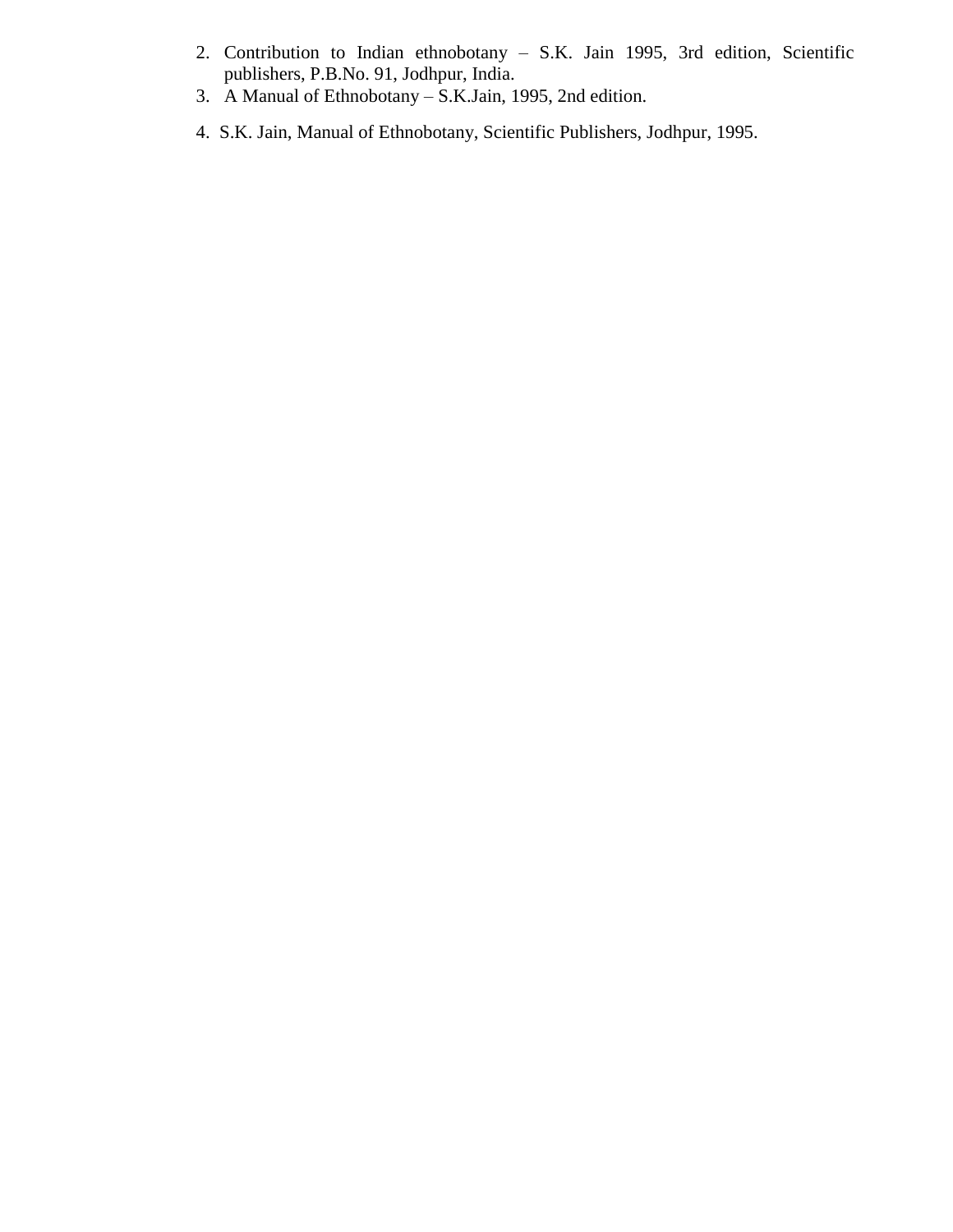- 2. Contribution to Indian ethnobotany S.K. Jain 1995, 3rd edition, Scientific publishers, P.B.No. 91, Jodhpur, India.
- 3. A Manual of Ethnobotany S.K.Jain, 1995, 2nd edition.
- 4. S.K. Jain, Manual of Ethnobotany, Scientific Publishers, Jodhpur, 1995.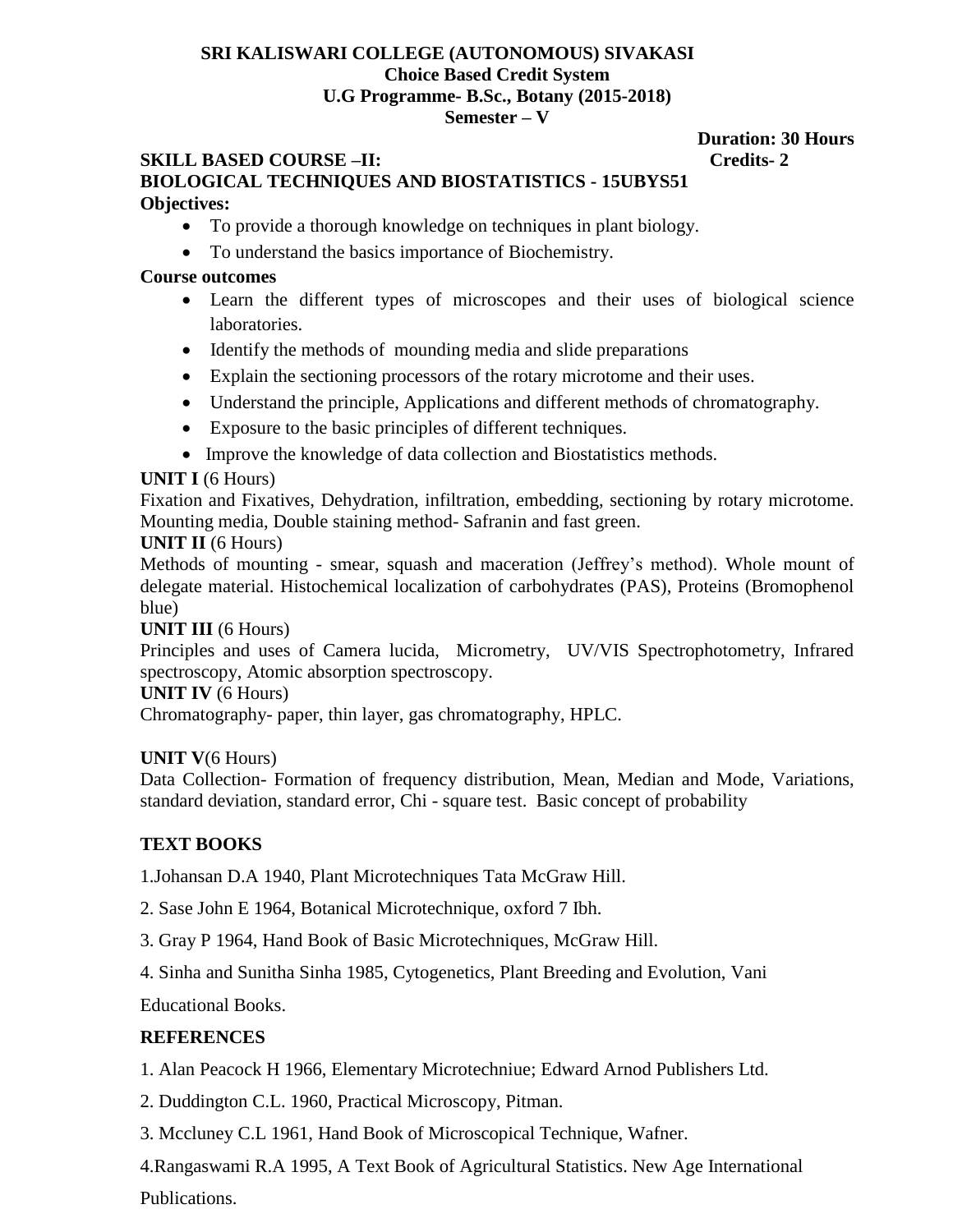#### **SRI KALISWARI COLLEGE (AUTONOMOUS) SIVAKASI Choice Based Credit System U.G Programme- B.Sc., Botany (2015-2018) Semester – V**

#### **SKILL BASED COURSE –II:** Credits-2 **BIOLOGICAL TECHNIQUES AND BIOSTATISTICS - 15UBYS51 Objectives:**

- To provide a thorough knowledge on techniques in plant biology.
- To understand the basics importance of Biochemistry.

### **Course outcomes**

- Learn the different types of microscopes and their uses of biological science laboratories.
- Identify the methods of mounding media and slide preparations
- Explain the sectioning processors of the rotary microtome and their uses.
- Understand the principle, Applications and different methods of chromatography.
- Exposure to the basic principles of different techniques.
- Improve the knowledge of data collection and Biostatistics methods.

# **UNIT I** (6 Hours)

Fixation and Fixatives, Dehydration, infiltration, embedding, sectioning by rotary microtome. Mounting media, Double staining method- Safranin and fast green.

### **UNIT II** (6 Hours)

Methods of mounting - smear, squash and maceration (Jeffrey's method). Whole mount of delegate material. Histochemical localization of carbohydrates (PAS), Proteins (Bromophenol blue)

# **UNIT III** (6 Hours)

Principles and uses of Camera lucida, Micrometry, UV/VIS Spectrophotometry, Infrared spectroscopy, Atomic absorption spectroscopy.

# **UNIT IV** (6 Hours)

Chromatography- paper, thin layer, gas chromatography, HPLC.

# **UNIT V**(6 Hours)

Data Collection- Formation of frequency distribution, Mean, Median and Mode, Variations, standard deviation, standard error, Chi - square test. Basic concept of probability

# **TEXT BOOKS**

1.Johansan D.A 1940, Plant Microtechniques Tata McGraw Hill.

- 2. Sase John E 1964, Botanical Microtechnique, oxford 7 Ibh.
- 3. Gray P 1964, Hand Book of Basic Microtechniques, McGraw Hill.
- 4. Sinha and Sunitha Sinha 1985, Cytogenetics, Plant Breeding and Evolution, Vani

Educational Books.

# **REFERENCES**

1. Alan Peacock H 1966, Elementary Microtechniue; Edward Arnod Publishers Ltd.

- 2. Duddington C.L. 1960, Practical Microscopy, Pitman.
- 3. Mccluney C.L 1961, Hand Book of Microscopical Technique, Wafner.

4.Rangaswami R.A 1995, A Text Book of Agricultural Statistics. New Age International Publications.

# **Duration: 30 Hours**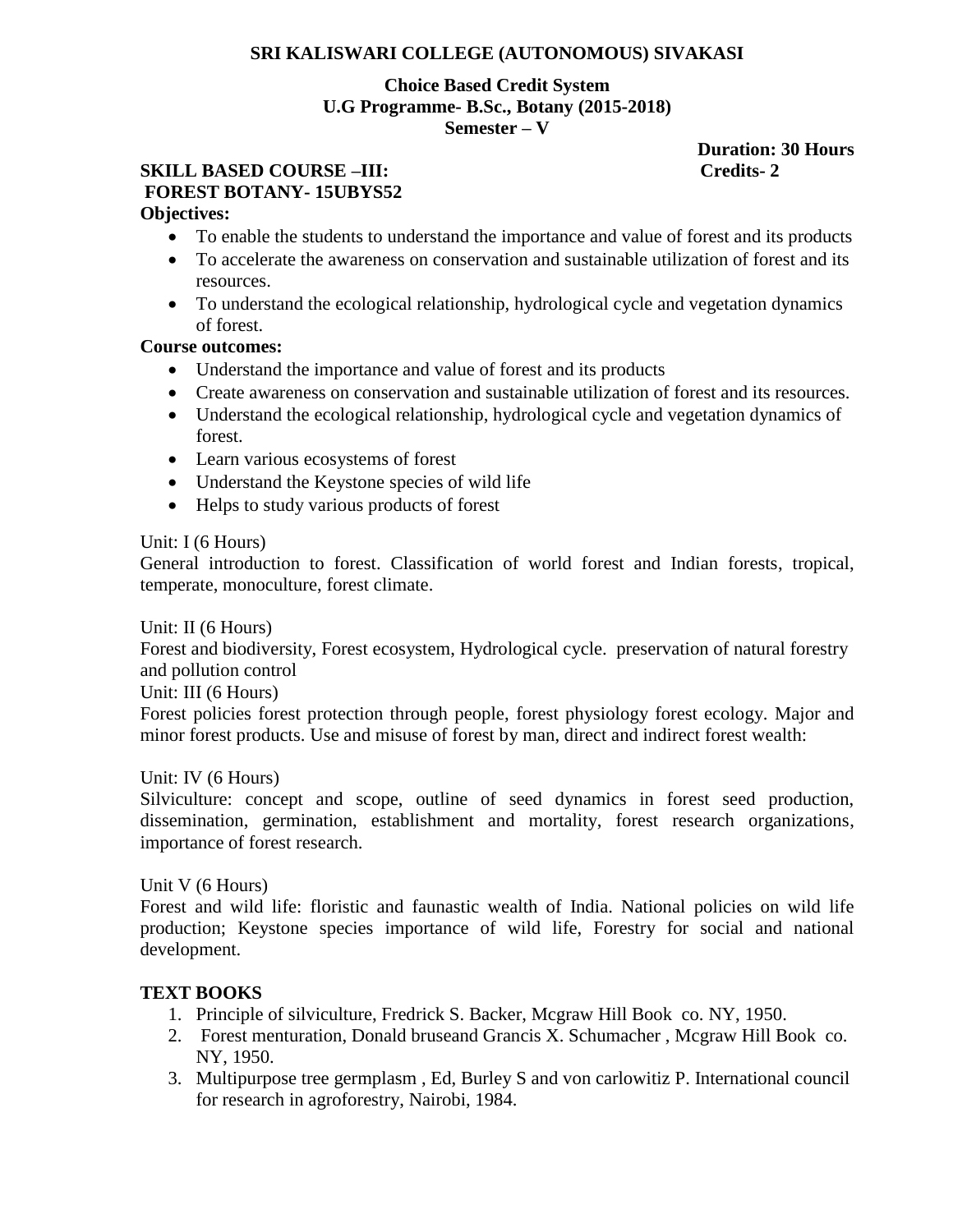#### **SRI KALISWARI COLLEGE (AUTONOMOUS) SIVAKASI**

#### **Choice Based Credit System U.G Programme- B.Sc., Botany (2015-2018) Semester – V**

# **SKILL BASED COURSE –III: Credits- 2 FOREST BOTANY- 15UBYS52**

# **Duration: 30 Hours**

# **Objectives:**

- To enable the students to understand the importance and value of forest and its products
- To accelerate the awareness on conservation and sustainable utilization of forest and its resources.
- To understand the ecological relationship, hydrological cycle and vegetation dynamics of forest.

#### **Course outcomes:**

- Understand the importance and value of forest and its products
- Create awareness on conservation and sustainable utilization of forest and its resources.
- Understand the ecological relationship, hydrological cycle and vegetation dynamics of forest.
- Learn various ecosystems of forest
- Understand the Keystone species of wild life
- Helps to study various products of forest

Unit: I (6 Hours)

General introduction to forest. Classification of world forest and Indian forests, tropical, temperate, monoculture, forest climate.

Unit: II (6 Hours)

Forest and biodiversity, Forest ecosystem, Hydrological cycle. preservation of natural forestry and pollution control

Unit: III (6 Hours)

Forest policies forest protection through people, forest physiology forest ecology. Major and minor forest products. Use and misuse of forest by man, direct and indirect forest wealth:

#### Unit: IV (6 Hours)

Silviculture: concept and scope, outline of seed dynamics in forest seed production, dissemination, germination, establishment and mortality, forest research organizations, importance of forest research.

#### Unit V (6 Hours)

Forest and wild life: floristic and faunastic wealth of India. National policies on wild life production; Keystone species importance of wild life, Forestry for social and national development.

#### **TEXT BOOKS**

- 1. Principle of silviculture, Fredrick S. Backer, Mcgraw Hill Book co. NY, 1950.
- 2. Forest menturation, Donald bruseand Grancis X. Schumacher , Mcgraw Hill Book co. NY, 1950.
- 3. Multipurpose tree germplasm , Ed, Burley S and von carlowitiz P. International council for research in agroforestry, Nairobi, 1984.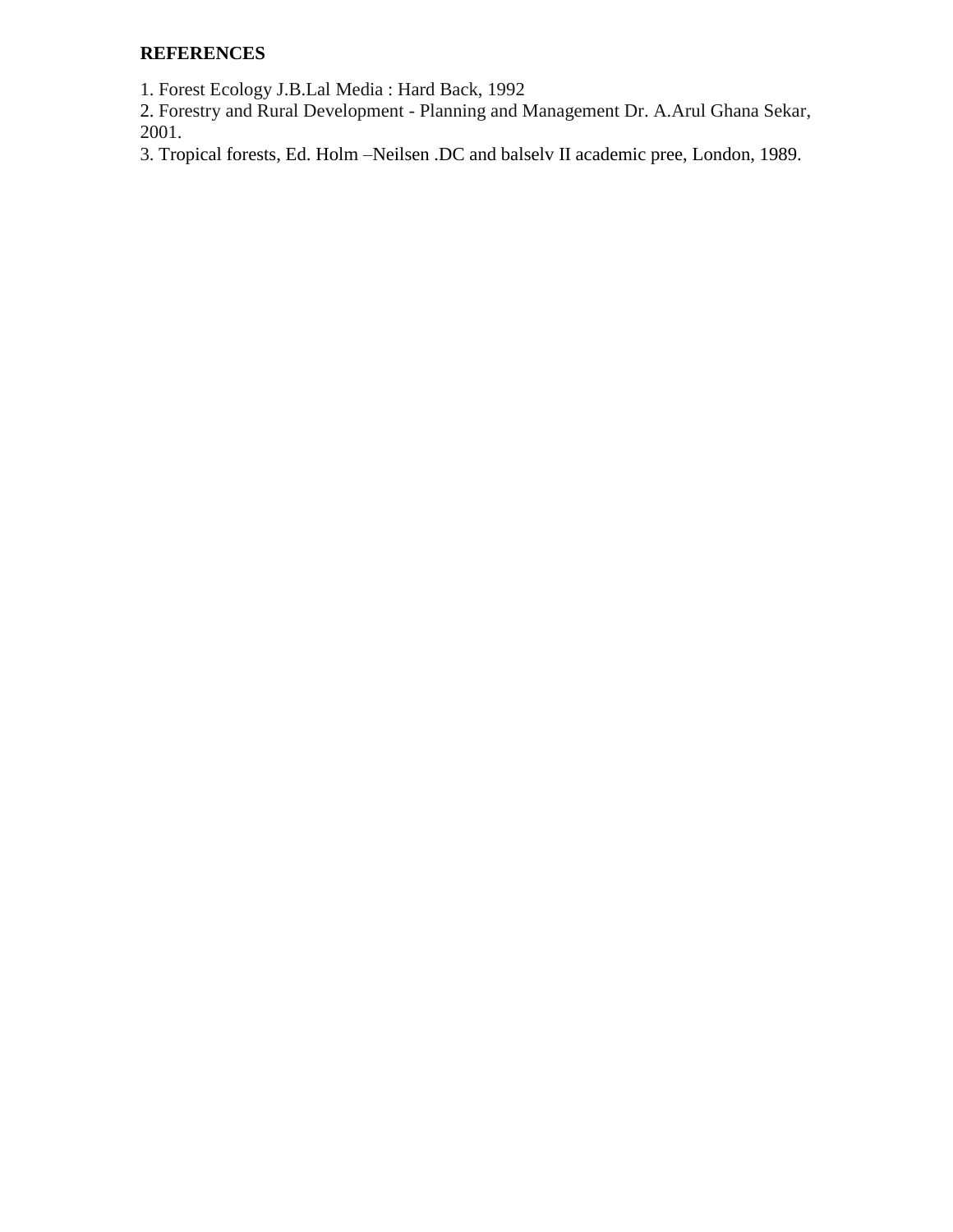# **REFERENCES**

1. Forest Ecology J.B.Lal Media : Hard Back, 1992

2. Forestry and Rural Development - Planning and Management Dr. A.Arul Ghana Sekar, 2001.

3. Tropical forests, Ed. Holm –Neilsen .DC and balselv II academic pree, London, 1989.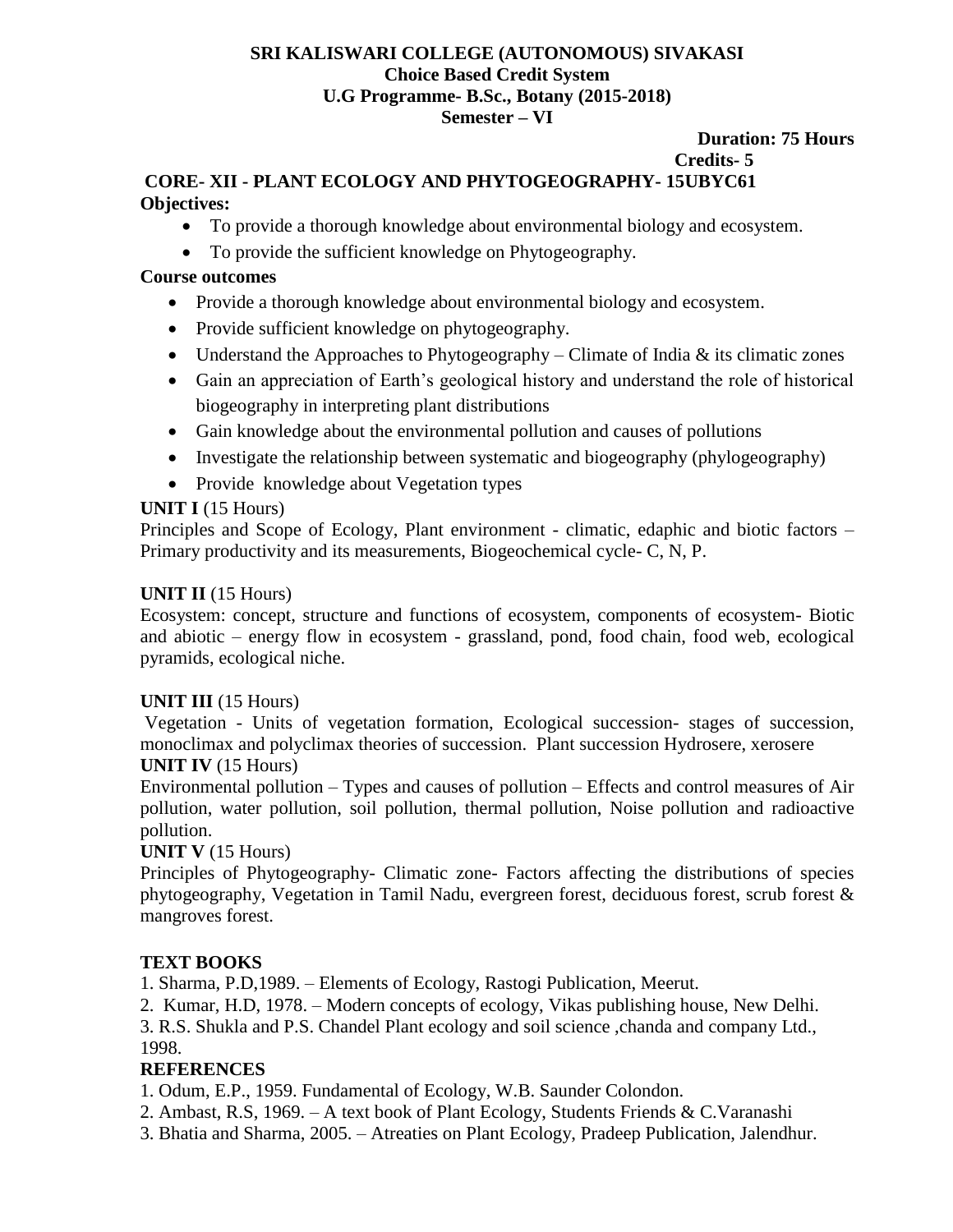#### **SRI KALISWARI COLLEGE (AUTONOMOUS) SIVAKASI Choice Based Credit System U.G Programme- B.Sc., Botany (2015-2018) Semester – VI**

# **Duration: 75 Hours Credits- 5**

# **CORE- XII - PLANT ECOLOGY AND PHYTOGEOGRAPHY- 15UBYC61 Objectives:**

- To provide a thorough knowledge about environmental biology and ecosystem.
- To provide the sufficient knowledge on Phytogeography.

# **Course outcomes**

- Provide a thorough knowledge about environmental biology and ecosystem.
- Provide sufficient knowledge on phytogeography.
- Understand the Approaches to Phytogeography Climate of India  $\&$  its climatic zones
- Gain an appreciation of Earth's geological history and understand the role of historical biogeography in interpreting plant distributions
- Gain knowledge about the environmental pollution and causes of pollutions
- Investigate the relationship between systematic and biogeography (phylogeography)
- Provide knowledge about Vegetation types

# **UNIT I** (15 Hours)

Principles and Scope of Ecology, Plant environment - climatic, edaphic and biotic factors – Primary productivity and its measurements, Biogeochemical cycle- C, N, P.

# **UNIT II** (15 Hours)

Ecosystem: concept, structure and functions of ecosystem, components of ecosystem- Biotic and abiotic – energy flow in ecosystem - grassland, pond, food chain, food web, ecological pyramids, ecological niche.

# **UNIT III** (15 Hours)

Vegetation - Units of vegetation formation, Ecological succession- stages of succession, monoclimax and polyclimax theories of succession. Plant succession Hydrosere, xerosere

# **UNIT IV** (15 Hours)

Environmental pollution – Types and causes of pollution – Effects and control measures of Air pollution, water pollution, soil pollution, thermal pollution, Noise pollution and radioactive pollution.

# **UNIT V** (15 Hours)

Principles of Phytogeography- Climatic zone- Factors affecting the distributions of species phytogeography, Vegetation in Tamil Nadu, evergreen forest, deciduous forest, scrub forest & mangroves forest.

# **TEXT BOOKS**

1. Sharma, P.D,1989. – Elements of Ecology, Rastogi Publication, Meerut.

2. Kumar, H.D, 1978. – Modern concepts of ecology, Vikas publishing house, New Delhi.

3. R.S. Shukla and P.S. Chandel Plant ecology and soil science ,chanda and company Ltd., 1998.

# **REFERENCES**

1. Odum, E.P., 1959. Fundamental of Ecology, W.B. Saunder Colondon.

- 2. Ambast, R.S, 1969. A text book of Plant Ecology, Students Friends & C.Varanashi
- 3. Bhatia and Sharma, 2005. Atreaties on Plant Ecology, Pradeep Publication, Jalendhur.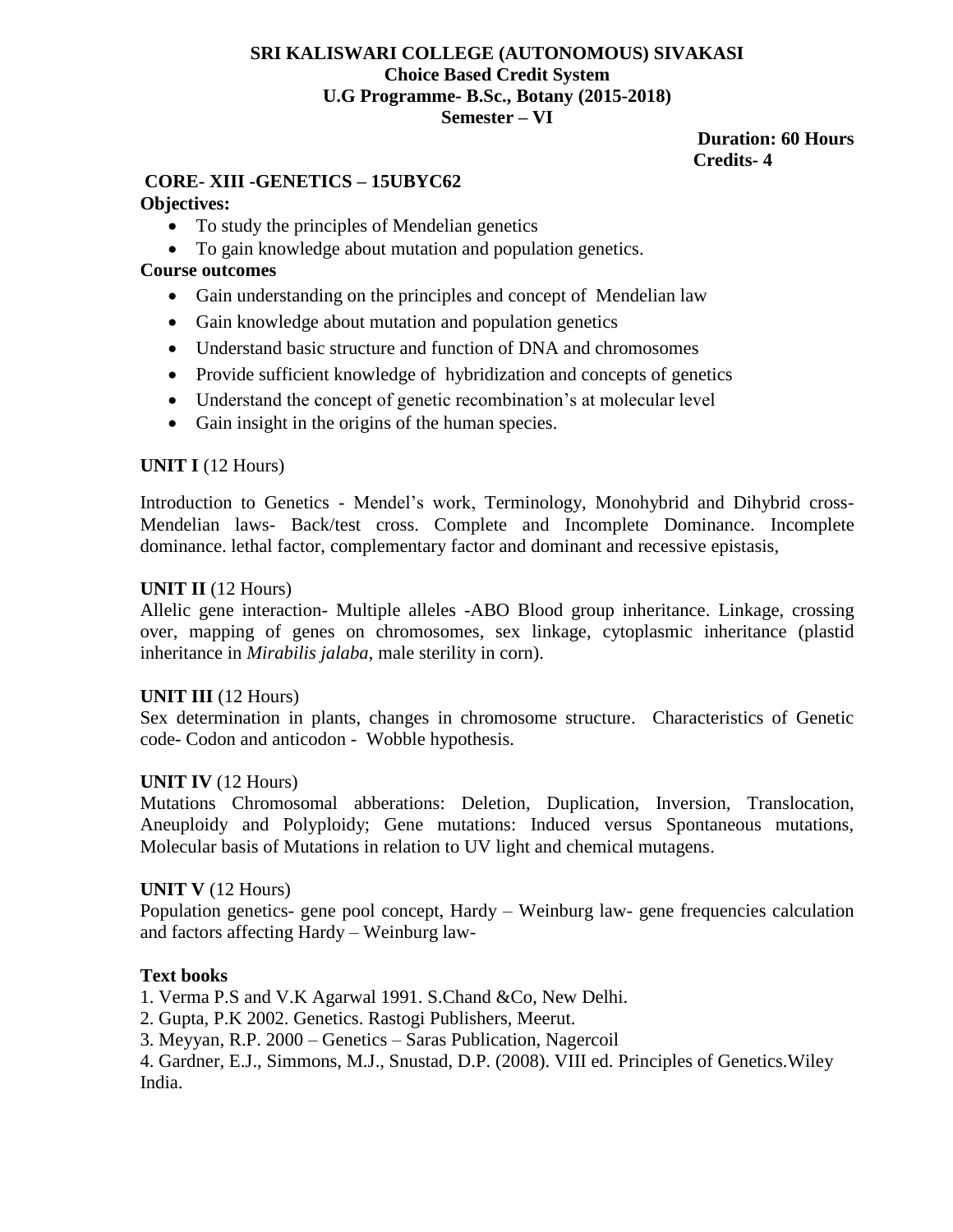#### **SRI KALISWARI COLLEGE (AUTONOMOUS) SIVAKASI Choice Based Credit System U.G Programme- B.Sc., Botany (2015-2018) Semester – VI**

#### **Duration: 60 Hours Credits- 4**

# **CORE- XIII -GENETICS – 15UBYC62**

# **Objectives:**

- To study the principles of Mendelian genetics
- To gain knowledge about mutation and population genetics.

# **Course outcomes**

- Gain understanding on the principles and concept of Mendelian law
- Gain knowledge about mutation and population genetics
- Understand basic structure and function of DNA and chromosomes
- Provide sufficient knowledge of hybridization and concepts of genetics
- Understand the concept of genetic recombination's at molecular level
- Gain insight in the origins of the human species.

# **UNIT I** (12 Hours)

Introduction to Genetics - Mendel's work, Terminology, Monohybrid and Dihybrid cross-Mendelian laws- Back/test cross. Complete and Incomplete Dominance. Incomplete dominance. lethal factor, complementary factor and dominant and recessive epistasis,

### **UNIT II** (12 Hours)

Allelic gene interaction- Multiple alleles -ABO Blood group inheritance. Linkage, crossing over, mapping of genes on chromosomes, sex linkage, cytoplasmic inheritance (plastid inheritance in *Mirabilis jalaba*, male sterility in corn).

# **UNIT III** (12 Hours)

Sex determination in plants, changes in chromosome structure. Characteristics of Genetic code- Codon and anticodon - Wobble hypothesis.

# **UNIT IV** (12 Hours)

Mutations Chromosomal abberations: Deletion, Duplication, Inversion, Translocation, Aneuploidy and Polyploidy; Gene mutations: Induced versus Spontaneous mutations, Molecular basis of Mutations in relation to UV light and chemical mutagens.

#### **UNIT V** (12 Hours)

Population genetics- gene pool concept, Hardy – Weinburg law- gene frequencies calculation and factors affecting Hardy – Weinburg law-

# **Text books**

1. Verma P.S and V.K Agarwal 1991. S.Chand &Co, New Delhi.

2. Gupta, P.K 2002. Genetics. Rastogi Publishers, Meerut.

3. Meyyan, R.P. 2000 – Genetics – Saras Publication, Nagercoil

4. Gardner, E.J., Simmons, M.J., Snustad, D.P. (2008). VIII ed. Principles of Genetics.Wiley India.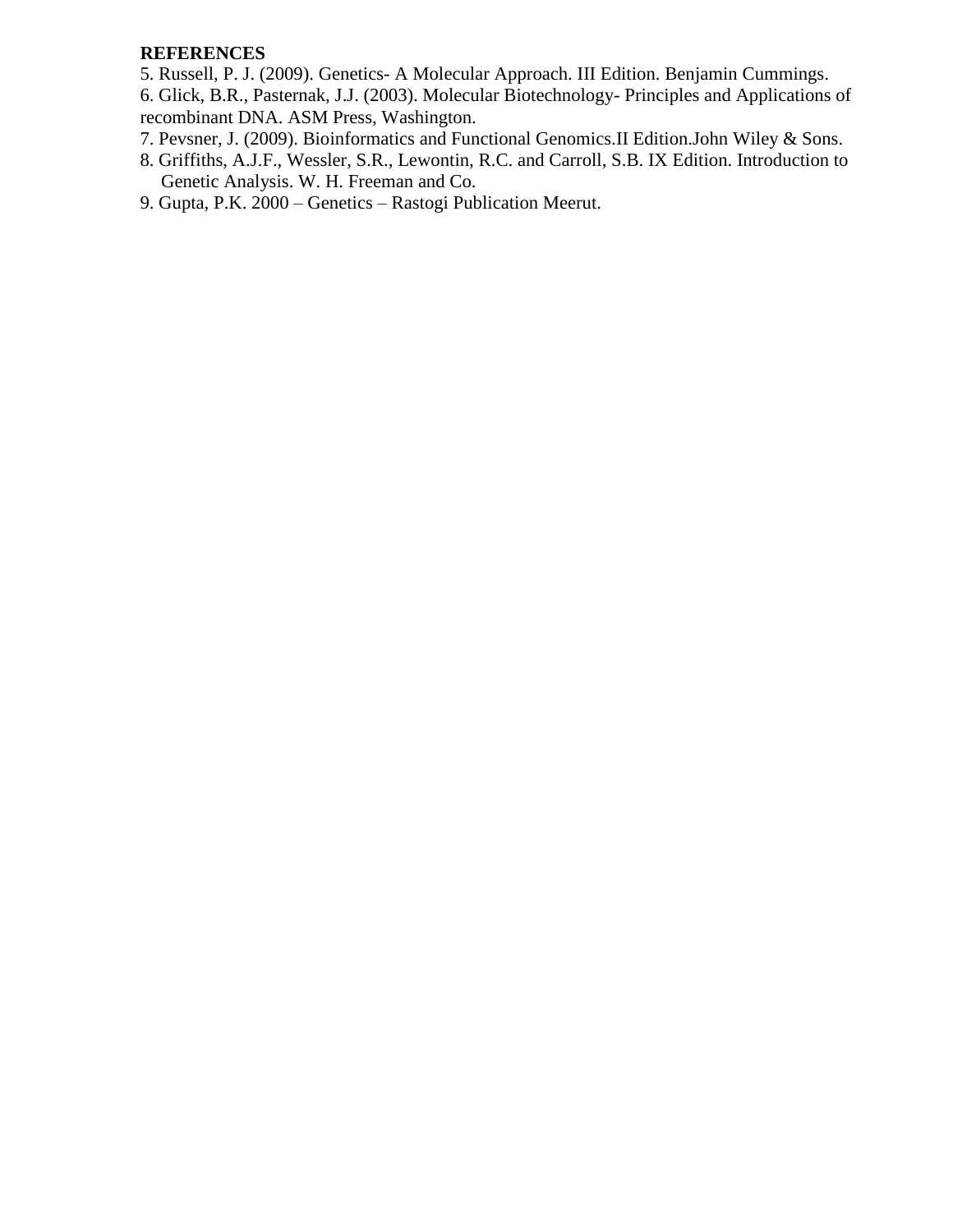#### **REFERENCES**

5. Russell, P. J. (2009). Genetics- A Molecular Approach. III Edition. Benjamin Cummings.

6. Glick, B.R., Pasternak, J.J. (2003). Molecular Biotechnology- Principles and Applications of recombinant DNA. ASM Press, Washington.

- 7. Pevsner, J. (2009). Bioinformatics and Functional Genomics.II Edition.John Wiley & Sons.
- 8. Griffiths, A.J.F., Wessler, S.R., Lewontin, R.C. and Carroll, S.B. IX Edition. Introduction to Genetic Analysis. W. H. Freeman and Co.
- 9. Gupta, P.K. 2000 Genetics Rastogi Publication Meerut.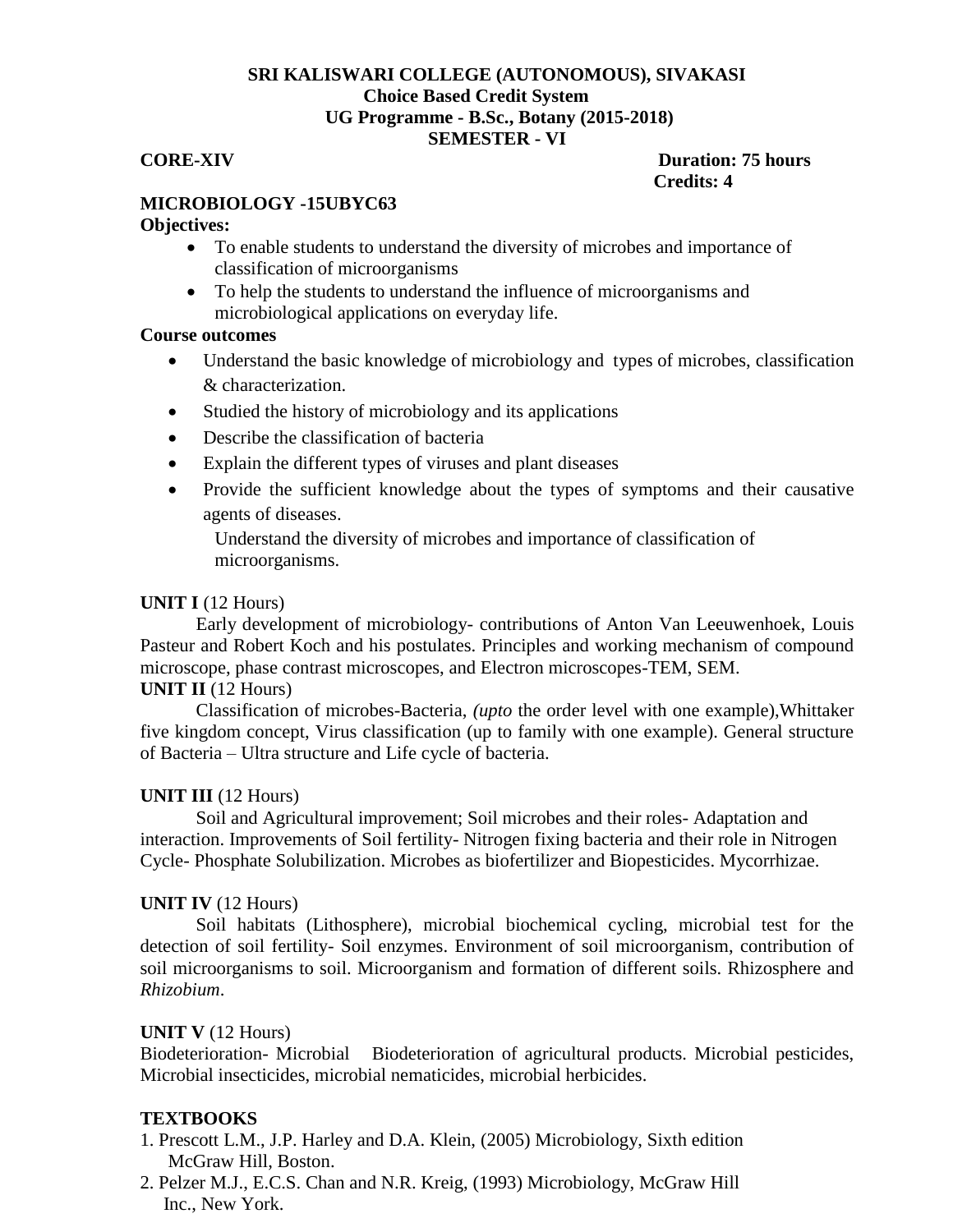#### **SRI KALISWARI COLLEGE (AUTONOMOUS), SIVAKASI Choice Based Credit System UG Programme - B.Sc., Botany (2015-2018) SEMESTER - VI**

#### **CORE-XIV Duration: 75 hours Credits: 4**

# **MICROBIOLOGY -15UBYC63**

#### **Objectives:**

- To enable students to understand the diversity of microbes and importance of classification of microorganisms
- To help the students to understand the influence of microorganisms and microbiological applications on everyday life.

#### **Course outcomes**

- Understand the basic knowledge of microbiology and types of microbes, classification & characterization.
- Studied the history of microbiology and its applications
- Describe the classification of bacteria
- Explain the different types of viruses and plant diseases
- Provide the sufficient knowledge about the types of symptoms and their causative agents of diseases.

Understand the diversity of microbes and importance of classification of microorganisms.

#### **UNIT I** (12 Hours)

Early development of microbiology- contributions of Anton Van Leeuwenhoek, Louis Pasteur and Robert Koch and his postulates. Principles and working mechanism of compound microscope, phase contrast microscopes, and Electron microscopes-TEM, SEM.

#### **UNIT II** (12 Hours)

Classification of microbes-Bacteria, *(upto* the order level with one example),Whittaker five kingdom concept, Virus classification (up to family with one example). General structure of Bacteria – Ultra structure and Life cycle of bacteria.

#### **UNIT III** (12 Hours)

Soil and Agricultural improvement; Soil microbes and their roles- Adaptation and interaction. Improvements of Soil fertility- Nitrogen fixing bacteria and their role in Nitrogen Cycle- Phosphate Solubilization. Microbes as biofertilizer and Biopesticides. Mycorrhizae.

#### **UNIT IV** (12 Hours)

Soil habitats (Lithosphere), microbial biochemical cycling, microbial test for the detection of soil fertility- Soil enzymes. Environment of soil microorganism, contribution of soil microorganisms to soil. Microorganism and formation of different soils. Rhizosphere and *Rhizobium*.

#### **UNIT V** (12 Hours)

Biodeterioration- Microbial Biodeterioration of agricultural products. Microbial pesticides, Microbial insecticides, microbial nematicides, microbial herbicides.

#### **TEXTBOOKS**

- 1. Prescott L.M., J.P. Harley and D.A. Klein, (2005) Microbiology, Sixth edition McGraw Hill, Boston.
- 2. Pelzer M.J., E.C.S. Chan and N.R. Kreig, (1993) Microbiology, McGraw Hill Inc., New York.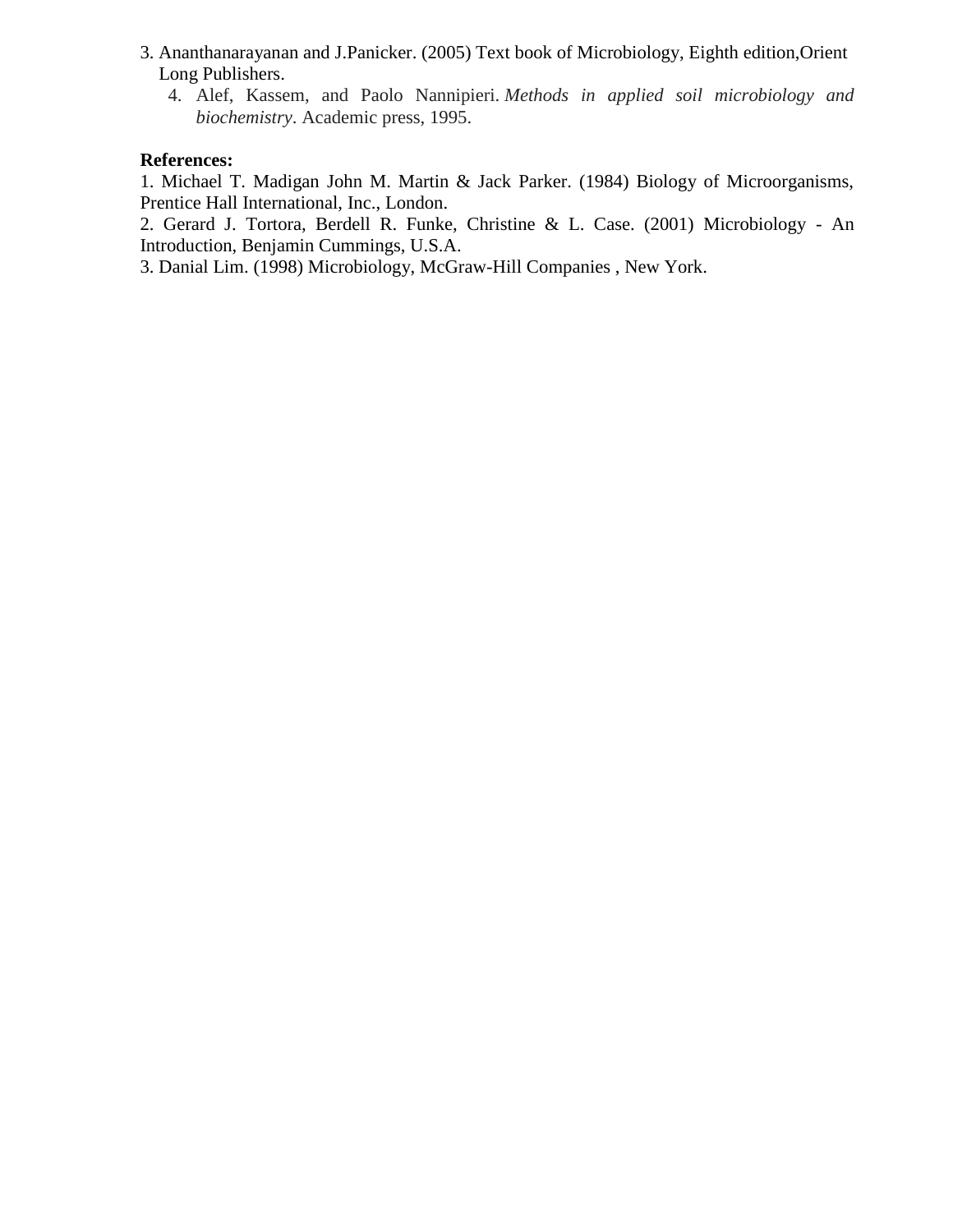- 3. Ananthanarayanan and J.Panicker. (2005) Text book of Microbiology, Eighth edition,Orient Long Publishers.
	- 4. Alef, Kassem, and Paolo Nannipieri. *Methods in applied soil microbiology and biochemistry*. Academic press, 1995.

#### **References:**

1. Michael T. Madigan John M. Martin & Jack Parker. (1984) Biology of Microorganisms, Prentice Hall International, Inc., London.

2. Gerard J. Tortora, Berdell R. Funke, Christine & L. Case. (2001) Microbiology - An Introduction, Benjamin Cummings, U.S.A.

3. Danial Lim. (1998) Microbiology, McGraw-Hill Companies , New York.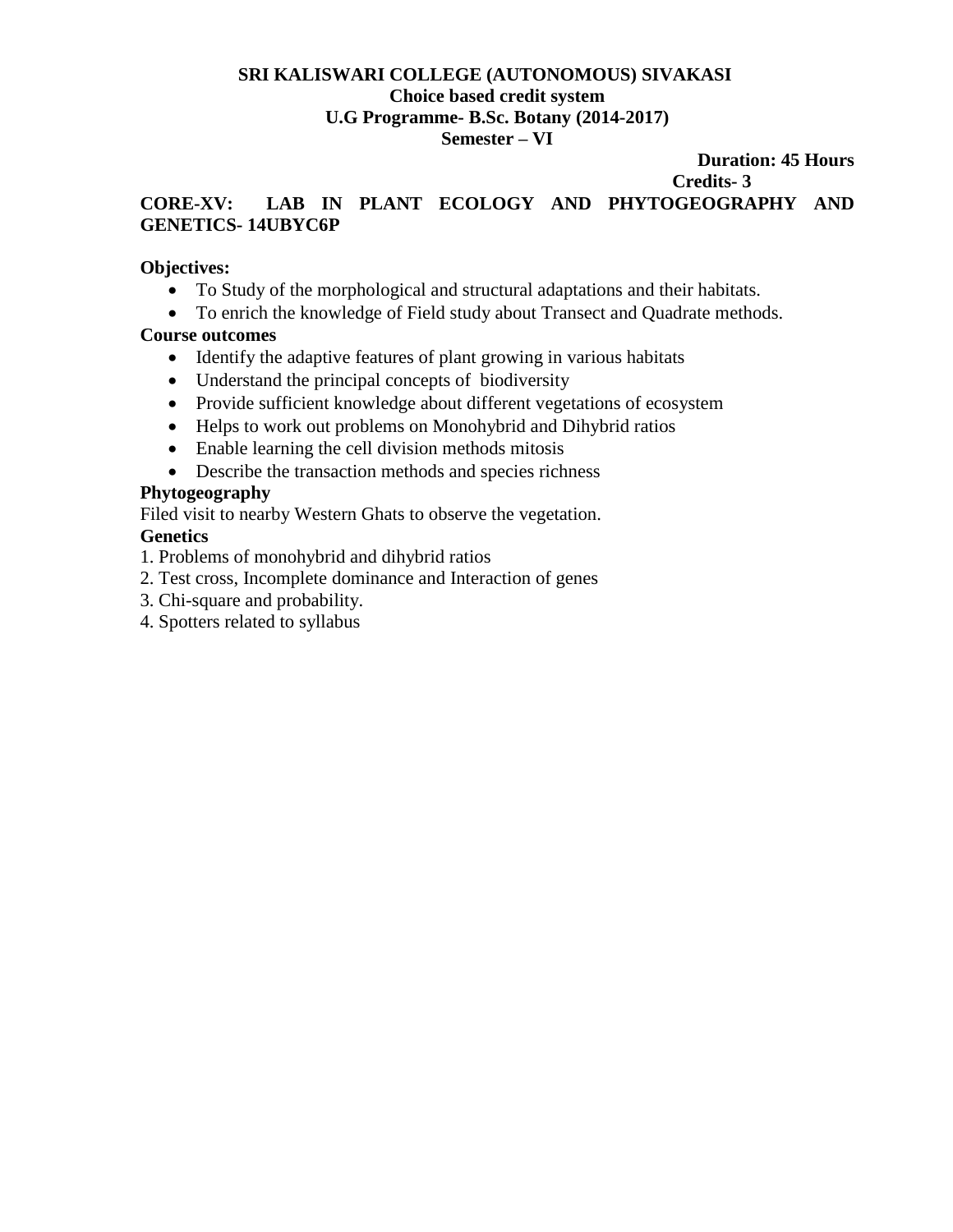#### **SRI KALISWARI COLLEGE (AUTONOMOUS) SIVAKASI Choice based credit system U.G Programme- B.Sc. Botany (2014-2017) Semester – VI**

#### **Duration: 45 Hours Credits- 3**

# **CORE-XV: LAB IN PLANT ECOLOGY AND PHYTOGEOGRAPHY AND GENETICS- 14UBYC6P**

### **Objectives:**

- To Study of the morphological and structural adaptations and their habitats.
- To enrich the knowledge of Field study about Transect and Quadrate methods.

# **Course outcomes**

- Identify the adaptive features of plant growing in various habitats
- Understand the principal concepts of biodiversity
- Provide sufficient knowledge about different vegetations of ecosystem
- Helps to work out problems on Monohybrid and Dihybrid ratios
- Enable learning the cell division methods mitosis
- Describe the transaction methods and species richness

# **Phytogeography**

Filed visit to nearby Western Ghats to observe the vegetation.

# **Genetics**

- 1. Problems of monohybrid and dihybrid ratios
- 2. Test cross, Incomplete dominance and Interaction of genes
- 3. Chi-square and probability.
- 4. Spotters related to syllabus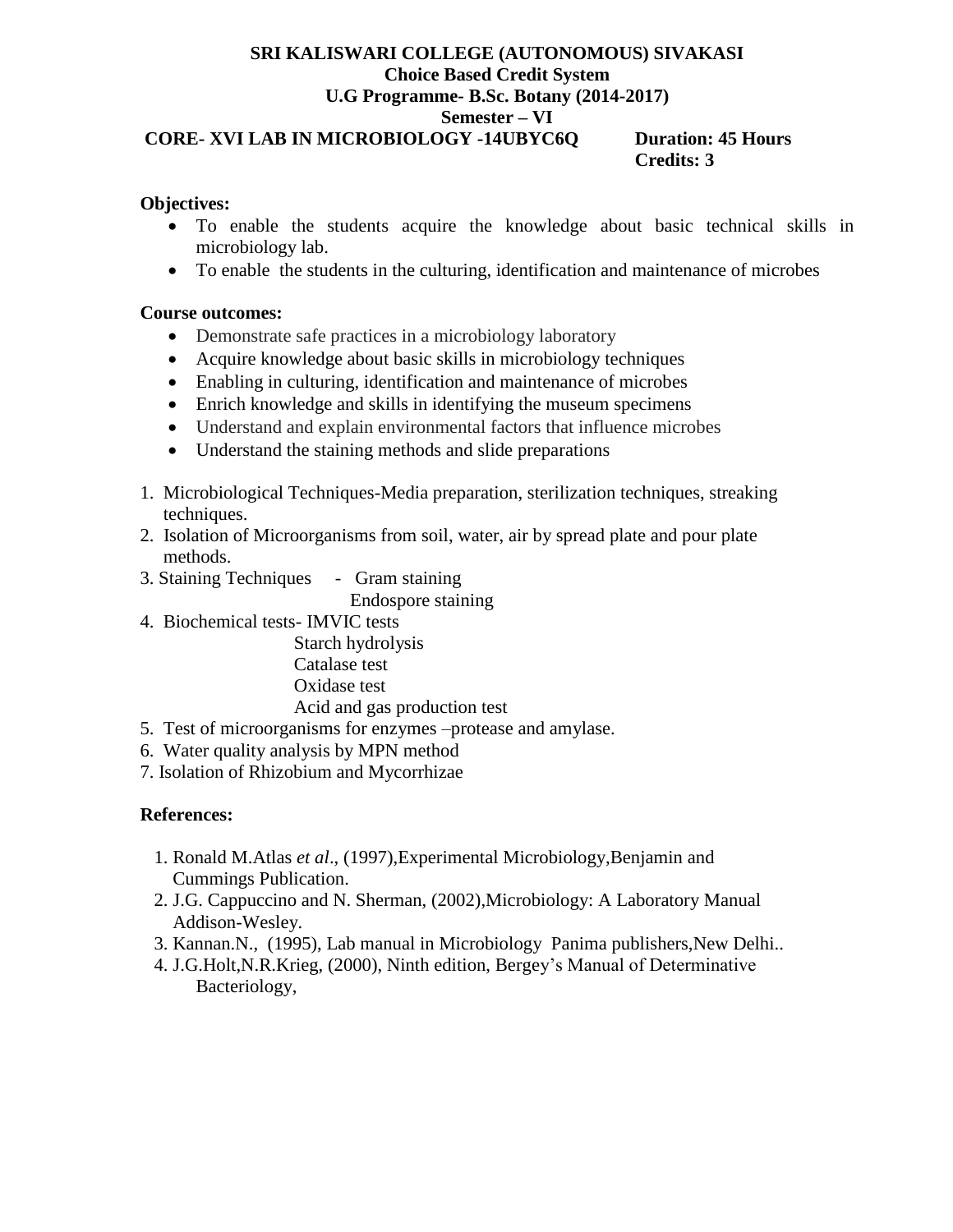#### **SRI KALISWARI COLLEGE (AUTONOMOUS) SIVAKASI Choice Based Credit System U.G Programme- B.Sc. Botany (2014-2017) Semester – VI CORE- XVI LAB IN MICROBIOLOGY -14UBYC6Q Duration: 45 Hours Credits: 3**

#### **Objectives:**

- To enable the students acquire the knowledge about basic technical skills in microbiology lab.
- To enable the students in the culturing, identification and maintenance of microbes

#### **Course outcomes:**

- Demonstrate safe practices in a microbiology laboratory
- Acquire knowledge about basic skills in microbiology techniques
- Enabling in culturing, identification and maintenance of microbes
- Enrich knowledge and skills in identifying the museum specimens
- Understand and explain environmental factors that influence microbes
- Understand the staining methods and slide preparations
- 1. Microbiological Techniques-Media preparation, sterilization techniques, streaking techniques.
- 2. Isolation of Microorganisms from soil, water, air by spread plate and pour plate methods.
- 3. Staining Techniques Gram staining

Endospore staining

4. Biochemical tests- IMVIC tests

 Starch hydrolysis Catalase test Oxidase test Acid and gas production test

- 5. Test of microorganisms for enzymes –protease and amylase.
- 6. Water quality analysis by MPN method
- 7. Isolation of Rhizobium and Mycorrhizae

#### **References:**

- 1. Ronald M.Atlas *et al*., (1997),Experimental Microbiology,Benjamin and Cummings Publication.
- 2. J.G. Cappuccino and N. Sherman, (2002),Microbiology: A Laboratory Manual Addison-Wesley.
- 3. Kannan.N., (1995), Lab manual in Microbiology Panima publishers,New Delhi..
- 4. J.G.Holt,N.R.Krieg, (2000), Ninth edition, Bergey's Manual of Determinative Bacteriology,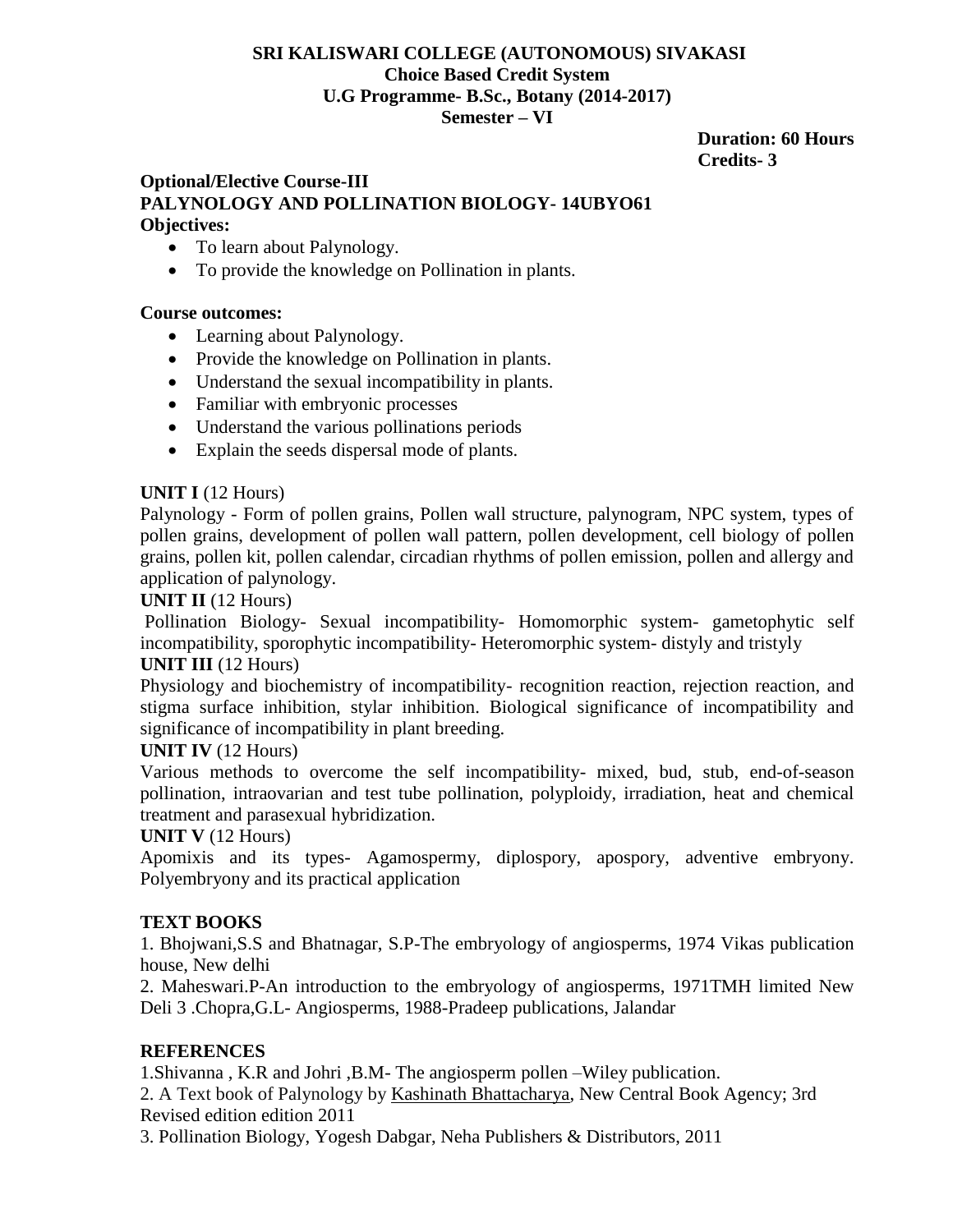# **SRI KALISWARI COLLEGE (AUTONOMOUS) SIVAKASI Choice Based Credit System U.G Programme- B.Sc., Botany (2014-2017) Semester – VI**

 **Duration: 60 Hours Credits- 3**

# **Optional/Elective Course-III PALYNOLOGY AND POLLINATION BIOLOGY- 14UBYO61 Objectives:**

- To learn about Palynology.
- To provide the knowledge on Pollination in plants.

#### **Course outcomes:**

- Learning about Palynology.
- Provide the knowledge on Pollination in plants.
- Understand the sexual incompatibility in plants.
- Familiar with embryonic processes
- Understand the various pollinations periods
- Explain the seeds dispersal mode of plants.

#### **UNIT I** (12 Hours)

Palynology - Form of pollen grains, Pollen wall structure, palynogram, NPC system, types of pollen grains, development of pollen wall pattern, pollen development, cell biology of pollen grains, pollen kit, pollen calendar, circadian rhythms of pollen emission, pollen and allergy and application of palynology.

#### **UNIT II** (12 Hours)

Pollination Biology- Sexual incompatibility- Homomorphic system- gametophytic self incompatibility, sporophytic incompatibility- Heteromorphic system- distyly and tristyly

#### **UNIT III** (12 Hours)

Physiology and biochemistry of incompatibility- recognition reaction, rejection reaction, and stigma surface inhibition, stylar inhibition. Biological significance of incompatibility and significance of incompatibility in plant breeding.

#### **UNIT IV** (12 Hours)

Various methods to overcome the self incompatibility- mixed, bud, stub, end-of-season pollination, intraovarian and test tube pollination, polyploidy, irradiation, heat and chemical treatment and parasexual hybridization.

#### **UNIT V** (12 Hours)

Apomixis and its types- Agamospermy, diplospory, apospory, adventive embryony. Polyembryony and its practical application

#### **TEXT BOOKS**

1. Bhojwani,S.S and Bhatnagar, S.P-The embryology of angiosperms, 1974 Vikas publication house, New delhi

2. Maheswari.P-An introduction to the embryology of angiosperms, 1971TMH limited New Deli 3 .Chopra,G.L- Angiosperms, 1988-Pradeep publications, Jalandar

#### **REFERENCES**

1.Shivanna , K.R and Johri ,B.M- The angiosperm pollen –Wiley publication.

2. A Text book of Palynology by [Kashinath Bhattacharya,](http://www.amazon.in/Kashinath-Bhattacharya/e/B00ODSJQZA/ref=dp_byline_cont_book_1) New Central Book Agency; 3rd Revised edition edition 2011

3. Pollination Biology, Yogesh Dabgar, Neha Publishers & Distributors, 2011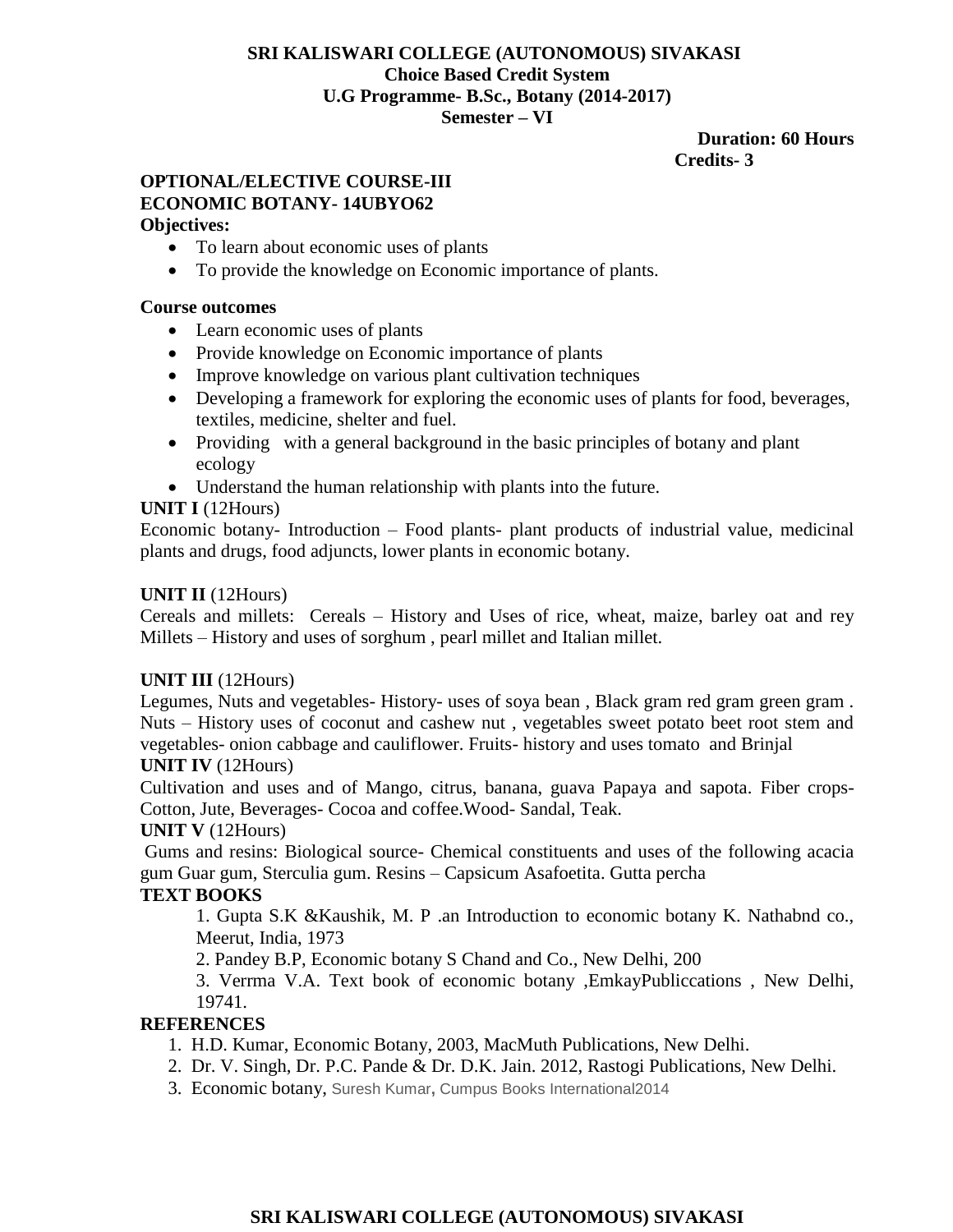#### **SRI KALISWARI COLLEGE (AUTONOMOUS) SIVAKASI Choice Based Credit System U.G Programme- B.Sc., Botany (2014-2017) Semester – VI**

#### **Duration: 60 Hours Credits- 3**

#### **OPTIONAL/ELECTIVE COURSE-III ECONOMIC BOTANY- 14UBYO62 Objectives:**

- To learn about economic uses of plants
- To provide the knowledge on Economic importance of plants.

### **Course outcomes**

- Learn economic uses of plants
- Provide knowledge on Economic importance of plants
- Improve knowledge on various plant cultivation techniques
- Developing a framework for exploring the economic uses of plants for food, beverages, textiles, medicine, shelter and fuel.
- Providing with a general background in the basic principles of botany and plant ecology
- Understand the human relationship with plants into the future.

### **UNIT I** (12Hours)

Economic botany- Introduction – Food plants- plant products of industrial value, medicinal plants and drugs, food adjuncts, lower plants in economic botany.

#### **UNIT II** (12Hours)

Cereals and millets: Cereals – History and Uses of rice, wheat, maize, barley oat and rey Millets – History and uses of sorghum , pearl millet and Italian millet.

# **UNIT III** (12Hours)

Legumes, Nuts and vegetables- History- uses of soya bean, Black gram red gram green gram. Nuts – History uses of coconut and cashew nut , vegetables sweet potato beet root stem and vegetables- onion cabbage and cauliflower. Fruits- history and uses tomato and Brinjal

#### **UNIT IV** (12Hours)

Cultivation and uses and of Mango, citrus, banana, guava Papaya and sapota. Fiber crops-Cotton, Jute, Beverages- Cocoa and coffee.Wood- Sandal, Teak.

#### **UNIT V** (12Hours)

Gums and resins: Biological source- Chemical constituents and uses of the following acacia gum Guar gum, Sterculia gum. Resins – Capsicum Asafoetita. Gutta percha

# **TEXT BOOKS**

1. Gupta S.K &Kaushik, M. P .an Introduction to economic botany K. Nathabnd co., Meerut, India, 1973

2. Pandey B.P, Economic botany S Chand and Co., New Delhi, 200

3. Verrma V.A. Text book of economic botany ,EmkayPubliccations , New Delhi, 19741.

#### **REFERENCES**

- 1. H.D. Kumar, Economic Botany, 2003, MacMuth Publications, New Delhi.
- 2. Dr. V. Singh, Dr. P.C. Pande & Dr. D.K. Jain. 2012, Rastogi Publications, New Delhi.
- 3. Economic botany, Suresh Kumar**,** Cumpus Books International2014

# **SRI KALISWARI COLLEGE (AUTONOMOUS) SIVAKASI**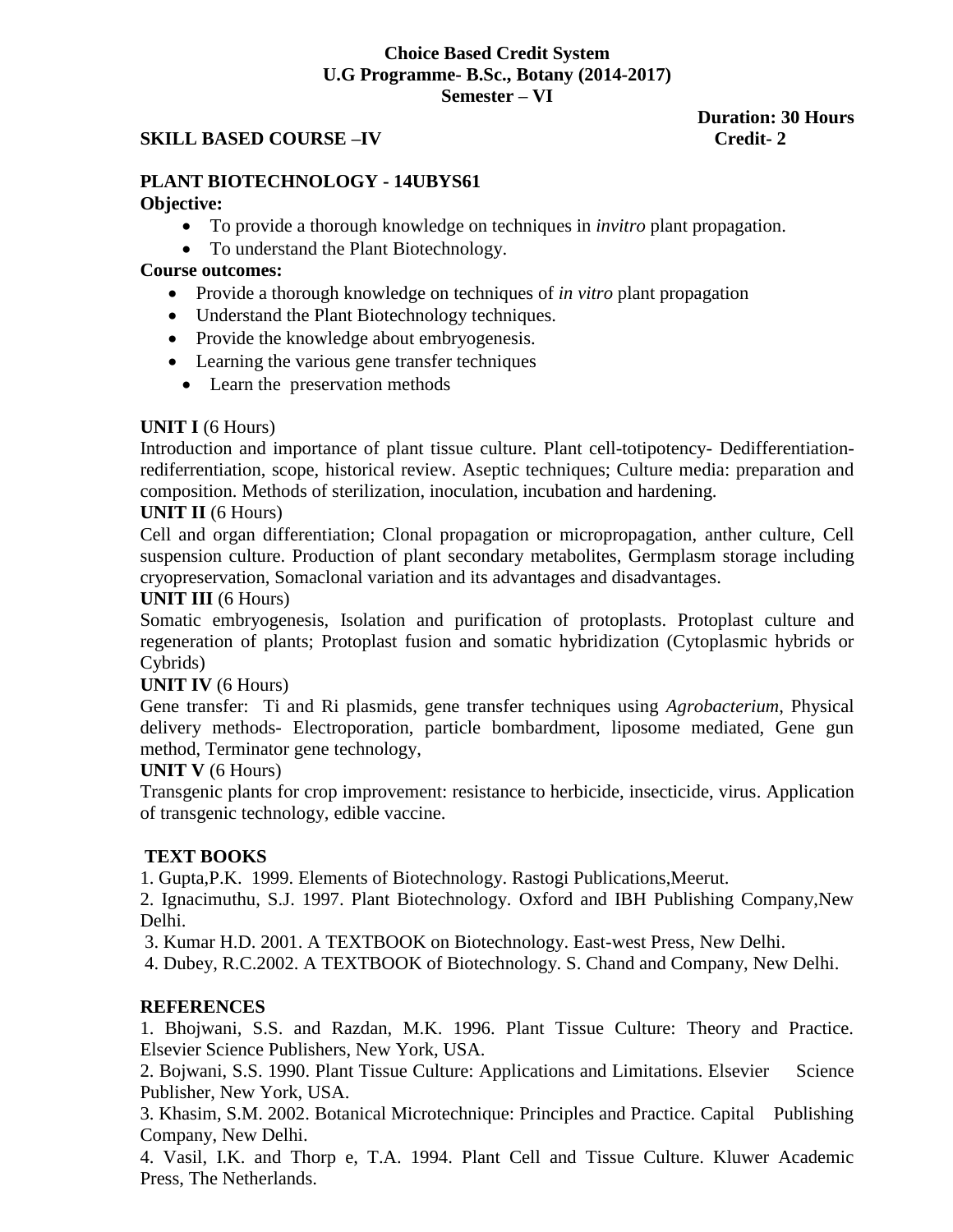#### **Choice Based Credit System U.G Programme- B.Sc., Botany (2014-2017) Semester – VI**

#### **SKILL BASED COURSE –IV** Credit-2

 **Duration: 30 Hours**

# **PLANT BIOTECHNOLOGY - 14UBYS61**

#### **Objective:**

- To provide a thorough knowledge on techniques in *invitro* plant propagation.
- To understand the Plant Biotechnology.

#### **Course outcomes:**

- Provide a thorough knowledge on techniques of *in vitro* plant propagation
- Understand the Plant Biotechnology techniques.
- Provide the knowledge about embryogenesis.
- Learning the various gene transfer techniques
- Learn the preservation methods

### **UNIT I** (6 Hours)

Introduction and importance of plant tissue culture. Plant cell-totipotency- Dedifferentiationrediferrentiation, scope, historical review. Aseptic techniques; Culture media: preparation and composition. Methods of sterilization, inoculation, incubation and hardening.

### **UNIT II** (6 Hours)

Cell and organ differentiation; Clonal propagation or micropropagation, anther culture, Cell suspension culture. Production of plant secondary metabolites, Germplasm storage including cryopreservation, Somaclonal variation and its advantages and disadvantages.

#### **UNIT III** (6 Hours)

Somatic embryogenesis, Isolation and purification of protoplasts. Protoplast culture and regeneration of plants; Protoplast fusion and somatic hybridization (Cytoplasmic hybrids or Cybrids)

#### **UNIT IV** (6 Hours)

Gene transfer: Ti and Ri plasmids, gene transfer techniques using *Agrobacterium*, Physical delivery methods- Electroporation, particle bombardment, liposome mediated, Gene gun method, Terminator gene technology,

#### **UNIT V** (6 Hours)

Transgenic plants for crop improvement: resistance to herbicide, insecticide, virus. Application of transgenic technology, edible vaccine.

#### **TEXT BOOKS**

1. Gupta,P.K. 1999. Elements of Biotechnology. Rastogi Publications,Meerut.

2. Ignacimuthu, S.J. 1997. Plant Biotechnology. Oxford and IBH Publishing Company,New Delhi.

3. Kumar H.D. 2001. A TEXTBOOK on Biotechnology. East-west Press, New Delhi.

4. Dubey, R.C.2002. A TEXTBOOK of Biotechnology. S. Chand and Company, New Delhi.

#### **REFERENCES**

1. Bhojwani, S.S. and Razdan, M.K. 1996. Plant Tissue Culture: Theory and Practice. Elsevier Science Publishers, New York, USA.

2. Bojwani, S.S. 1990. Plant Tissue Culture: Applications and Limitations. Elsevier Science Publisher, New York, USA.

3. Khasim, S.M. 2002. Botanical Microtechnique: Principles and Practice. Capital Publishing Company, New Delhi.

4. Vasil, I.K. and Thorp e, T.A. 1994. Plant Cell and Tissue Culture. Kluwer Academic Press, The Netherlands.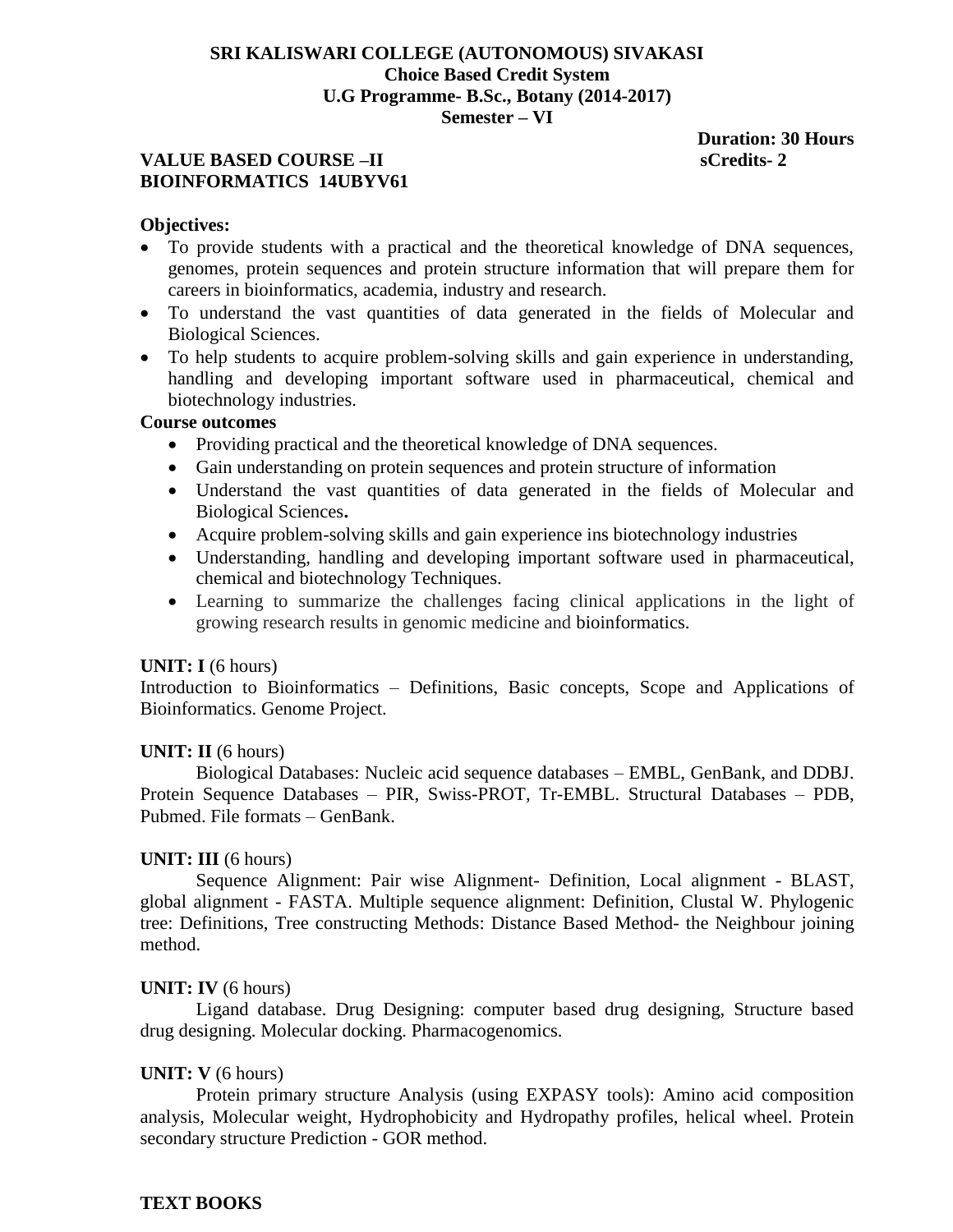#### **SRI KALISWARI COLLEGE (AUTONOMOUS) SIVAKASI Choice Based Credit System U.G Programme- B.Sc., Botany (2014-2017) Semester – VI**

#### **VALUE BASED COURSE –II** scredits-2 **BIOINFORMATICS 14UBYV61**

 **Duration: 30 Hours**

#### **Objectives:**

- To provide students with a practical and the theoretical knowledge of DNA sequences, genomes, protein sequences and protein structure information that will prepare them for careers in bioinformatics, academia, industry and research.
- To understand the vast quantities of data generated in the fields of Molecular and Biological Sciences.
- To help students to acquire problem-solving skills and gain experience in understanding, handling and developing important software used in pharmaceutical, chemical and biotechnology industries.

#### **Course outcomes**

- Providing practical and the theoretical knowledge of DNA sequences.
- Gain understanding on protein sequences and protein structure of information
- Understand the vast quantities of data generated in the fields of Molecular and Biological Sciences**.**
- Acquire problem-solving skills and gain experience ins biotechnology industries
- Understanding, handling and developing important software used in pharmaceutical, chemical and biotechnology Techniques.
- Learning to summarize the challenges facing clinical applications in the light of growing research results in genomic medicine and bioinformatics.

#### **UNIT: I** (6 hours)

Introduction to Bioinformatics – Definitions, Basic concepts, Scope and Applications of Bioinformatics. Genome Project.

#### **UNIT: II** (6 hours)

Biological Databases: Nucleic acid sequence databases – EMBL, GenBank, and DDBJ. Protein Sequence Databases – PIR, Swiss-PROT, Tr-EMBL. Structural Databases – PDB, Pubmed. File formats – GenBank.

#### **UNIT: III** (6 hours)

Sequence Alignment: Pair wise Alignment- Definition, Local alignment - BLAST, global alignment - FASTA. Multiple sequence alignment: Definition, Clustal W. Phylogenic tree: Definitions, Tree constructing Methods: Distance Based Method- the Neighbour joining method.

#### **UNIT: IV** (6 hours)

Ligand database. Drug Designing: computer based drug designing, Structure based drug designing. Molecular docking. Pharmacogenomics.

#### **UNIT: V** (6 hours)

Protein primary structure Analysis (using EXPASY tools): Amino acid composition analysis, Molecular weight, Hydrophobicity and Hydropathy profiles, helical wheel. Protein secondary structure Prediction - GOR method.